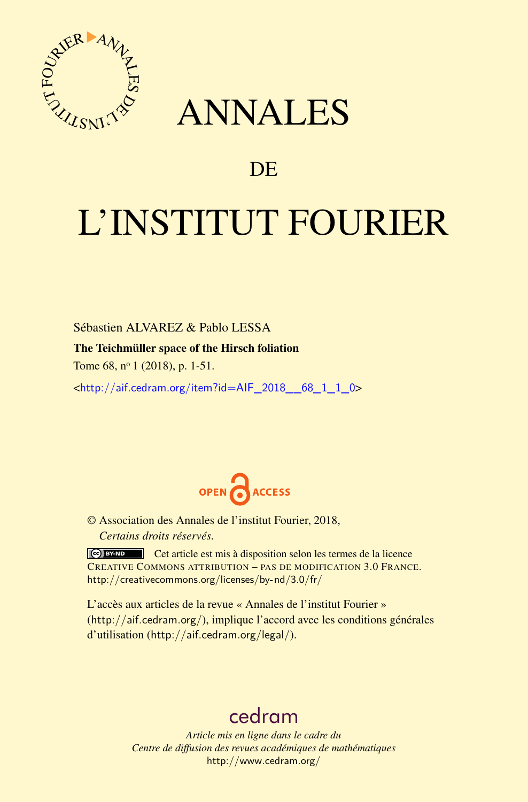

# ANNALES

# **DE**

# L'INSTITUT FOURIER

Sébastien ALVAREZ & Pablo LESSA The Teichmüller space of the Hirsch foliation

Tome 68, nº 1 (2018), p. 1-51.

<[http://aif.cedram.org/item?id=AIF\\_2018\\_\\_68\\_1\\_1\\_0](http://aif.cedram.org/item?id=AIF_2018__68_1_1_0)>



© Association des Annales de l'institut Fourier, 2018, *Certains droits réservés.*

Cet article est mis à disposition selon les termes de la licence CREATIVE COMMONS ATTRIBUTION – PAS DE MODIFICATION 3.0 FRANCE. <http://creativecommons.org/licenses/by-nd/3.0/fr/>

L'accès aux articles de la revue « Annales de l'institut Fourier » (<http://aif.cedram.org/>), implique l'accord avec les conditions générales d'utilisation (<http://aif.cedram.org/legal/>).

# [cedram](http://www.cedram.org/)

*Article mis en ligne dans le cadre du Centre de diffusion des revues académiques de mathématiques* <http://www.cedram.org/>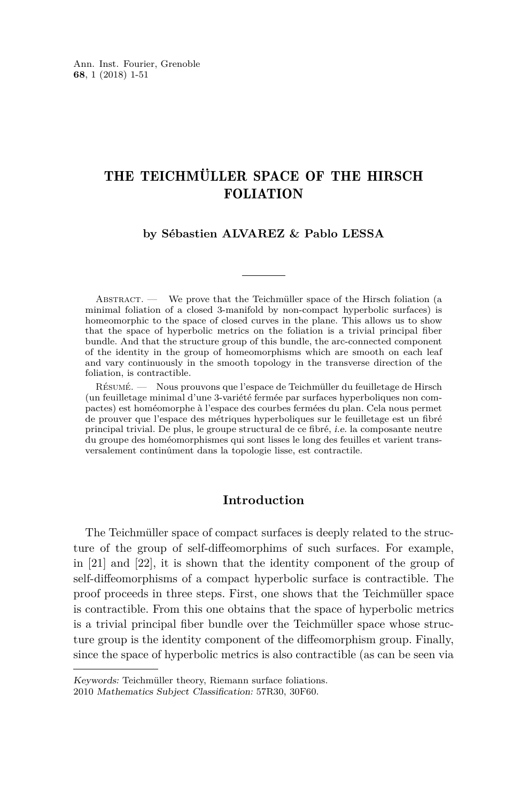# THE TEICHMÜLLER SPACE OF THE HIRSCH FOLIATION

#### **by Sébastien ALVAREZ & Pablo LESSA**

ABSTRACT. — We prove that the Teichmüller space of the Hirsch foliation (a minimal foliation of a closed 3-manifold by non-compact hyperbolic surfaces) is homeomorphic to the space of closed curves in the plane. This allows us to show that the space of hyperbolic metrics on the foliation is a trivial principal fiber bundle. And that the structure group of this bundle, the arc-connected component of the identity in the group of homeomorphisms which are smooth on each leaf and vary continuously in the smooth topology in the transverse direction of the foliation, is contractible.

Résumé. — Nous prouvons que l'espace de Teichmüller du feuilletage de Hirsch (un feuilletage minimal d'une 3-variété fermée par surfaces hyperboliques non compactes) est homéomorphe à l'espace des courbes fermées du plan. Cela nous permet de prouver que l'espace des métriques hyperboliques sur le feuilletage est un fibré principal trivial. De plus, le groupe structural de ce fibré, i.e. la composante neutre du groupe des homéomorphismes qui sont lisses le long des feuilles et varient transversalement continûment dans la topologie lisse, est contractile.

## **Introduction**

The Teichmüller space of compact surfaces is deeply related to the structure of the group of self-diffeomorphims of such surfaces. For example, in [\[21\]](#page-50-0) and [\[22\]](#page-50-1), it is shown that the identity component of the group of self-diffeomorphisms of a compact hyperbolic surface is contractible. The proof proceeds in three steps. First, one shows that the Teichmüller space is contractible. From this one obtains that the space of hyperbolic metrics is a trivial principal fiber bundle over the Teichmüller space whose structure group is the identity component of the diffeomorphism group. Finally, since the space of hyperbolic metrics is also contractible (as can be seen via

Keywords: Teichmüller theory, Riemann surface foliations.

<sup>2010</sup> Mathematics Subject Classification: 57R30, 30F60.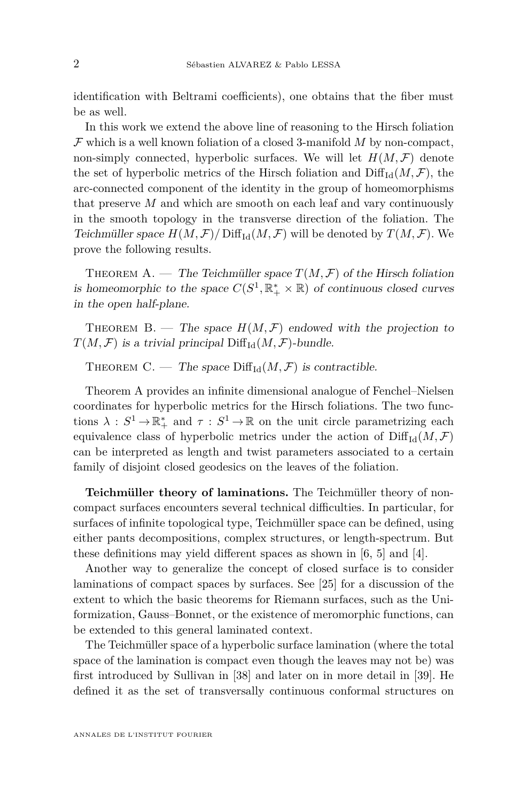identification with Beltrami coefficients), one obtains that the fiber must be as well.

In this work we extend the above line of reasoning to the Hirsch foliation F which is a well known foliation of a closed 3-manifold *M* by non-compact, non-simply connected, hyperbolic surfaces. We will let  $H(M, \mathcal{F})$  denote the set of hyperbolic metrics of the Hirsch foliation and  $\text{Diff}_{\text{Id}}(M, \mathcal{F})$ , the arc-connected component of the identity in the group of homeomorphisms that preserve *M* and which are smooth on each leaf and vary continuously in the smooth topology in the transverse direction of the foliation. The Teichmüller space  $H(M, \mathcal{F})/ \text{Diff}_{Id}(M, \mathcal{F})$  will be denoted by  $T(M, \mathcal{F})$ . We prove the following results.

<span id="page-2-0"></span>THEOREM A. — The Teichmüller space  $T(M, \mathcal{F})$  of the Hirsch foliation is homeomorphic to the space  $C(S^1, \mathbb{R}_+^* \times \mathbb{R})$  of continuous closed curves in the open half-plane.

<span id="page-2-1"></span>THEOREM B. — The space  $H(M, \mathcal{F})$  endowed with the projection to  $T(M, \mathcal{F})$  is a trivial principal  $\text{Diff}_{\text{Id}}(M, \mathcal{F})$ -bundle.

<span id="page-2-2"></span>THEOREM C. — The space  $\text{Diff}_{\text{Id}}(M, \mathcal{F})$  is contractible.

Theorem [A](#page-2-0) provides an infinite dimensional analogue of Fenchel–Nielsen coordinates for hyperbolic metrics for the Hirsch foliations. The two functions  $\lambda: S^1 \to \mathbb{R}_+^*$  and  $\tau: S^1 \to \mathbb{R}$  on the unit circle parametrizing each equivalence class of hyperbolic metrics under the action of  $\text{Diff}_{\text{Id}}(M,\mathcal{F})$ can be interpreted as length and twist parameters associated to a certain family of disjoint closed geodesics on the leaves of the foliation.

**Teichmüller theory of laminations.** The Teichmüller theory of noncompact surfaces encounters several technical difficulties. In particular, for surfaces of infinite topological type, Teichmüller space can be defined, using either pants decompositions, complex structures, or length-spectrum. But these definitions may yield different spaces as shown in [\[6,](#page-50-2) [5\]](#page-49-0) and [\[4\]](#page-49-1).

Another way to generalize the concept of closed surface is to consider laminations of compact spaces by surfaces. See [\[25\]](#page-50-3) for a discussion of the extent to which the basic theorems for Riemann surfaces, such as the Uniformization, Gauss–Bonnet, or the existence of meromorphic functions, can be extended to this general laminated context.

The Teichmüller space of a hyperbolic surface lamination (where the total space of the lamination is compact even though the leaves may not be) was first introduced by Sullivan in [\[38\]](#page-51-0) and later on in more detail in [\[39\]](#page-51-1). He defined it as the set of transversally continuous conformal structures on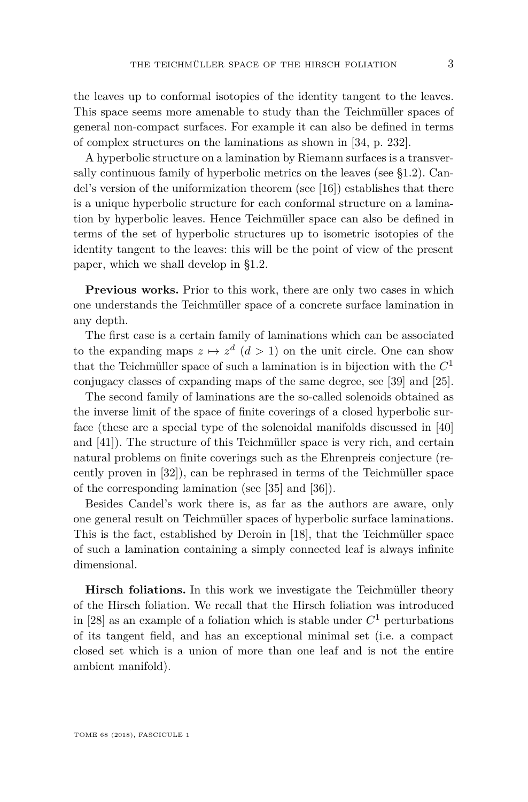the leaves up to conformal isotopies of the identity tangent to the leaves. This space seems more amenable to study than the Teichmüller spaces of general non-compact surfaces. For example it can also be defined in terms of complex structures on the laminations as shown in [\[34,](#page-51-2) p. 232].

A hyperbolic structure on a lamination by Riemann surfaces is a transversally continuous family of hyperbolic metrics on the leaves (see [§1.2\)](#page-8-0). Candel's version of the uniformization theorem (see [\[16\]](#page-50-4)) establishes that there is a unique hyperbolic structure for each conformal structure on a lamination by hyperbolic leaves. Hence Teichmüller space can also be defined in terms of the set of hyperbolic structures up to isometric isotopies of the identity tangent to the leaves: this will be the point of view of the present paper, which we shall develop in [§1.2.](#page-8-0)

**Previous works.** Prior to this work, there are only two cases in which one understands the Teichmüller space of a concrete surface lamination in any depth.

The first case is a certain family of laminations which can be associated to the expanding maps  $z \mapsto z^d$   $(d > 1)$  on the unit circle. One can show that the Teichmüller space of such a lamination is in bijection with the *C* 1 conjugacy classes of expanding maps of the same degree, see [\[39\]](#page-51-1) and [\[25\]](#page-50-3).

The second family of laminations are the so-called solenoids obtained as the inverse limit of the space of finite coverings of a closed hyperbolic surface (these are a special type of the solenoidal manifolds discussed in [\[40\]](#page-51-3) and [\[41\]](#page-51-4)). The structure of this Teichmüller space is very rich, and certain natural problems on finite coverings such as the Ehrenpreis conjecture (recently proven in [\[32\]](#page-51-5)), can be rephrased in terms of the Teichmüller space of the corresponding lamination (see [\[35\]](#page-51-6) and [\[36\]](#page-51-7)).

Besides Candel's work there is, as far as the authors are aware, only one general result on Teichmüller spaces of hyperbolic surface laminations. This is the fact, established by Deroin in [\[18\]](#page-50-5), that the Teichmüller space of such a lamination containing a simply connected leaf is always infinite dimensional.

**Hirsch foliations.** In this work we investigate the Teichmüller theory of the Hirsch foliation. We recall that the Hirsch foliation was introduced in [\[28\]](#page-50-6) as an example of a foliation which is stable under  $C<sup>1</sup>$  perturbations of its tangent field, and has an exceptional minimal set (i.e. a compact closed set which is a union of more than one leaf and is not the entire ambient manifold).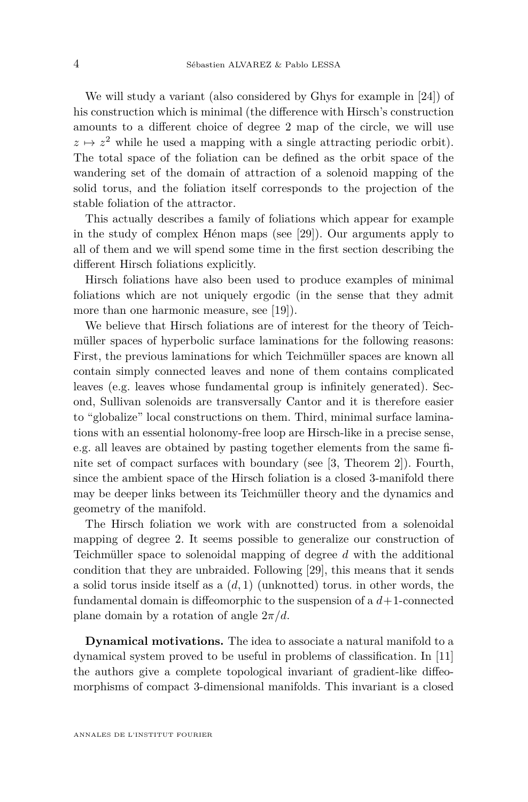We will study a variant (also considered by Ghys for example in [\[24\]](#page-50-7)) of his construction which is minimal (the difference with Hirsch's construction amounts to a different choice of degree 2 map of the circle, we will use  $z \mapsto z^2$  while he used a mapping with a single attracting periodic orbit). The total space of the foliation can be defined as the orbit space of the wandering set of the domain of attraction of a solenoid mapping of the solid torus, and the foliation itself corresponds to the projection of the stable foliation of the attractor.

This actually describes a family of foliations which appear for example in the study of complex Hénon maps (see [\[29\]](#page-51-8)). Our arguments apply to all of them and we will spend some time in the first section describing the different Hirsch foliations explicitly.

Hirsch foliations have also been used to produce examples of minimal foliations which are not uniquely ergodic (in the sense that they admit more than one harmonic measure, see [\[19\]](#page-50-8)).

We believe that Hirsch foliations are of interest for the theory of Teichmüller spaces of hyperbolic surface laminations for the following reasons: First, the previous laminations for which Teichmüller spaces are known all contain simply connected leaves and none of them contains complicated leaves (e.g. leaves whose fundamental group is infinitely generated). Second, Sullivan solenoids are transversally Cantor and it is therefore easier to "globalize" local constructions on them. Third, minimal surface laminations with an essential holonomy-free loop are Hirsch-like in a precise sense, e.g. all leaves are obtained by pasting together elements from the same finite set of compact surfaces with boundary (see [\[3,](#page-49-2) Theorem 2]). Fourth, since the ambient space of the Hirsch foliation is a closed 3-manifold there may be deeper links between its Teichmüller theory and the dynamics and geometry of the manifold.

The Hirsch foliation we work with are constructed from a solenoidal mapping of degree 2. It seems possible to generalize our construction of Teichmüller space to solenoidal mapping of degree *d* with the additional condition that they are unbraided. Following [\[29\]](#page-51-8), this means that it sends a solid torus inside itself as a (*d,* 1) (unknotted) torus. in other words, the fundamental domain is diffeomorphic to the suspension of a *d*+1-connected plane domain by a rotation of angle 2*π/d*.

**Dynamical motivations.** The idea to associate a natural manifold to a dynamical system proved to be useful in problems of classification. In [\[11\]](#page-50-9) the authors give a complete topological invariant of gradient-like diffeomorphisms of compact 3-dimensional manifolds. This invariant is a closed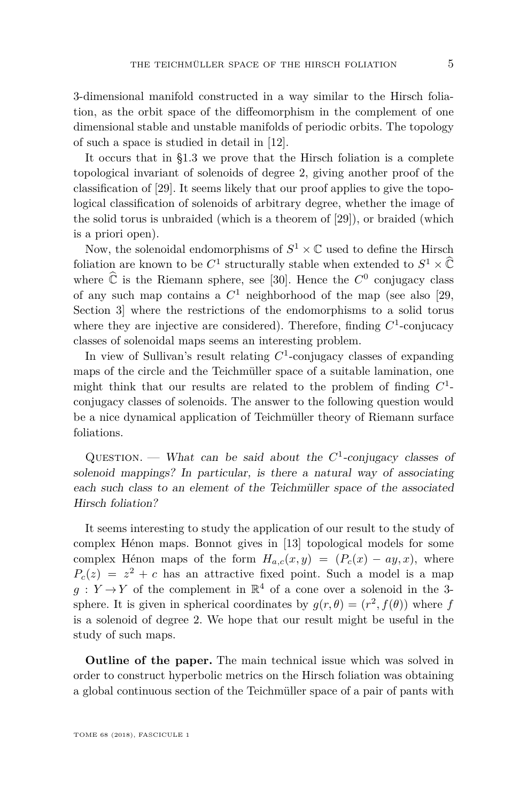3-dimensional manifold constructed in a way similar to the Hirsch foliation, as the orbit space of the diffeomorphism in the complement of one dimensional stable and unstable manifolds of periodic orbits. The topology of such a space is studied in detail in [\[12\]](#page-50-10).

It occurs that in [§1.3](#page-9-0) we prove that the Hirsch foliation is a complete topological invariant of solenoids of degree 2, giving another proof of the classification of [\[29\]](#page-51-8). It seems likely that our proof applies to give the topological classification of solenoids of arbitrary degree, whether the image of the solid torus is unbraided (which is a theorem of [\[29\]](#page-51-8)), or braided (which is a priori open).

Now, the solenoidal endomorphisms of  $S^1 \times \mathbb{C}$  used to define the Hirsch foliation are known to be  $C^1$  structurally stable when extended to  $S^1 \times \widehat{\mathbb{C}}$ where  $\hat{\mathbb{C}}$  is the Riemann sphere, see [\[30\]](#page-51-9). Hence the  $C^0$  conjugacy class of any such map contains a *C* <sup>1</sup> neighborhood of the map (see also [\[29,](#page-51-8) Section 3] where the restrictions of the endomorphisms to a solid torus where they are injective are considered). Therefore, finding  $C<sup>1</sup>$ -conjucacy classes of solenoidal maps seems an interesting problem.

In view of Sullivan's result relating *C* 1 -conjugacy classes of expanding maps of the circle and the Teichmüller space of a suitable lamination, one might think that our results are related to the problem of finding *C* 1 conjugacy classes of solenoids. The answer to the following question would be a nice dynamical application of Teichmüller theory of Riemann surface foliations.

QUESTION. — What can be said about the  $C^1$ -conjugacy classes of solenoid mappings? In particular, is there a natural way of associating each such class to an element of the Teichmüller space of the associated Hirsch foliation?

It seems interesting to study the application of our result to the study of complex Hénon maps. Bonnot gives in [\[13\]](#page-50-11) topological models for some complex Hénon maps of the form  $H_{a,c}(x,y) = (P_c(x) - ay, x)$ , where  $P_c(z) = z^2 + c$  has an attractive fixed point. Such a model is a map  $g: Y \to Y$  of the complement in  $\mathbb{R}^4$  of a cone over a solenoid in the 3sphere. It is given in spherical coordinates by  $g(r, \theta) = (r^2, f(\theta))$  where *f* is a solenoid of degree 2. We hope that our result might be useful in the study of such maps.

**Outline of the paper.** The main technical issue which was solved in order to construct hyperbolic metrics on the Hirsch foliation was obtaining a global continuous section of the Teichmüller space of a pair of pants with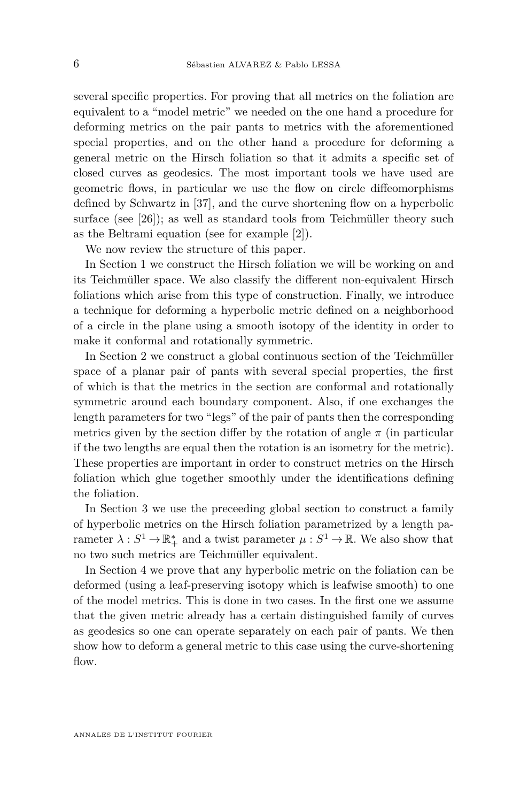several specific properties. For proving that all metrics on the foliation are equivalent to a "model metric" we needed on the one hand a procedure for deforming metrics on the pair pants to metrics with the aforementioned special properties, and on the other hand a procedure for deforming a general metric on the Hirsch foliation so that it admits a specific set of closed curves as geodesics. The most important tools we have used are geometric flows, in particular we use the flow on circle diffeomorphisms defined by Schwartz in [\[37\]](#page-51-10), and the curve shortening flow on a hyperbolic surface (see [\[26\]](#page-50-12)); as well as standard tools from Teichmüller theory such as the Beltrami equation (see for example [\[2\]](#page-49-3)).

We now review the structure of this paper.

In Section [1](#page-7-0) we construct the Hirsch foliation we will be working on and its Teichmüller space. We also classify the different non-equivalent Hirsch foliations which arise from this type of construction. Finally, we introduce a technique for deforming a hyperbolic metric defined on a neighborhood of a circle in the plane using a smooth isotopy of the identity in order to make it conformal and rotationally symmetric.

In Section [2](#page-25-0) we construct a global continuous section of the Teichmüller space of a planar pair of pants with several special properties, the first of which is that the metrics in the section are conformal and rotationally symmetric around each boundary component. Also, if one exchanges the length parameters for two "legs" of the pair of pants then the corresponding metrics given by the section differ by the rotation of angle  $\pi$  (in particular if the two lengths are equal then the rotation is an isometry for the metric). These properties are important in order to construct metrics on the Hirsch foliation which glue together smoothly under the identifications defining the foliation.

In Section [3](#page-34-0) we use the preceeding global section to construct a family of hyperbolic metrics on the Hirsch foliation parametrized by a length parameter  $\lambda: S^1 \to \mathbb{R}_+^*$  and a twist parameter  $\mu: S^1 \to \mathbb{R}$ . We also show that no two such metrics are Teichmüller equivalent.

In Section [4](#page-37-0) we prove that any hyperbolic metric on the foliation can be deformed (using a leaf-preserving isotopy which is leafwise smooth) to one of the model metrics. This is done in two cases. In the first one we assume that the given metric already has a certain distinguished family of curves as geodesics so one can operate separately on each pair of pants. We then show how to deform a general metric to this case using the curve-shortening flow.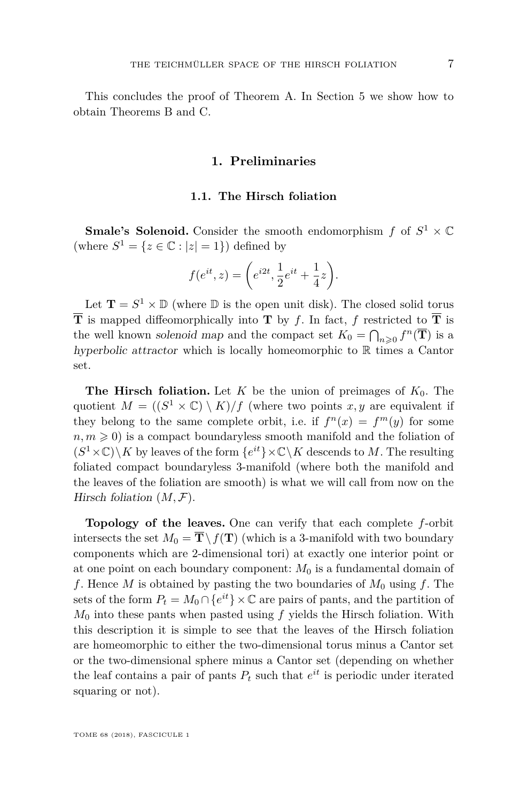<span id="page-7-0"></span>This concludes the proof of Theorem [A.](#page-2-0) In Section [5](#page-47-0) we show how to obtain Theorems [B](#page-2-1) and [C.](#page-2-2)

## **1. Preliminaries**

#### **1.1. The Hirsch foliation**

<span id="page-7-1"></span>**Smale's Solenoid.** Consider the smooth endomorphism  $f$  of  $S^1 \times \mathbb{C}$ (where  $S^1 = \{z \in \mathbb{C} : |z| = 1\}$ ) defined by

$$
f(e^{it}, z) = \left(e^{i2t}, \frac{1}{2}e^{it} + \frac{1}{4}z\right).
$$

Let  $\mathbf{T} = S^1 \times \mathbb{D}$  (where  $\mathbb{D}$  is the open unit disk). The closed solid torus  $\overline{T}$  is mapped diffeomorphically into **T** by *f*. In fact, *f* restricted to  $\overline{T}$  is the well known solenoid map and the compact set  $K_0 = \bigcap_{n\geqslant 0} f^n(\overline{T})$  is a hyperbolic attractor which is locally homeomorphic to R times a Cantor set.

**The Hirsch foliation.** Let *K* be the union of preimages of  $K_0$ . The quotient  $M = ((S^1 \times \mathbb{C}) \setminus K)/f$  (where two points  $x, y$  are equivalent if they belong to the same complete orbit, i.e. if  $f^{n}(x) = f^{m}(y)$  for some  $n, m \geqslant 0$  is a compact boundaryless smooth manifold and the foliation of  $(S^1 \times \mathbb{C}) \backslash K$  by leaves of the form  $\{e^{it}\}\times \mathbb{C} \backslash K$  descends to M. The resulting foliated compact boundaryless 3-manifold (where both the manifold and the leaves of the foliation are smooth) is what we will call from now on the Hirsch foliation (*M,* F).

**Topology of the leaves.** One can verify that each complete *f*-orbit intersects the set  $M_0 = \overline{T} \setminus f(T)$  (which is a 3-manifold with two boundary components which are 2-dimensional tori) at exactly one interior point or at one point on each boundary component:  $M_0$  is a fundamental domain of f. Hence  $M$  is obtained by pasting the two boundaries of  $M_0$  using  $f$ . The sets of the form  $P_t = M_0 \cap \{e^{it}\}\times \mathbb{C}$  are pairs of pants, and the partition of *M*<sup>0</sup> into these pants when pasted using *f* yields the Hirsch foliation. With this description it is simple to see that the leaves of the Hirsch foliation are homeomorphic to either the two-dimensional torus minus a Cantor set or the two-dimensional sphere minus a Cantor set (depending on whether the leaf contains a pair of pants  $P_t$  such that  $e^{it}$  is periodic under iterated squaring or not).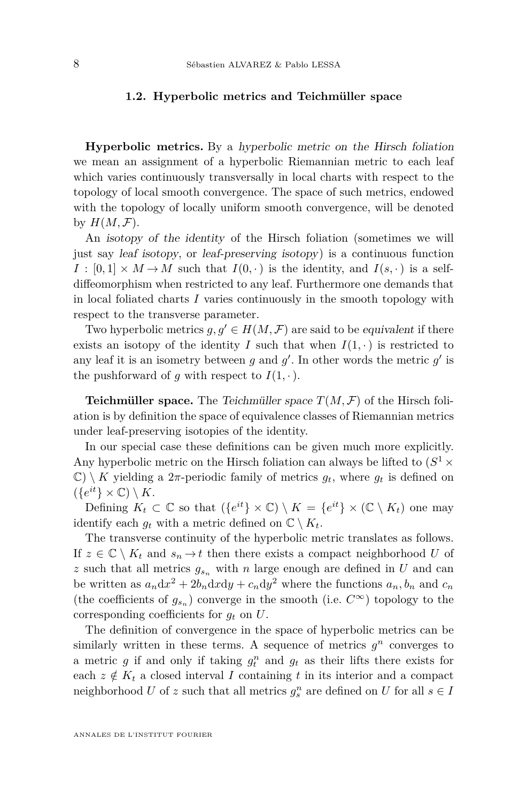#### <span id="page-8-0"></span>**1.2. Hyperbolic metrics and Teichmüller space**

**Hyperbolic metrics.** By a hyperbolic metric on the Hirsch foliation we mean an assignment of a hyperbolic Riemannian metric to each leaf which varies continuously transversally in local charts with respect to the topology of local smooth convergence. The space of such metrics, endowed with the topology of locally uniform smooth convergence, will be denoted by  $H(M, \mathcal{F})$ .

An isotopy of the identity of the Hirsch foliation (sometimes we will just say leaf isotopy, or leaf-preserving isotopy) is a continuous function  $I : [0,1] \times M \rightarrow M$  such that  $I(0, \cdot)$  is the identity, and  $I(s, \cdot)$  is a selfdiffeomorphism when restricted to any leaf. Furthermore one demands that in local foliated charts *I* varies continuously in the smooth topology with respect to the transverse parameter.

Two hyperbolic metrics  $g, g' \in H(M, \mathcal{F})$  are said to be equivalent if there exists an isotopy of the identity *I* such that when  $I(1, \cdot)$  is restricted to any leaf it is an isometry between  $g$  and  $g'$ . In other words the metric  $g'$  is the pushforward of *g* with respect to  $I(1, \cdot)$ .

**Teichmüller space.** The *Teichmüller space*  $T(M, \mathcal{F})$  of the Hirsch foliation is by definition the space of equivalence classes of Riemannian metrics under leaf-preserving isotopies of the identity.

In our special case these definitions can be given much more explicitly. Any hyperbolic metric on the Hirsch foliation can always be lifted to  $(S^1 \times$  $\mathbb{C}$  \ *K* yielding a 2 $\pi$ -periodic family of metrics  $g_t$ , where  $g_t$  is defined on  $({e^{it}\}\times\mathbb{C})\setminus K.$ 

Defining  $K_t \subset \mathbb{C}$  so that  $({e^{it}} \times \mathbb{C}) \setminus K = {e^{it}} \times (\mathbb{C} \setminus K_t)$  one may identify each  $q_t$  with a metric defined on  $\mathbb{C} \setminus K_t$ .

The transverse continuity of the hyperbolic metric translates as follows. If  $z \in \mathbb{C} \setminus K_t$  and  $s_n \to t$  then there exists a compact neighborhood *U* of *z* such that all metrics  $g_{s_n}$  with *n* large enough are defined in *U* and can be written as  $a_n dx^2 + 2b_n dx dy + c_n dy^2$  where the functions  $a_n, b_n$  and  $c_n$ (the coefficients of  $g_{s_n}$ ) converge in the smooth (i.e.  $C^{\infty}$ ) topology to the corresponding coefficients for *g<sup>t</sup>* on *U*.

The definition of convergence in the space of hyperbolic metrics can be similarly written in these terms. A sequence of metrics  $g^n$  converges to a metric  $g$  if and only if taking  $g_t^n$  and  $g_t$  as their lifts there exists for each  $z \notin K_t$  a closed interval *I* containing *t* in its interior and a compact neighborhood *U* of *z* such that all metrics  $g_s^n$  are defined on *U* for all  $s \in I$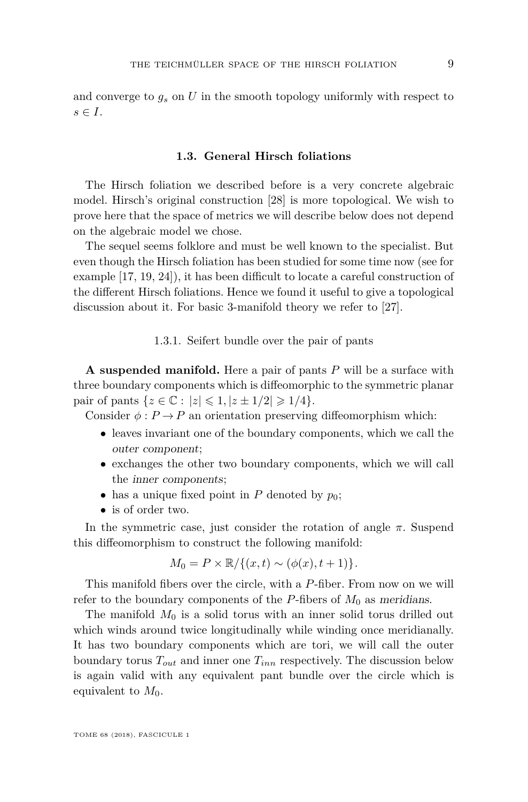and converge to *g<sup>s</sup>* on *U* in the smooth topology uniformly with respect to  $s \in I$ .

## **1.3. General Hirsch foliations**

<span id="page-9-0"></span>The Hirsch foliation we described before is a very concrete algebraic model. Hirsch's original construction [\[28\]](#page-50-6) is more topological. We wish to prove here that the space of metrics we will describe below does not depend on the algebraic model we chose.

The sequel seems folklore and must be well known to the specialist. But even though the Hirsch foliation has been studied for some time now (see for example [\[17,](#page-50-13) [19,](#page-50-8) [24\]](#page-50-7)), it has been difficult to locate a careful construction of the different Hirsch foliations. Hence we found it useful to give a topological discussion about it. For basic 3-manifold theory we refer to [\[27\]](#page-50-14).

#### 1.3.1. Seifert bundle over the pair of pants

**A suspended manifold.** Here a pair of pants *P* will be a surface with three boundary components which is diffeomorphic to the symmetric planar pair of pants  $\{z \in \mathbb{C} : |z| \leq 1, |z \pm 1/2| \geq 1/4\}.$ 

Consider  $\phi: P \to P$  an orientation preserving diffeomorphism which:

- leaves invariant one of the boundary components, which we call the outer component;
- exchanges the other two boundary components, which we will call the inner components;
- has a unique fixed point in  $P$  denoted by  $p_0$ ;
- is of order two.

In the symmetric case, just consider the rotation of angle  $\pi$ . Suspend this diffeomorphism to construct the following manifold:

$$
M_0 = P \times \mathbb{R}/\{(x,t) \sim (\phi(x), t+1)\}.
$$

This manifold fibers over the circle, with a *P*-fiber. From now on we will refer to the boundary components of the  $P$ -fibers of  $M_0$  as meridians.

The manifold  $M_0$  is a solid torus with an inner solid torus drilled out which winds around twice longitudinally while winding once meridianally. It has two boundary components which are tori, we will call the outer boundary torus  $T_{out}$  and inner one  $T_{inn}$  respectively. The discussion below is again valid with any equivalent pant bundle over the circle which is equivalent to  $M_0$ .

TOME 68 (2018), FASCICULE 1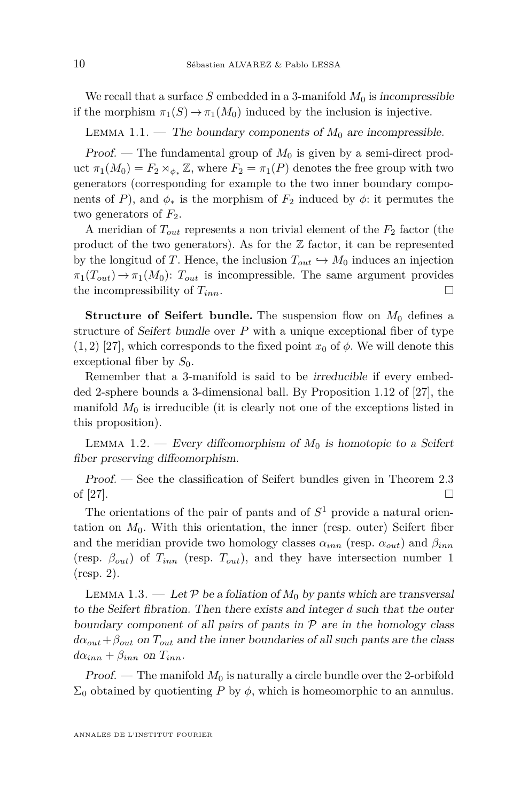We recall that a surface  $S$  embedded in a 3-manifold  $M_0$  is incompressible if the morphism  $\pi_1(S) \to \pi_1(M_0)$  induced by the inclusion is injective.

LEMMA 1.1. — The boundary components of  $M_0$  are incompressible.

Proof. — The fundamental group of *M*<sup>0</sup> is given by a semi-direct product  $\pi_1(M_0) = F_2 \rtimes_{\phi_*} \mathbb{Z}$ , where  $F_2 = \pi_1(P)$  denotes the free group with two generators (corresponding for example to the two inner boundary components of *P*), and  $\phi_*$  is the morphism of  $F_2$  induced by  $\phi$ : it permutes the two generators of  $F_2$ .

A meridian of  $T_{out}$  represents a non trivial element of the  $F_2$  factor (the product of the two generators). As for the  $\mathbb Z$  factor, it can be represented by the longitud of *T*. Hence, the inclusion  $T_{out} \hookrightarrow M_0$  induces an injection  $\pi_1(T_{out}) \to \pi_1(M_0)$ :  $T_{out}$  is incompressible. The same argument provides the incompressibility of  $T_{inn}$ .

**Structure of Seifert bundle.** The suspension flow on  $M_0$  defines a structure of Seifert bundle over *P* with a unique exceptional fiber of type  $(1, 2)$  [\[27\]](#page-50-14), which corresponds to the fixed point  $x_0$  of  $\phi$ . We will denote this exceptional fiber by *S*0.

Remember that a 3-manifold is said to be irreducible if every embedded 2-sphere bounds a 3-dimensional ball. By Proposition 1.12 of [\[27\]](#page-50-14), the manifold  $M_0$  is irreducible (it is clearly not one of the exceptions listed in this proposition).

<span id="page-10-0"></span>LEMMA 1.2. — Every diffeomorphism of  $M_0$  is homotopic to a Seifert fiber preserving diffeomorphism.

Proof. — See the classification of Seifert bundles given in Theorem 2.3 of [\[27\]](#page-50-14).

The orientations of the pair of pants and of *S* <sup>1</sup> provide a natural orientation on  $M_0$ . With this orientation, the inner (resp. outer) Seifert fiber and the meridian provide two homology classes  $\alpha_{inn}$  (resp.  $\alpha_{out}$ ) and  $\beta_{inn}$ (resp.  $\beta_{out}$ ) of  $T_{inn}$  (resp.  $T_{out}$ ), and they have intersection number 1 (resp. 2).

<span id="page-10-1"></span>LEMMA 1.3. — Let  $P$  be a foliation of  $M_0$  by pants which are transversal to the Seifert fibration. Then there exists and integer *d* such that the outer boundary component of all pairs of pants in  $P$  are in the homology class  $d\alpha_{out} + \beta_{out}$  on  $T_{out}$  and the inner boundaries of all such pants are the class  $d\alpha_{inn} + \beta_{inn}$  on  $T_{inn}$ .

Proof. — The manifold  $M_0$  is naturally a circle bundle over the 2-orbifold  $\Sigma_0$  obtained by quotienting *P* by  $\phi$ , which is homeomorphic to an annulus.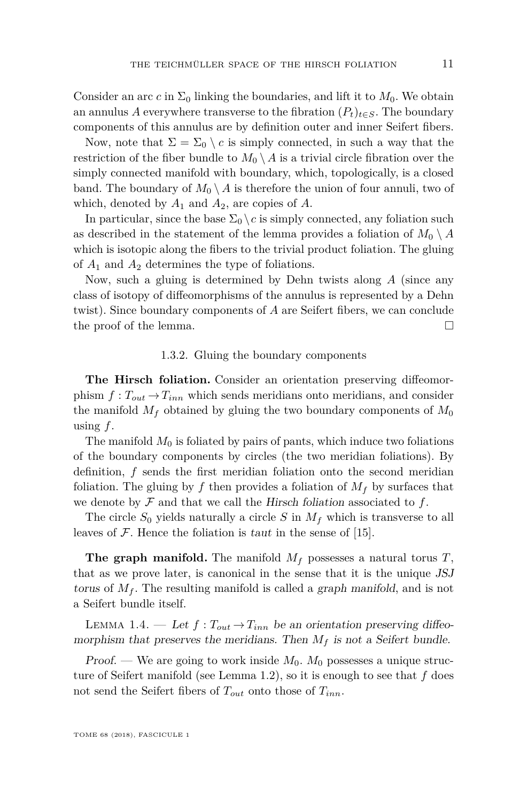Consider an arc *c* in  $\Sigma_0$  linking the boundaries, and lift it to  $M_0$ . We obtain an annulus *A* everywhere transverse to the fibration  $(P_t)_{t \in S}$ . The boundary components of this annulus are by definition outer and inner Seifert fibers.

Now, note that  $\Sigma = \Sigma_0 \setminus c$  is simply connected, in such a way that the restriction of the fiber bundle to  $M_0 \setminus A$  is a trivial circle fibration over the simply connected manifold with boundary, which, topologically, is a closed band. The boundary of  $M_0 \setminus A$  is therefore the union of four annuli, two of which, denoted by  $A_1$  and  $A_2$ , are copies of  $A$ .

In particular, since the base  $\Sigma_0 \setminus c$  is simply connected, any foliation such as described in the statement of the lemma provides a foliation of  $M_0 \setminus A$ which is isotopic along the fibers to the trivial product foliation. The gluing of *A*<sup>1</sup> and *A*<sup>2</sup> determines the type of foliations.

Now, such a gluing is determined by Dehn twists along *A* (since any class of isotopy of diffeomorphisms of the annulus is represented by a Dehn twist). Since boundary components of *A* are Seifert fibers, we can conclude the proof of the lemma.

#### 1.3.2. Gluing the boundary components

**The Hirsch foliation.** Consider an orientation preserving diffeomorphism  $f: T_{out} \to T_{inn}$  which sends meridians onto meridians, and consider the manifold  $M_f$  obtained by gluing the two boundary components of  $M_0$ using *f*.

The manifold  $M_0$  is foliated by pairs of pants, which induce two foliations of the boundary components by circles (the two meridian foliations). By definition, *f* sends the first meridian foliation onto the second meridian foliation. The gluing by f then provides a foliation of  $M_f$  by surfaces that we denote by  $\mathcal F$  and that we call the Hirsch foliation associated to  $f$ .

The circle  $S_0$  yields naturally a circle  $S$  in  $M_f$  which is transverse to all leaves of  $\mathcal F$ . Hence the foliation is taut in the sense of [\[15\]](#page-50-15).

**The graph manifold.** The manifold *M<sup>f</sup>* possesses a natural torus *T*, that as we prove later, is canonical in the sense that it is the unique JSJ torus of  $M_f$ . The resulting manifold is called a graph manifold, and is not a Seifert bundle itself.

<span id="page-11-0"></span>LEMMA 1.4. — Let  $f: T_{out} \rightarrow T_{inn}$  be an orientation preserving diffeomorphism that preserves the meridians. Then  $M_f$  is not a Seifert bundle.

Proof. — We are going to work inside *M*0. *M*<sup>0</sup> possesses a unique structure of Seifert manifold (see Lemma [1.2\)](#page-10-0), so it is enough to see that *f* does not send the Seifert fibers of *Tout* onto those of *Tinn*.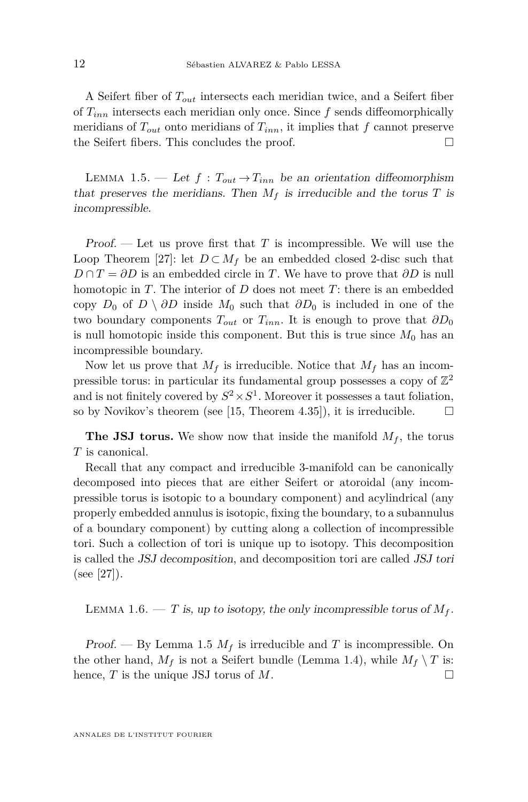A Seifert fiber of *Tout* intersects each meridian twice, and a Seifert fiber of *Tinn* intersects each meridian only once. Since *f* sends diffeomorphically meridians of  $T_{out}$  onto meridians of  $T_{inn}$ , it implies that  $f$  cannot preserve the Seifert fibers. This concludes the proof.  $\Box$ 

<span id="page-12-0"></span>LEMMA 1.5. — Let  $f: T_{out} \rightarrow T_{inn}$  be an orientation diffeomorphism that preserves the meridians. Then  $M_f$  is irreducible and the torus  $T$  is incompressible.

Proof.  $\mathcal{L}$  Let us prove first that *T* is incompressible. We will use the Loop Theorem [\[27\]](#page-50-14): let  $D \subset M_f$  be an embedded closed 2-disc such that  $D \cap T = \partial D$  is an embedded circle in *T*. We have to prove that  $\partial D$  is null homotopic in *T*. The interior of *D* does not meet *T*: there is an embedded copy *D*<sub>0</sub> of *D* \  $\partial D$  inside  $M_0$  such that  $\partial D_0$  is included in one of the two boundary components  $T_{out}$  or  $T_{inn}$ . It is enough to prove that  $\partial D_0$ is null homotopic inside this component. But this is true since  $M_0$  has an incompressible boundary.

Now let us prove that  $M_f$  is irreducible. Notice that  $M_f$  has an incompressible torus: in particular its fundamental group possesses a copy of  $\mathbb{Z}^2$ and is not finitely covered by  $S^2 \times S^1$ . Moreover it possesses a taut foliation, so by Novikov's theorem (see [\[15,](#page-50-15) Theorem 4.35]), it is irreducible.  $\Box$ 

**The JSJ torus.** We show now that inside the manifold  $M_f$ , the torus *T* is canonical.

Recall that any compact and irreducible 3-manifold can be canonically decomposed into pieces that are either Seifert or atoroidal (any incompressible torus is isotopic to a boundary component) and acylindrical (any properly embedded annulus is isotopic, fixing the boundary, to a subannulus of a boundary component) by cutting along a collection of incompressible tori. Such a collection of tori is unique up to isotopy. This decomposition is called the JSJ decomposition, and decomposition tori are called JSJ tori (see [\[27\]](#page-50-14)).

LEMMA 1.6. — *T* is, up to isotopy, the only incompressible torus of  $M_f$ .

Proof. — By Lemma [1.5](#page-12-0)  $M_f$  is irreducible and T is incompressible. On the other hand,  $M_f$  is not a Seifert bundle (Lemma [1.4\)](#page-11-0), while  $M_f \setminus T$  is: hence,  $T$  is the unique JSJ torus of  $M$ .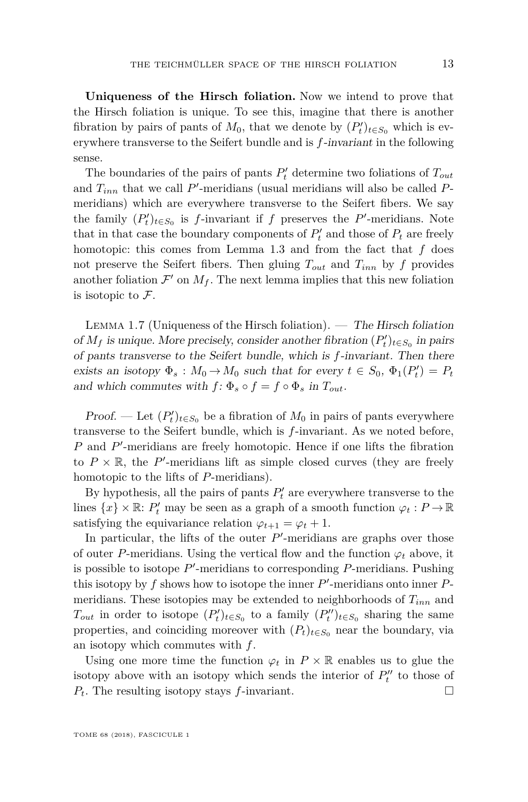**Uniqueness of the Hirsch foliation.** Now we intend to prove that the Hirsch foliation is unique. To see this, imagine that there is another fibration by pairs of pants of  $M_0$ , that we denote by  $(P'_t)_{t \in S_0}$  which is everywhere transverse to the Seifert bundle and is *f*-invariant in the following sense.

The boundaries of the pairs of pants  $P'_t$  determine two foliations of  $T_{out}$ and  $T_{inn}$  that we call  $P'$ -meridians (usual meridians will also be called  $P$ meridians) which are everywhere transverse to the Seifert fibers. We say the family  $(P'_t)_{t \in S_0}$  is *f*-invariant if *f* preserves the *P*'-meridians. Note that in that case the boundary components of  $P'_t$  and those of  $P_t$  are freely homotopic: this comes from Lemma [1.3](#page-10-1) and from the fact that *f* does not preserve the Seifert fibers. Then gluing  $T_{out}$  and  $T_{inn}$  by f provides another foliation  $\mathcal{F}'$  on  $M_f$ . The next lemma implies that this new foliation is isotopic to  $\mathcal{F}.$ 

<span id="page-13-0"></span>Lemma 1.7 (Uniqueness of the Hirsch foliation). — The Hirsch foliation of  $M_f$  is unique. More precisely, consider another fibration  $(P'_t)_{t \in S_0}$  in pairs of pants transverse to the Seifert bundle, which is *f*-invariant. Then there exists an isotopy  $\Phi_s$ :  $M_0 \to M_0$  such that for every  $t \in S_0$ ,  $\Phi_1(P'_t) = P_t$ and which commutes with  $f: \Phi_s \circ f = f \circ \Phi_s$  in  $T_{out}$ .

*Proof.* — Let  $(P'_t)_{t \in S_0}$  be a fibration of  $M_0$  in pairs of pants everywhere transverse to the Seifert bundle, which is *f*-invariant. As we noted before, P and P'-meridians are freely homotopic. Hence if one lifts the fibration to  $P \times \mathbb{R}$ , the P'-meridians lift as simple closed curves (they are freely homotopic to the lifts of *P*-meridians).

By hypothesis, all the pairs of pants  $P'_t$  are everywhere transverse to the lines  $\{x\} \times \mathbb{R}$ :  $P'_t$  may be seen as a graph of a smooth function  $\varphi_t : P \to \mathbb{R}$ satisfying the equivariance relation  $\varphi_{t+1} = \varphi_t + 1$ .

In particular, the lifts of the outer  $P'$ -meridians are graphs over those of outer *P*-meridians. Using the vertical flow and the function  $\varphi_t$  above, it is possible to isotope  $P'$ -meridians to corresponding  $P$ -meridians. Pushing this isotopy by  $f$  shows how to isotope the inner  $P'$ -meridians onto inner  $P$ meridians. These isotopies may be extended to neighborhoods of *Tinn* and  $T_{out}$  in order to isotope  $(P'_t)_{t \in S_0}$  to a family  $(P''_t)_{t \in S_0}$  sharing the same properties, and coinciding moreover with  $(P_t)_{t \in S_0}$  near the boundary, via an isotopy which commutes with *f*.

Using one more time the function  $\varphi_t$  in  $P \times \mathbb{R}$  enables us to glue the isotopy above with an isotopy which sends the interior of  $P_t''$  to those of  $P_t$ . The resulting isotopy stays *f*-invariant.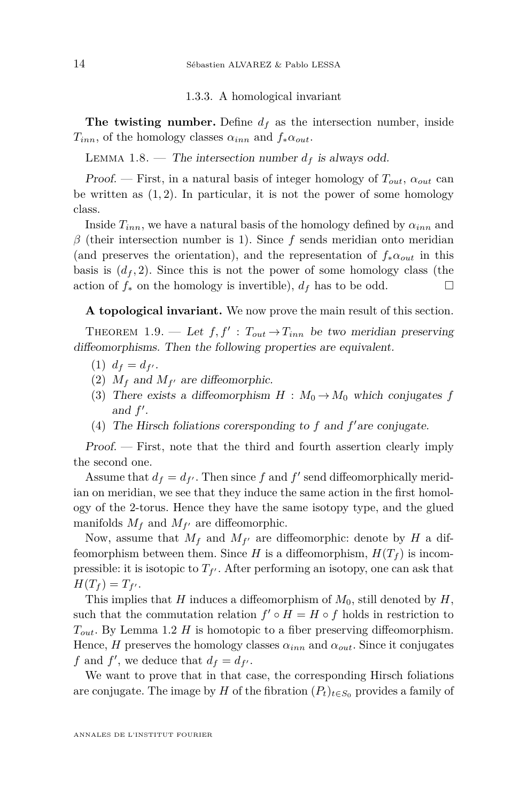1.3.3. A homological invariant

**The twisting number.** Define  $d_f$  as the intersection number, inside  $T_{inn}$ , of the homology classes  $\alpha_{inn}$  and  $f_*\alpha_{out}$ .

LEMMA 1.8. — The intersection number  $d_f$  is always odd.

Proof. — First, in a natural basis of integer homology of  $T_{out}$ ,  $\alpha_{out}$  can be written as (1*,* 2). In particular, it is not the power of some homology class.

Inside  $T_{inn}$ , we have a natural basis of the homology defined by  $\alpha_{inn}$  and *β* (their intersection number is 1). Since *f* sends meridian onto meridian (and preserves the orientation), and the representation of  $f_* \alpha_{out}$  in this basis is  $(d_f, 2)$ . Since this is not the power of some homology class (the action of  $f_*$  on the homology is invertible),  $d_f$  has to be odd.

**A topological invariant.** We now prove the main result of this section.

THEOREM 1.9. — Let  $f, f' : T_{out} \rightarrow T_{inn}$  be two meridian preserving diffeomorphisms. Then the following properties are equivalent.

- $(1)$   $d_f = d_{f'}$ .
- (2)  $M_f$  and  $M_{f'}$  are diffeomorphic.
- (3) There exists a diffeomorphism  $H : M_0 \to M_0$  which conjugates f and  $f'$ .
- (4) The Hirsch foliations corersponding to  $f$  and  $f'$  are conjugate.

Proof. — First, note that the third and fourth assertion clearly imply the second one.

Assume that  $d_f = d_{f'}$ . Then since f and f' send diffeomorphically meridian on meridian, we see that they induce the same action in the first homology of the 2-torus. Hence they have the same isotopy type, and the glued manifolds  $M_f$  and  $M_{f'}$  are diffeomorphic.

Now, assume that  $M_f$  and  $M_{f'}$  are diffeomorphic: denote by  $H$  a diffeomorphism between them. Since *H* is a diffeomorphism,  $H(T_f)$  is incompressible: it is isotopic to  $T_{f'}$ . After performing an isotopy, one can ask that  $H(T_f) = T_{f'}$ .

This implies that *H* induces a diffeomorphism of *M*0, still denoted by *H*, such that the commutation relation  $f' \circ H = H \circ f$  holds in restriction to *Tout*. By Lemma [1.2](#page-10-0) *H* is homotopic to a fiber preserving diffeomorphism. Hence, *H* preserves the homology classes  $\alpha_{inn}$  and  $\alpha_{out}$ . Since it conjugates *f* and *f*<sup>'</sup>, we deduce that  $d_f = d_{f'}$ .

We want to prove that in that case, the corresponding Hirsch foliations are conjugate. The image by *H* of the fibration  $(P_t)_{t \in S_0}$  provides a family of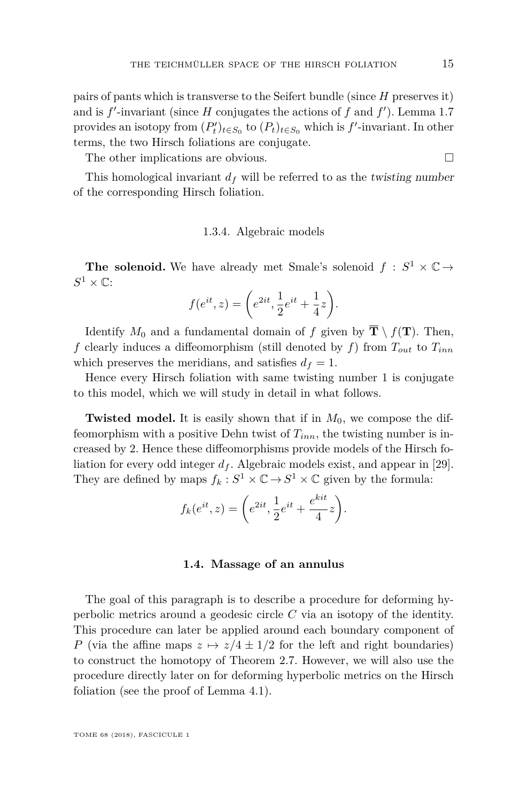pairs of pants which is transverse to the Seifert bundle (since *H* preserves it) and is  $f'$ -invariant (since  $H$  conjugates the actions of  $f$  and  $f'$ ). Lemma [1.7](#page-13-0) provides an isotopy from  $(P'_t)_{t \in S_0}$  to  $(P_t)_{t \in S_0}$  which is  $f'$ -invariant. In other terms, the two Hirsch foliations are conjugate.

The other implications are obvious.

This homological invariant  $d_f$  will be referred to as the *twisting number* of the corresponding Hirsch foliation.

#### 1.3.4. Algebraic models

**The solenoid.** We have already met Smale's solenoid  $f : S^1 \times \mathbb{C} \rightarrow$  $S^1 \times \mathbb{C}$ 

$$
f(e^{it}, z) = \left(e^{2it}, \frac{1}{2}e^{it} + \frac{1}{4}z\right).
$$

Identify  $M_0$  and a fundamental domain of *f* given by  $\overline{\mathbf{T}} \setminus f(\mathbf{T})$ . Then, *f* clearly induces a diffeomorphism (still denoted by *f*) from *Tout* to *Tinn* which preserves the meridians, and satisfies  $d_f = 1$ .

Hence every Hirsch foliation with same twisting number 1 is conjugate to this model, which we will study in detail in what follows.

**Twisted model.** It is easily shown that if in  $M_0$ , we compose the diffeomorphism with a positive Dehn twist of *Tinn*, the twisting number is increased by 2. Hence these diffeomorphisms provide models of the Hirsch foliation for every odd integer  $d_f$ . Algebraic models exist, and appear in [\[29\]](#page-51-8). They are defined by maps  $f_k: S^1 \times \mathbb{C} \to S^1 \times \mathbb{C}$  given by the formula:

$$
f_k(e^{it}, z) = \left(e^{2it}, \frac{1}{2}e^{it} + \frac{e^{kit}}{4}z\right).
$$

#### **1.4. Massage of an annulus**

<span id="page-15-0"></span>The goal of this paragraph is to describe a procedure for deforming hyperbolic metrics around a geodesic circle *C* via an isotopy of the identity. This procedure can later be applied around each boundary component of *P* (via the affine maps  $z \mapsto z/4 \pm 1/2$  for the left and right boundaries) to construct the homotopy of Theorem [2.7.](#page-28-0) However, we will also use the procedure directly later on for deforming hyperbolic metrics on the Hirsch foliation (see the proof of Lemma [4.1\)](#page-38-0).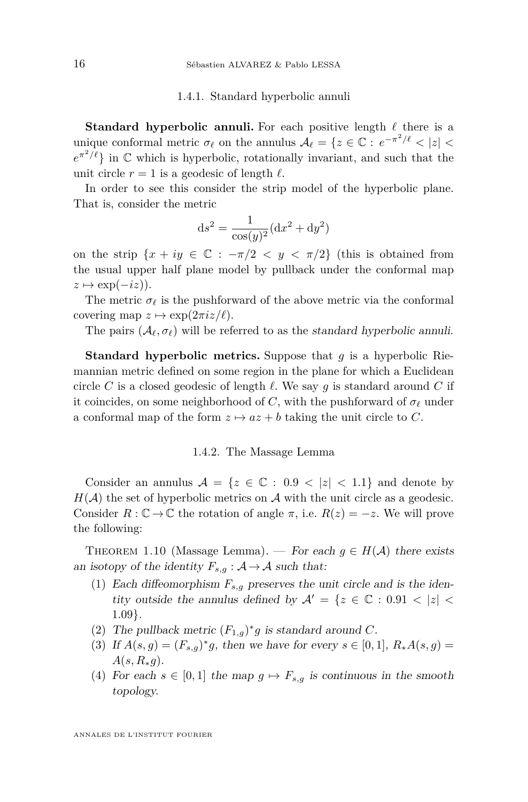#### 1.4.1. Standard hyperbolic annuli

**Standard hyperbolic annuli.** For each positive length  $\ell$  there is a unique conformal metric  $\sigma_\ell$  on the annulus  $A_\ell = \{z \in \mathbb{C} : e^{-\pi^2/\ell} < |z| < \ell \}$  $e^{\pi^2/\ell}$  in  $\mathbb C$  which is hyperbolic, rotationally invariant, and such that the unit circle  $r = 1$  is a geodesic of length  $\ell$ .

In order to see this consider the strip model of the hyperbolic plane. That is, consider the metric

$$
ds^{2} = \frac{1}{\cos(y)^{2}}(dx^{2} + dy^{2})
$$

on the strip  $\{x + iy \in \mathbb{C} : -\pi/2 < y < \pi/2\}$  (this is obtained from the usual upper half plane model by pullback under the conformal map  $z \mapsto \exp(-iz)$ .

The metric  $\sigma_{\ell}$  is the pushforward of the above metric via the conformal covering map  $z \mapsto \exp(2\pi i z/\ell)$ .

The pairs  $(\mathcal{A}_{\ell}, \sigma_{\ell})$  will be referred to as the *standard hyperbolic annuli.* 

**Standard hyperbolic metrics.** Suppose that *g* is a hyperbolic Riemannian metric defined on some region in the plane for which a Euclidean circle *C* is a closed geodesic of length  $\ell$ . We say  $g$  is standard around *C* if it coincides, on some neighborhood of *C*, with the pushforward of  $\sigma_\ell$  under a conformal map of the form  $z \mapsto az + b$  taking the unit circle to *C*.

#### 1.4.2. The Massage Lemma

Consider an annulus  $A = \{z \in \mathbb{C} : 0.9 < |z| < 1.1\}$  and denote by  $H(A)$  the set of hyperbolic metrics on A with the unit circle as a geodesic. Consider  $R: \mathbb{C} \to \mathbb{C}$  the rotation of angle  $\pi$ , i.e.  $R(z) = -z$ . We will prove the following:

<span id="page-16-3"></span>THEOREM 1.10 (Massage Lemma). — For each  $g \in H(\mathcal{A})$  there exists an isotopy of the identity  $F_{s,q}: A \rightarrow A$  such that:

- <span id="page-16-0"></span>(1) Each diffeomorphism  $F_{s,g}$  preserves the unit circle and is the identity outside the annulus defined by  $\mathcal{A}' = \{z \in \mathbb{C} : 0.91 \lt |z| \lt \mathcal{A}\}$ 1*.*09}.
- (2) The pullback metric  $(F_{1,g})^*g$  is standard around C.
- <span id="page-16-1"></span>(3) If  $A(s, g) = (F_{s,g})^* g$ , then we have for every  $s \in [0, 1]$ ,  $R_*A(s, g) =$  $A(s, R_*g)$ .
- <span id="page-16-2"></span>(4) For each  $s \in [0,1]$  the map  $g \mapsto F_{s,q}$  is continuous in the smooth topology.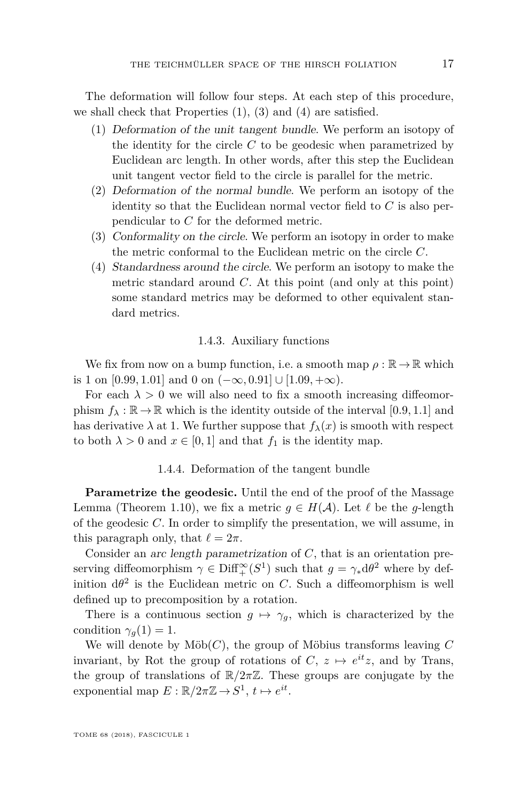The deformation will follow four steps. At each step of this procedure, we shall check that Properties [\(1\)](#page-16-0), [\(3\)](#page-16-1) and [\(4\)](#page-16-2) are satisfied.

- (1) Deformation of the unit tangent bundle. We perform an isotopy of the identity for the circle *C* to be geodesic when parametrized by Euclidean arc length. In other words, after this step the Euclidean unit tangent vector field to the circle is parallel for the metric.
- (2) Deformation of the normal bundle. We perform an isotopy of the identity so that the Euclidean normal vector field to *C* is also perpendicular to *C* for the deformed metric.
- (3) Conformality on the circle. We perform an isotopy in order to make the metric conformal to the Euclidean metric on the circle *C*.
- (4) Standardness around the circle. We perform an isotopy to make the metric standard around *C*. At this point (and only at this point) some standard metrics may be deformed to other equivalent standard metrics.

#### 1.4.3. Auxiliary functions

<span id="page-17-0"></span>We fix from now on a bump function, i.e. a smooth map  $\rho : \mathbb{R} \to \mathbb{R}$  which is 1 on [0.99*,* 1.01] and 0 on  $(-\infty, 0.91]$  ∪ [1.09*,* +∞).

For each  $\lambda > 0$  we will also need to fix a smooth increasing diffeomorphism  $f_{\lambda} : \mathbb{R} \to \mathbb{R}$  which is the identity outside of the interval [0.9, 1.1] and has derivative  $\lambda$  at 1. We further suppose that  $f_{\lambda}(x)$  is smooth with respect to both  $\lambda > 0$  and  $x \in [0, 1]$  and that  $f_1$  is the identity map.

#### 1.4.4. Deformation of the tangent bundle

**Parametrize the geodesic.** Until the end of the proof of the Massage Lemma (Theorem [1.10\)](#page-16-3), we fix a metric  $g \in H(\mathcal{A})$ . Let  $\ell$  be the *g*-length of the geodesic *C*. In order to simplify the presentation, we will assume, in this paragraph only, that  $\ell = 2\pi$ .

Consider an arc length parametrization of *C*, that is an orientation preserving diffeomorphism  $\gamma \in \text{Diff}^{\infty}_{+}(S^1)$  such that  $g = \gamma_* d\theta^2$  where by definition  $d\theta^2$  is the Euclidean metric on *C*. Such a diffeomorphism is well defined up to precomposition by a rotation.

There is a continuous section  $g \mapsto \gamma_g$ , which is characterized by the condition  $\gamma_q(1) = 1$ .

We will denote by  $\text{M\"ob}(C)$ , the group of Möbius transforms leaving  $C$ invariant, by Rot the group of rotations of  $C, z \mapsto e^{it}z$ , and by Trans, the group of translations of  $\mathbb{R}/2\pi\mathbb{Z}$ . These groups are conjugate by the exponential map  $E: \mathbb{R}/2\pi\mathbb{Z} \to S^1$ ,  $t \mapsto e^{it}$ .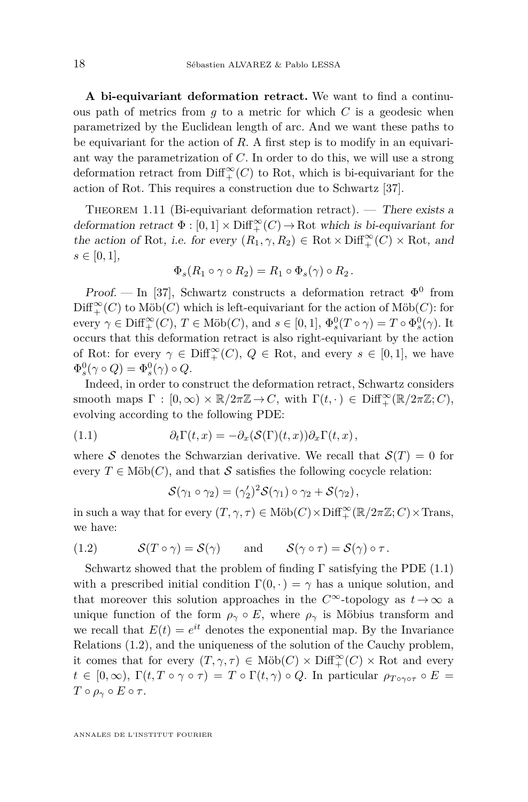**A bi-equivariant deformation retract.** We want to find a continuous path of metrics from *g* to a metric for which *C* is a geodesic when parametrized by the Euclidean length of arc. And we want these paths to be equivariant for the action of *R*. A first step is to modify in an equivariant way the parametrization of *C*. In order to do this, we will use a strong deformation retract from  $\text{Diff}^{\infty}_{+}(C)$  to Rot, which is bi-equivariant for the action of Rot. This requires a construction due to Schwartz [\[37\]](#page-51-10).

<span id="page-18-2"></span>THEOREM 1.11 (Bi-equivariant deformation retract). — There exists a deformation retract  $\Phi : [0,1] \times \text{Diff}^\infty_+(C) \to \text{Rot}$  which is bi-equivariant for the action of Rot, i.e. for every  $(R_1, \gamma, R_2) \in \text{Rot} \times \text{Diff}_+^{\infty}(C) \times \text{Rot}, \text{ and}$  $s \in [0, 1],$ 

$$
\Phi_s(R_1 \circ \gamma \circ R_2) = R_1 \circ \Phi_s(\gamma) \circ R_2.
$$

Proof. — In [\[37\]](#page-51-10), Schwartz constructs a deformation retract  $\Phi^0$  from  $\mathrm{Diff}_+^\infty(C)$  to  $\mathrm{M\ddot{o}b}(C)$  which is left-equivariant for the action of  $\mathrm{M\ddot{o}b}(C)$  for every  $\gamma \in \text{Diff}^{\infty}_+(C)$ ,  $T \in \text{M\"ob}(C)$ , and  $s \in [0,1]$ ,  $\Phi_s^0(T \circ \gamma) = T \circ \Phi_s^0(\gamma)$ . It occurs that this deformation retract is also right-equivariant by the action of Rot: for every  $\gamma \in \text{Diff}^{\infty}_+(C)$ ,  $Q \in \text{Rot}$ , and every  $s \in [0,1]$ , we have  $\Phi_s^0(\gamma \circ Q) = \Phi_s^0(\gamma) \circ Q.$ 

Indeed, in order to construct the deformation retract, Schwartz considers smooth maps  $\Gamma : [0, \infty) \times \mathbb{R}/2\pi\mathbb{Z} \to C$ , with  $\Gamma(t, \cdot) \in \text{Diff}^{\infty}_+(\mathbb{R}/2\pi\mathbb{Z}; C)$ , evolving according to the following PDE:

(1.1) 
$$
\partial_t \Gamma(t,x) = -\partial_x (\mathcal{S}(\Gamma)(t,x)) \partial_x \Gamma(t,x),
$$

where S denotes the Schwarzian derivative. We recall that  $S(T) = 0$  for every  $T \in M\ddot{o}b(C)$ , and that S satisfies the following cocycle relation:

<span id="page-18-1"></span><span id="page-18-0"></span>
$$
\mathcal{S}(\gamma_1 \circ \gamma_2) = (\gamma_2')^2 \mathcal{S}(\gamma_1) \circ \gamma_2 + \mathcal{S}(\gamma_2),
$$

in such a way that for every  $(T, \gamma, \tau) \in \text{M\"ob}(C) \times \text{Diff}^\infty_+(\mathbb{R}/2\pi\mathbb{Z}; C) \times \text{Trans},$ we have:

(1.2) 
$$
\mathcal{S}(T \circ \gamma) = \mathcal{S}(\gamma) \quad \text{and} \quad \mathcal{S}(\gamma \circ \tau) = \mathcal{S}(\gamma) \circ \tau.
$$

Schwartz showed that the problem of finding  $\Gamma$  satisfying the PDE [\(1.1\)](#page-18-0) with a prescribed initial condition  $\Gamma(0, \cdot) = \gamma$  has a unique solution, and that moreover this solution approaches in the  $C^{\infty}$ -topology as  $t \to \infty$  a unique function of the form  $\rho_{\gamma} \circ E$ , where  $\rho_{\gamma}$  is Möbius transform and we recall that  $E(t) = e^{it}$  denotes the exponential map. By the Invariance Relations [\(1.2\)](#page-18-1), and the uniqueness of the solution of the Cauchy problem, it comes that for every  $(T, \gamma, \tau) \in M\ddot{o}b(C) \times \text{Diff}^{\infty}_+(C) \times \text{Rot}$  and every  $t \in [0,\infty)$ ,  $\Gamma(t,T \circ \gamma \circ \tau) = T \circ \Gamma(t,\gamma) \circ Q$ . In particular  $\rho_{T \circ \gamma \circ \tau} \circ E =$ *T*  $\circ$  *ρ*<sub> $\gamma$ </sub>  $\circ$  *E*  $\circ$  *τ*.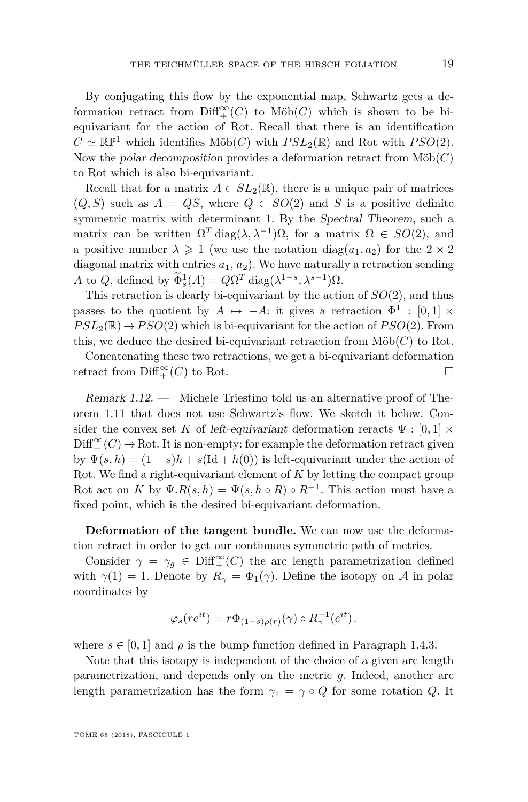By conjugating this flow by the exponential map, Schwartz gets a deformation retract from  $\text{Diff}^{\infty}_+(C)$  to  $\text{M\"ob}(C)$  which is shown to be biequivariant for the action of Rot. Recall that there is an identification  $C \simeq \mathbb{RP}^1$  which identifies Möb $(C)$  with  $PSL_2(\mathbb{R})$  and Rot with  $PSO(2)$ . Now the polar decomposition provides a deformation retract from  $\text{M\"ob}(C)$ to Rot which is also bi-equivariant.

Recall that for a matrix  $A \in SL_2(\mathbb{R})$ , there is a unique pair of matrices  $(Q, S)$  such as  $A = QS$ , where  $Q \in SO(2)$  and S is a positive definite symmetric matrix with determinant 1. By the Spectral Theorem, such a matrix can be written  $\Omega^T$  diag( $\lambda, \lambda^{-1}$ ) $\Omega$ , for a matrix  $\Omega \in SO(2)$ , and a positive number  $\lambda \geq 1$  (we use the notation diag( $a_1, a_2$ ) for the  $2 \times 2$ diagonal matrix with entries  $a_1, a_2$ ). We have naturally a retraction sending  $A \text{ to } Q$ , defined by  $\Phi_s^1(A) = Q\Omega^T \text{diag}(\lambda^{1-s}, \lambda^{s-1})\Omega$ .

This retraction is clearly bi-equivariant by the action of *SO*(2), and thus passes to the quotient by  $A \mapsto -A$ : it gives a retraction  $\Phi^1 : [0,1] \times$  $PSL_2(\mathbb{R}) \rightarrow PSO(2)$  which is bi-equivariant for the action of  $PSO(2)$ . From this, we deduce the desired bi-equivariant retraction from  $\text{M\"ob}(C)$  to Rot.

Concatenating these two retractions, we get a bi-equivariant deformation retract from  $\text{Diff}^{\infty}_+(C)$  to Rot.

Remark 1.12. — Michele Triestino told us an alternative proof of Theorem [1.11](#page-18-2) that does not use Schwartz's flow. We sketch it below. Consider the convex set K of left-equivariant deformation reracts  $\Psi : [0,1] \times$  $\mathrm{Diff}_+^{\infty}(C) \to \mathrm{Rot}.$  It is non-empty: for example the deformation retract given by  $\Psi(s, h) = (1 - s)h + s(\text{Id} + h(0))$  is left-equivariant under the action of Rot. We find a right-equivariant element of *K* by letting the compact group Rot act on *K* by  $\Psi.R(s,h) = \Psi(s,h \circ R) \circ R^{-1}$ . This action must have a fixed point, which is the desired bi-equivariant deformation.

**Deformation of the tangent bundle.** We can now use the deformation retract in order to get our continuous symmetric path of metrics.

Consider  $\gamma = \gamma_g \in \text{Diff}^{\infty}_+(C)$  the arc length parametrization defined with  $\gamma(1) = 1$ . Denote by  $R_{\gamma} = \Phi_1(\gamma)$ . Define the isotopy on A in polar coordinates by

$$
\varphi_s(re^{it}) = r\Phi_{(1-s)\rho(r)}(\gamma) \circ R_{\gamma}^{-1}(e^{it}).
$$

where  $s \in [0, 1]$  and  $\rho$  is the bump function defined in Paragraph [1.4.3.](#page-17-0)

Note that this isotopy is independent of the choice of a given arc length parametrization, and depends only on the metric *g*. Indeed, another arc length parametrization has the form  $\gamma_1 = \gamma \circ Q$  for some rotation *Q*. It

TOME 68 (2018), FASCICULE 1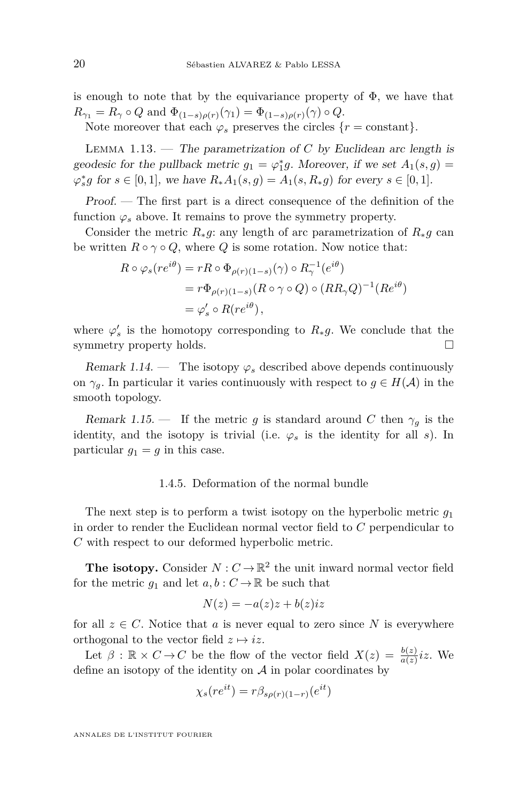is enough to note that by the equivariance property of  $\Phi$ , we have that  $R_{\gamma_1} = R_{\gamma} \circ Q$  and  $\Phi_{(1-s)\rho(r)}(\gamma_1) = \Phi_{(1-s)\rho(r)}(\gamma) \circ Q$ .

Note moreover that each  $\varphi_s$  preserves the circles  $\{r = \text{constant}\}.$ 

LEMMA  $1.13.$  — The parametrization of *C* by Euclidean arc length is geodesic for the pullback metric  $g_1 = \varphi_1^* g$ . Moreover, if we set  $A_1(s, g) =$  $\varphi_s^* g$  for *s* ∈ [0, 1], we have  $R_* A_1(s, g) = A_1(s, R_* g)$  for every *s* ∈ [0, 1].

Proof. — The first part is a direct consequence of the definition of the function  $\varphi_s$  above. It remains to prove the symmetry property.

Consider the metric  $R_*g$ : any length of arc parametrization of  $R_*g$  can be written  $R \circ \gamma \circ Q$ , where *Q* is some rotation. Now notice that:

$$
R \circ \varphi_s(re^{i\theta}) = rR \circ \Phi_{\rho(r)(1-s)}(\gamma) \circ R_{\gamma}^{-1}(e^{i\theta})
$$
  
=  $r\Phi_{\rho(r)(1-s)}(R \circ \gamma \circ Q) \circ (RR_{\gamma}Q)^{-1}(Re^{i\theta})$   
=  $\varphi'_s \circ R(re^{i\theta}),$ 

where  $\varphi'_s$  is the homotopy corresponding to  $R_*g$ . We conclude that the symmetry property holds.  $\hfill \square$ 

Remark 1.14. — The isotopy  $\varphi_s$  described above depends continuously on  $\gamma_q$ . In particular it varies continuously with respect to  $g \in H(\mathcal{A})$  in the smooth topology.

Remark 1.15. — If the metric *g* is standard around *C* then  $\gamma_g$  is the identity, and the isotopy is trivial (i.e.  $\varphi_s$  is the identity for all *s*). In particular  $g_1 = g$  in this case.

#### 1.4.5. Deformation of the normal bundle

The next step is to perform a twist isotopy on the hyperbolic metric *g*<sup>1</sup> in order to render the Euclidean normal vector field to *C* perpendicular to *C* with respect to our deformed hyperbolic metric.

**The isotopy.** Consider  $N: C \to \mathbb{R}^2$  the unit inward normal vector field for the metric  $g_1$  and let  $a, b: C \to \mathbb{R}$  be such that

$$
N(z) = -a(z)z + b(z)iz
$$

for all  $z \in C$ . Notice that a is never equal to zero since N is everywhere orthogonal to the vector field  $z \mapsto iz$ .

Let  $\beta$  :  $\mathbb{R} \times C \rightarrow C$  be the flow of the vector field  $X(z) = \frac{b(z)}{a(z)}iz$ . We define an isotopy of the identity on  $A$  in polar coordinates by

$$
\chi_s(re^{it}) = r\beta_{s\rho(r)(1-r)}(e^{it})
$$

ANNALES DE L'INSTITUT FOURIER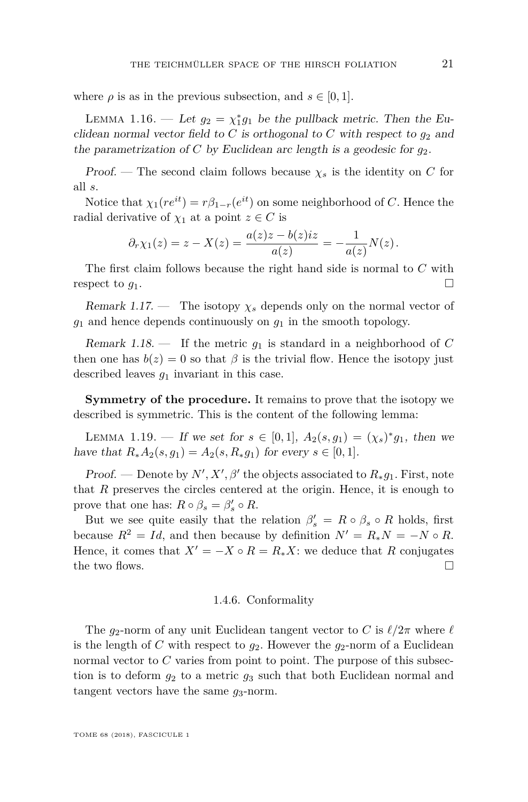where  $\rho$  is as in the previous subsection, and  $s \in [0, 1]$ .

LEMMA 1.16. — Let  $g_2 = \chi_1^* g_1$  be the pullback metric. Then the Euclidean normal vector field to  $C$  is orthogonal to  $C$  with respect to  $g_2$  and the parametrization of *C* by Euclidean arc length is a geodesic for  $q_2$ .

Proof. — The second claim follows because  $\chi_s$  is the identity on C for all *s*.

Notice that  $\chi_1(re^{it}) = r\beta_{1-r}(e^{it})$  on some neighborhood of *C*. Hence the radial derivative of  $\chi_1$  at a point  $z \in C$  is

$$
\partial_r \chi_1(z) = z - X(z) = \frac{a(z)z - b(z)iz}{a(z)} = -\frac{1}{a(z)}N(z).
$$

The first claim follows because the right hand side is normal to *C* with respect to  $g_1$ .

Remark 1.17. — The isotopy  $\chi_s$  depends only on the normal vector of  $g_1$  and hence depends continuously on  $g_1$  in the smooth topology.

Remark 1.18.  $\equiv$  If the metric  $g_1$  is standard in a neighborhood of C then one has  $b(z) = 0$  so that  $\beta$  is the trivial flow. Hence the isotopy just described leaves *g*<sup>1</sup> invariant in this case.

**Symmetry of the procedure.** It remains to prove that the isotopy we described is symmetric. This is the content of the following lemma:

LEMMA 1.19. — If we set for  $s \in [0,1]$ ,  $A_2(s,g_1) = (\chi_s)^* g_1$ , then we have that  $R_*A_2(s, g_1) = A_2(s, R_*g_1)$  for every  $s \in [0, 1]$ .

*Proof.* — Denote by  $N', X', \beta'$  the objects associated to  $R_* g_1$ . First, note that *R* preserves the circles centered at the origin. Hence, it is enough to prove that one has:  $R \circ \beta_s = \beta_s' \circ R$ .

But we see quite easily that the relation  $\beta'_{s} = R \circ \beta_{s} \circ R$  holds, first because  $R^2 = Id$ , and then because by definition  $N' = R_*N = -N \circ R$ . Hence, it comes that  $X' = -X \circ R = R_*X$ : we deduce that R conjugates the two flows.  $\Box$ 

#### 1.4.6. Conformality

The  $g_2$ -norm of any unit Euclidean tangent vector to *C* is  $\ell/2\pi$  where  $\ell$ is the length of *C* with respect to  $q_2$ . However the  $q_2$ -norm of a Euclidean normal vector to *C* varies from point to point. The purpose of this subsection is to deform *g*<sup>2</sup> to a metric *g*<sup>3</sup> such that both Euclidean normal and tangent vectors have the same  $g_3$ -norm.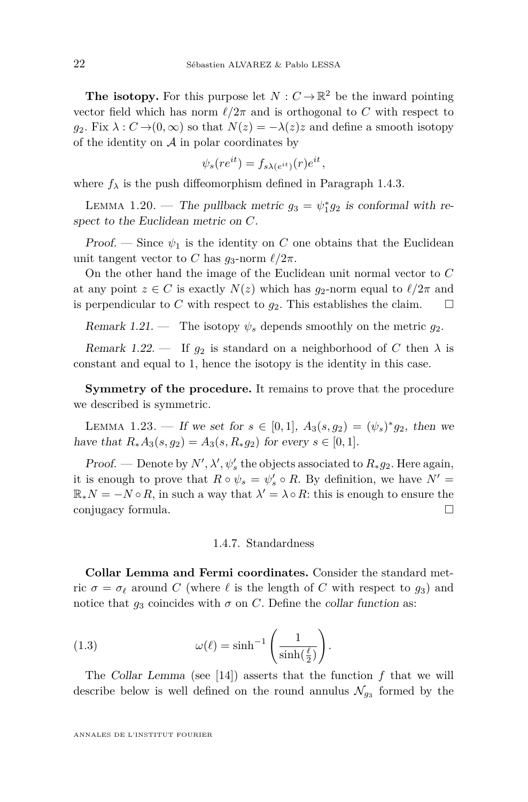**The isotopy.** For this purpose let  $N: C \to \mathbb{R}^2$  be the inward pointing vector field which has norm  $\ell/2\pi$  and is orthogonal to *C* with respect to  $g_2$ . Fix  $\lambda: C \rightarrow (0, \infty)$  so that  $N(z) = -\lambda(z)z$  and define a smooth isotopy of the identity on  $A$  in polar coordinates by

$$
\psi_s(re^{it}) = f_{s\lambda(e^{it})}(r)e^{it}
$$

*,*

where  $f_{\lambda}$  is the push diffeomorphism defined in Paragraph [1.4.3.](#page-17-0)

LEMMA 1.20. — The pullback metric  $g_3 = \psi_1^* g_2$  is conformal with respect to the Euclidean metric on *C*.

Proof. — Since  $\psi_1$  is the identity on *C* one obtains that the Euclidean unit tangent vector to *C* has  $q_3$ -norm  $\ell/2\pi$ .

On the other hand the image of the Euclidean unit normal vector to *C* at any point  $z \in C$  is exactly  $N(z)$  which has  $q_2$ -norm equal to  $\ell/2\pi$  and is perpendicular to *C* with respect to  $g_2$ . This establishes the claim.  $\square$ 

Remark 1.21. — The isotopy  $\psi_s$  depends smoothly on the metric  $g_2$ .

Remark 1.22. — If  $g_2$  is standard on a neighborhood of C then  $\lambda$  is constant and equal to 1, hence the isotopy is the identity in this case.

**Symmetry of the procedure.** It remains to prove that the procedure we described is symmetric.

LEMMA 1.23. — If we set for  $s \in [0,1]$ ,  $A_3(s,g_2) = (\psi_s)^* g_2$ , then we have that  $R_*A_3(s, g_2) = A_3(s, R_*g_2)$  for every *s* ∈ [0, 1].

*Proof.* — Denote by  $N', \lambda', \psi'_s$  the objects associated to  $R_*g_2$ . Here again, it is enough to prove that  $R \circ \psi_s = \psi_s' \circ R$ . By definition, we have  $N' =$  $\mathbb{R}_*N = -N \circ R$ , in such a way that  $\lambda' = \lambda \circ R$ : this is enough to ensure the conjugacy formula.

#### 1.4.7. Standardness

<span id="page-22-0"></span>**Collar Lemma and Fermi coordinates.** Consider the standard metric  $\sigma = \sigma_\ell$  around *C* (where  $\ell$  is the length of *C* with respect to  $g_3$ ) and notice that  $g_3$  coincides with  $\sigma$  on *C*. Define the collar function as:

(1.3) 
$$
\omega(\ell) = \sinh^{-1}\left(\frac{1}{\sinh(\frac{\ell}{2})}\right).
$$

The Collar Lemma (see [\[14\]](#page-50-16)) asserts that the function *f* that we will describe below is well defined on the round annulus  $\mathcal{N}_{g_3}$  formed by the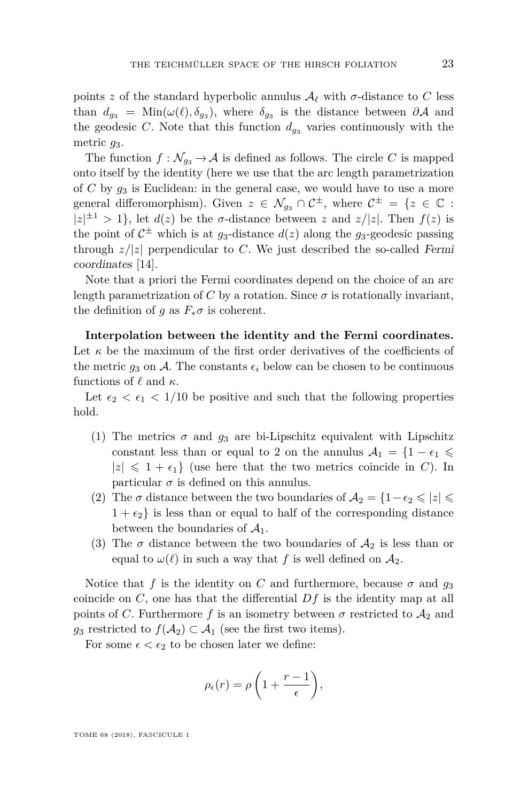points *z* of the standard hyperbolic annulus  $\mathcal{A}_{\ell}$  with  $\sigma$ -distance to *C* less than  $d_{g_3} = \text{Min}(\omega(\ell), \delta_{g_3})$ , where  $\delta_{g_3}$  is the distance between  $\partial A$  and the geodesic *C*. Note that this function  $d_{g_3}$  varies continuously with the metric *g*3.

The function  $f: \mathcal{N}_{q_3} \to \mathcal{A}$  is defined as follows. The circle C is mapped onto itself by the identity (here we use that the arc length parametrization of *C* by *g*<sup>3</sup> is Euclidean: in the general case, we would have to use a more general differomorphism). Given  $z \in \mathcal{N}_{g_3} \cap \mathcal{C}^{\pm}$ , where  $\mathcal{C}^{\pm} = \{z \in \mathbb{C} :$  $|z|^{1/2} > 1$ , let  $d(z)$  be the *σ*-distance between *z* and  $z/|z|$ . Then  $f(z)$  is the point of  $C^{\pm}$  which is at  $g_3$ -distance  $d(z)$  along the  $g_3$ -geodesic passing through  $z/|z|$  perpendicular to *C*. We just described the so-called Fermi coordinates [\[14\]](#page-50-16).

Note that a priori the Fermi coordinates depend on the choice of an arc length parametrization of *C* by a rotation. Since  $\sigma$  is rotationally invariant, the definition of *q* as  $F_*\sigma$  is coherent.

**Interpolation between the identity and the Fermi coordinates.** Let  $\kappa$  be the maximum of the first order derivatives of the coefficients of the metric  $g_3$  on A. The constants  $\epsilon_i$  below can be chosen to be continuous functions of  $\ell$  and  $\kappa$ .

Let  $\epsilon_2 < \epsilon_1 < 1/10$  be positive and such that the following properties hold.

- (1) The metrics  $\sigma$  and  $g_3$  are bi-Lipschitz equivalent with Lipschitz constant less than or equal to 2 on the annulus  $A_1 = \{1 - \epsilon_1 \leq$  $|z| \leq 1 + \epsilon_1$  (use here that the two metrics coincide in *C*). In particular  $\sigma$  is defined on this annulus.
- (2) The  $\sigma$  distance between the two boundaries of  $A_2 = \{1-\epsilon_2 \leqslant |z| \leqslant \epsilon\}$  $1 + \epsilon_2$  is less than or equal to half of the corresponding distance between the boundaries of  $A_1$ .
- (3) The  $\sigma$  distance between the two boundaries of  $\mathcal{A}_2$  is less than or equal to  $\omega(\ell)$  in such a way that f is well defined on  $\mathcal{A}_2$ .

Notice that *f* is the identity on *C* and furthermore, because  $\sigma$  and  $g_3$ coincide on *C*, one has that the differential *Df* is the identity map at all points of *C*. Furthermore *f* is an isometry between  $\sigma$  restricted to  $\mathcal{A}_2$  and *g*<sub>3</sub> restricted to  $f(A_2) \subset A_1$  (see the first two items).

For some  $\epsilon < \epsilon_2$  to be chosen later we define:

$$
\rho_{\epsilon}(r) = \rho \left( 1 + \frac{r-1}{\epsilon} \right),\,
$$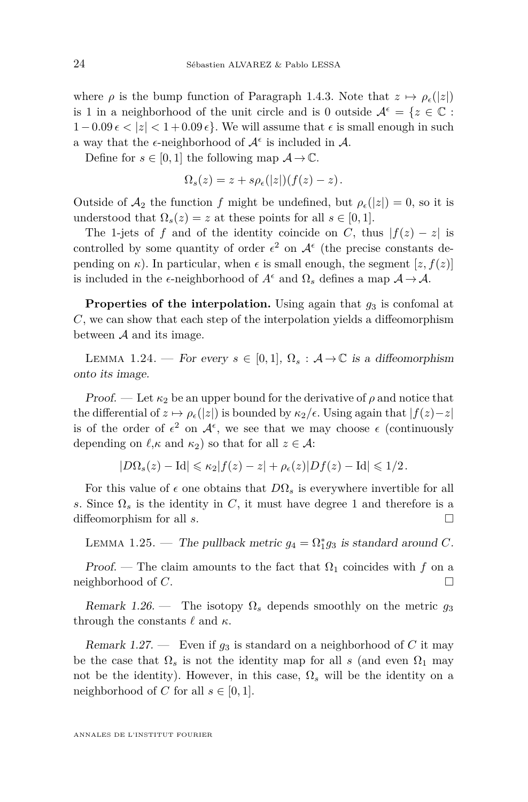where  $\rho$  is the bump function of Paragraph [1.4.3.](#page-17-0) Note that  $z \mapsto \rho_{\epsilon}(|z|)$ is 1 in a neighborhood of the unit circle and is 0 outside  $A^{\epsilon} = \{z \in \mathbb{C} :$  $1-0.09 \epsilon < |z| < 1+0.09 \epsilon$ . We will assume that  $\epsilon$  is small enough in such a way that the  $\epsilon$ -neighborhood of  $\mathcal{A}^{\epsilon}$  is included in  $\mathcal{A}$ .

Define for  $s \in [0,1]$  the following map  $A \to \mathbb{C}$ .

$$
\Omega_s(z) = z + s\rho_\epsilon(|z|)(f(z) - z).
$$

Outside of  $\mathcal{A}_2$  the function f might be undefined, but  $\rho_{\epsilon}(|z|) = 0$ , so it is understood that  $\Omega_s(z) = z$  at these points for all  $s \in [0,1]$ .

The 1-jets of *f* and of the identity coincide on *C*, thus  $|f(z) - z|$  is controlled by some quantity of order  $\epsilon^2$  on  $\mathcal{A}^{\epsilon}$  (the precise constants depending on  $\kappa$ ). In particular, when  $\epsilon$  is small enough, the segment  $[z, f(z)]$ is included in the  $\epsilon$ -neighborhood of  $A^{\epsilon}$  and  $\Omega_s$  defines a map  $A \to A$ .

**Properties of the interpolation.** Using again that  $g_3$  is confomal at *C*, we can show that each step of the interpolation yields a diffeomorphism between  $A$  and its image.

LEMMA 1.24. — For every  $s \in [0,1], \Omega_s : \mathcal{A} \to \mathbb{C}$  is a diffeomorphism onto its image.

Proof. — Let  $\kappa_2$  be an upper bound for the derivative of  $\rho$  and notice that the differential of  $z \mapsto \rho_{\epsilon}(|z|)$  is bounded by  $\kappa_2/\epsilon$ . Using again that  $|f(z)-z|$ is of the order of  $\epsilon^2$  on  $\mathcal{A}^{\epsilon}$ , we see that we may choose  $\epsilon$  (continuously depending on  $\ell, \kappa$  and  $\kappa_2$ ) so that for all  $z \in \mathcal{A}$ :

 $|D\Omega_s(z) - \text{Id}| \leq \kappa_2 |f(z) - z| + \rho_\epsilon(z)|Df(z) - \text{Id}| \leq 1/2.$ 

For this value of  $\epsilon$  one obtains that  $D\Omega_s$  is everywhere invertible for all *s*. Since  $\Omega_s$  is the identity in *C*, it must have degree 1 and therefore is a diffeomorphism for all *s*.

LEMMA 1.25. — The pullback metric  $g_4 = \Omega_1^* g_3$  is standard around *C*.

Proof. — The claim amounts to the fact that  $\Omega_1$  coincides with f on a neighborhood of *C*.

Remark 1.26. — The isotopy  $\Omega_s$  depends smoothly on the metric  $q_3$ through the constants  $\ell$  and  $\kappa$ .

Remark 1.27. — Even if  $g_3$  is standard on a neighborhood of C it may be the case that  $\Omega_s$  is not the identity map for all *s* (and even  $\Omega_1$  may not be the identity). However, in this case,  $\Omega_s$  will be the identity on a neighborhood of *C* for all  $s \in [0, 1]$ .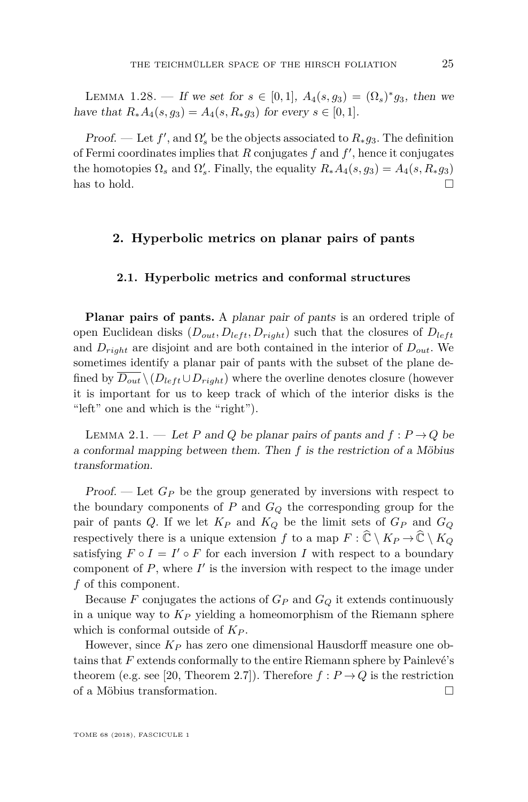LEMMA 1.28. — If we set for  $s \in [0,1]$ ,  $A_4(s,g_3) = (\Omega_s)^* g_3$ , then we have that  $R_*A_4(s, g_3) = A_4(s, R_*g_3)$  for every  $s \in [0, 1]$ .

*Proof.* — Let  $f'$ , and  $\Omega'$ <sub>s</sub> be the objects associated to  $R_* g_3$ . The definition of Fermi coordinates implies that  $R$  conjugates  $f$  and  $f'$ , hence it conjugates the homotopies  $\Omega_s$  and  $\Omega'_s$ . Finally, the equality  $R_*A_4(s, g_3) = A_4(s, R_*g_3)$ has to hold.  $\square$ 

## <span id="page-25-0"></span>**2. Hyperbolic metrics on planar pairs of pants**

#### **2.1. Hyperbolic metrics and conformal structures**

**Planar pairs of pants.** A planar pair of pants is an ordered triple of open Euclidean disks  $(D_{out}, D_{left}, D_{right})$  such that the closures of  $D_{left}$ and  $D_{right}$  are disjoint and are both contained in the interior of  $D_{out}$ . We sometimes identify a planar pair of pants with the subset of the plane defined by  $\overline{D_{out}} \setminus (D_{left} \cup D_{right})$  where the overline denotes closure (however it is important for us to keep track of which of the interior disks is the "left" one and which is the "right").

<span id="page-25-1"></span>LEMMA 2.1. — Let *P* and *Q* be planar pairs of pants and  $f: P \rightarrow Q$  be a conformal mapping between them. Then *f* is the restriction of a Möbius transformation.

Proof. — Let *G<sup>P</sup>* be the group generated by inversions with respect to the boundary components of *P* and *G<sup>Q</sup>* the corresponding group for the pair of pants *Q*. If we let *K<sup>P</sup>* and *K<sup>Q</sup>* be the limit sets of *G<sup>P</sup>* and *G<sup>Q</sup>* respectively there is a unique extension *f* to a map  $F : \widehat{\mathbb{C}} \setminus K_{P} \to \widehat{\mathbb{C}} \setminus K_{Q}$ satisfying  $F \circ I = I' \circ F$  for each inversion *I* with respect to a boundary component of  $P$ , where  $I'$  is the inversion with respect to the image under *f* of this component.

Because  $F$  conjugates the actions of  $G_P$  and  $G_Q$  it extends continuously in a unique way to  $K_P$  yielding a homeomorphism of the Riemann sphere which is conformal outside of *K<sup>P</sup>* .

However, since *K<sup>P</sup>* has zero one dimensional Hausdorff measure one obtains that *F* extends conformally to the entire Riemann sphere by Painlevé's theorem (e.g. see [\[20,](#page-50-17) Theorem 2.7]). Therefore  $f : P \to Q$  is the restriction of a Möbius transformation.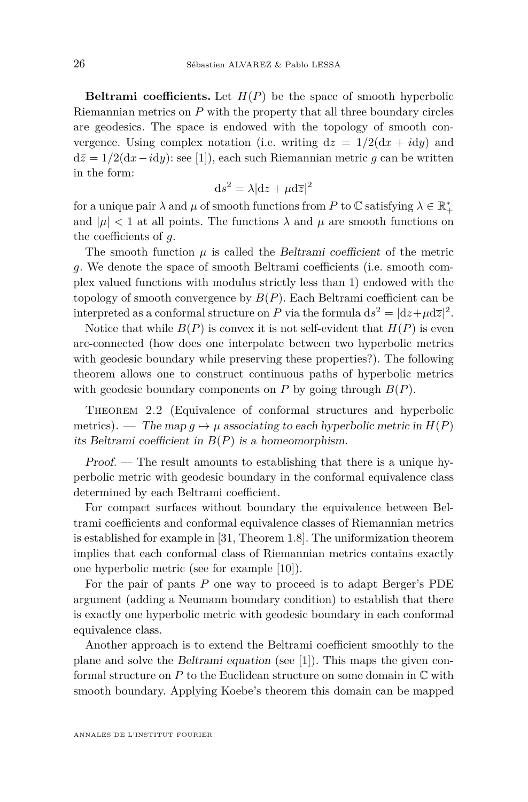**Beltrami coefficients.** Let  $H(P)$  be the space of smooth hyperbolic Riemannian metrics on *P* with the property that all three boundary circles are geodesics. The space is endowed with the topology of smooth convergence. Using complex notation (i.e. writing  $dz = 1/2(dx + i dy)$  and  $d\bar{z} = 1/2(dx - i dy)$ : see [\[1\]](#page-49-4)), each such Riemannian metric *g* can be written in the form:

$$
ds^2 = \lambda |dz + \mu d\overline{z}|^2
$$

for a unique pair  $\lambda$  and  $\mu$  of smooth functions from  $P$  to  $\mathbb C$  satisfying  $\lambda \in \mathbb R_+^*$ and  $|\mu|$  < 1 at all points. The functions  $\lambda$  and  $\mu$  are smooth functions on the coefficients of *g*.

The smooth function  $\mu$  is called the Beltrami coefficient of the metric *g*. We denote the space of smooth Beltrami coefficients (i.e. smooth complex valued functions with modulus strictly less than 1) endowed with the topology of smooth convergence by  $B(P)$ . Each Beltrami coefficient can be interpreted as a conformal structure on *P* via the formula  $ds^2 = |dz + \mu d\overline{z}|^2$ .

Notice that while  $B(P)$  is convex it is not self-evident that  $H(P)$  is even arc-connected (how does one interpolate between two hyperbolic metrics with geodesic boundary while preserving these properties?). The following theorem allows one to construct continuous paths of hyperbolic metrics with geodesic boundary components on  $P$  by going through  $B(P)$ .

<span id="page-26-0"></span>THEOREM 2.2 (Equivalence of conformal structures and hyperbolic metrics). — The map  $q \mapsto \mu$  associating to each hyperbolic metric in  $H(P)$ its Beltrami coefficient in  $B(P)$  is a homeomorphism.

Proof. — The result amounts to establishing that there is a unique hyperbolic metric with geodesic boundary in the conformal equivalence class determined by each Beltrami coefficient.

For compact surfaces without boundary the equivalence between Beltrami coefficients and conformal equivalence classes of Riemannian metrics is established for example in [\[31,](#page-51-11) Theorem 1.8]. The uniformization theorem implies that each conformal class of Riemannian metrics contains exactly one hyperbolic metric (see for example [\[10\]](#page-50-18)).

For the pair of pants *P* one way to proceed is to adapt Berger's PDE argument (adding a Neumann boundary condition) to establish that there is exactly one hyperbolic metric with geodesic boundary in each conformal equivalence class.

Another approach is to extend the Beltrami coefficient smoothly to the plane and solve the Beltrami equation (see [\[1\]](#page-49-4)). This maps the given conformal structure on *P* to the Euclidean structure on some domain in C with smooth boundary. Applying Koebe's theorem this domain can be mapped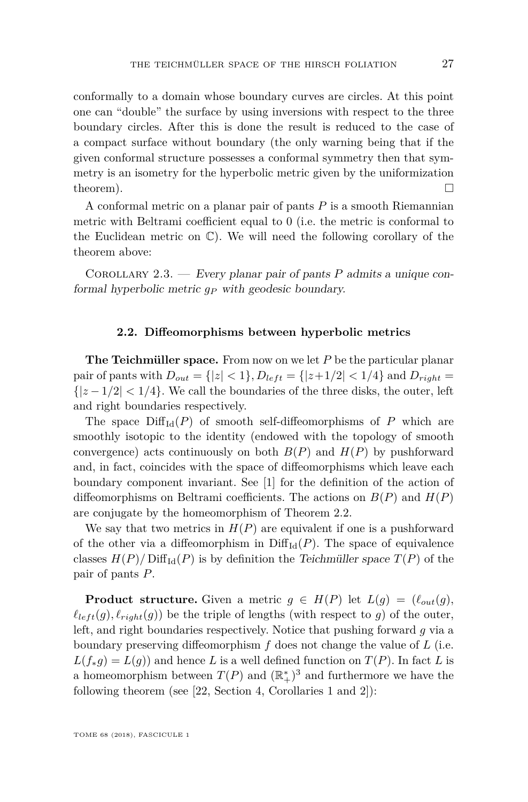conformally to a domain whose boundary curves are circles. At this point one can "double" the surface by using inversions with respect to the three boundary circles. After this is done the result is reduced to the case of a compact surface without boundary (the only warning being that if the given conformal structure possesses a conformal symmetry then that symmetry is an isometry for the hyperbolic metric given by the uniformization theorem).  $\Box$ 

A conformal metric on a planar pair of pants *P* is a smooth Riemannian metric with Beltrami coefficient equal to 0 (i.e. the metric is conformal to the Euclidean metric on C). We will need the following corollary of the theorem above:

<span id="page-27-0"></span>Corollary 2.3. — Every planar pair of pants *P* admits a unique conformal hyperbolic metric *g<sup>P</sup>* with geodesic boundary.

#### **2.2. Diffeomorphisms between hyperbolic metrics**

**The Teichmüller space.** From now on we let *P* be the particular planar pair of pants with  $D_{out} = \{ |z| < 1 \}, D_{left} = \{ |z + 1/2| < 1/4 \}$  and  $D_{right} =$  $\{|z-1/2| < 1/4\}$ . We call the boundaries of the three disks, the outer, left and right boundaries respectively.

The space  $\text{Diff}_{Id}(P)$  of smooth self-diffeomorphisms of P which are smoothly isotopic to the identity (endowed with the topology of smooth convergence) acts continuously on both  $B(P)$  and  $H(P)$  by pushforward and, in fact, coincides with the space of diffeomorphisms which leave each boundary component invariant. See [\[1\]](#page-49-4) for the definition of the action of diffeomorphisms on Beltrami coefficients. The actions on  $B(P)$  and  $H(P)$ are conjugate by the homeomorphism of Theorem [2.2.](#page-26-0)

We say that two metrics in  $H(P)$  are equivalent if one is a pushforward of the other via a diffeomorphism in  $\text{Diff}_{\text{Id}}(P)$ . The space of equivalence classes  $H(P)/\text{Diff}_{\text{Id}}(P)$  is by definition the Teichmüller space  $T(P)$  of the pair of pants *P*.

**Product structure.** Given a metric  $g \in H(P)$  let  $L(g) = (\ell_{out}(g))$ ,  $\ell_{left}(g)$ ,  $\ell_{right}(g)$ ) be the triple of lengths (with respect to *g*) of the outer, left, and right boundaries respectively. Notice that pushing forward *g* via a boundary preserving diffeomorphism *f* does not change the value of *L* (i.e.  $L(f_*g) = L(g)$  and hence *L* is a well defined function on  $T(P)$ . In fact *L* is a homeomorphism between  $T(P)$  and  $(\mathbb{R}^*_+)^3$  and furthermore we have the following theorem (see [\[22,](#page-50-1) Section 4, Corollaries 1 and 2]):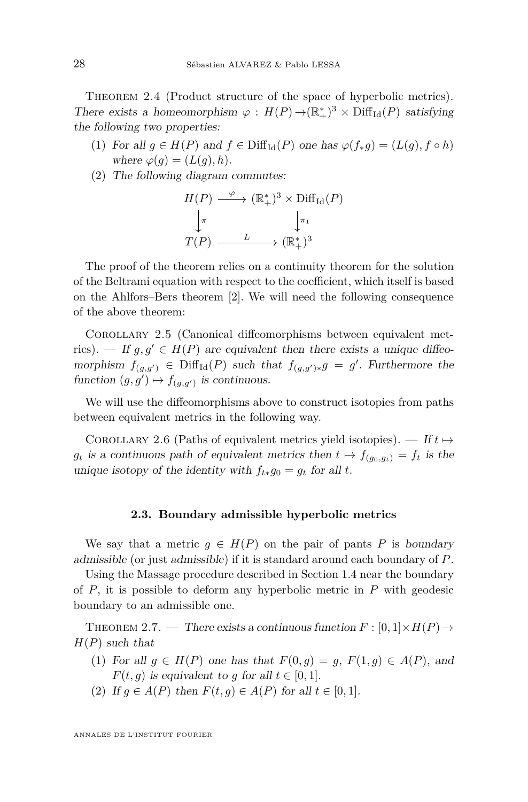<span id="page-28-1"></span>THEOREM 2.4 (Product structure of the space of hyperbolic metrics). There exists a homeomorphism  $\varphi : H(P) \to (\mathbb{R}_+^*)^3 \times \text{Diff}_{\text{Id}}(P)$  satisfying the following two properties:

- (1) For all  $g \in H(P)$  and  $f \in \text{Diff}_{\text{Id}}(P)$  one has  $\varphi(f_*g) = (L(g), f \circ h)$ where  $\varphi(g) = (L(g), h)$ .
- (2) The following diagram commutes:

$$
H(P) \xrightarrow{\varphi} (\mathbb{R}_{+}^{*})^{3} \times \text{Diff}_{\text{Id}}(P)
$$

$$
\downarrow_{\pi} \qquad \qquad \downarrow_{\pi_{1}}
$$

$$
T(P) \xrightarrow{L} (\mathbb{R}_{+}^{*})^{3}
$$

The proof of the theorem relies on a continuity theorem for the solution of the Beltrami equation with respect to the coefficient, which itself is based on the Ahlfors–Bers theorem [\[2\]](#page-49-3). We will need the following consequence of the above theorem:

Corollary 2.5 (Canonical diffeomorphisms between equivalent metrics). — If  $g, g' \in H(P)$  are equivalent then there exists a unique diffeomorphism  $f_{(g,g')} \in \text{Diff}_{\text{Id}}(P)$  such that  $f_{(g,g')}_*g = g'$ . Furthermore the function  $(g, g') \mapsto f_{(g, g')}$  is continuous.

We will use the diffeomorphisms above to construct isotopies from paths between equivalent metrics in the following way.

<span id="page-28-3"></span>COROLLARY 2.6 (Paths of equivalent metrics yield isotopies). — If  $t \mapsto$ *g*<sub>t</sub> is a continuous path of equivalent metrics then  $t \mapsto f_{(q_0, q_t)} = f_t$  is the unique isotopy of the identity with  $f_{t*}g_0 = g_t$  for all  $t$ .

#### **2.3. Boundary admissible hyperbolic metrics**

We say that a metric  $g \in H(P)$  on the pair of pants P is boundary admissible (or just admissible) if it is standard around each boundary of *P*.

Using the Massage procedure described in Section [1.4](#page-15-0) near the boundary of *P*, it is possible to deform any hyperbolic metric in *P* with geodesic boundary to an admissible one.

<span id="page-28-0"></span>THEOREM 2.7. — There exists a continuous function  $F : [0,1] \times H(P) \rightarrow$ *H*(*P*) such that

- (1) For all  $g \in H(P)$  one has that  $F(0,g) = g$ ,  $F(1,g) \in A(P)$ , and  $F(t, q)$  is equivalent to *g* for all  $t \in [0, 1]$ .
- <span id="page-28-2"></span>(2) If  $g \in A(P)$  then  $F(t, g) \in A(P)$  for all  $t \in [0, 1]$ .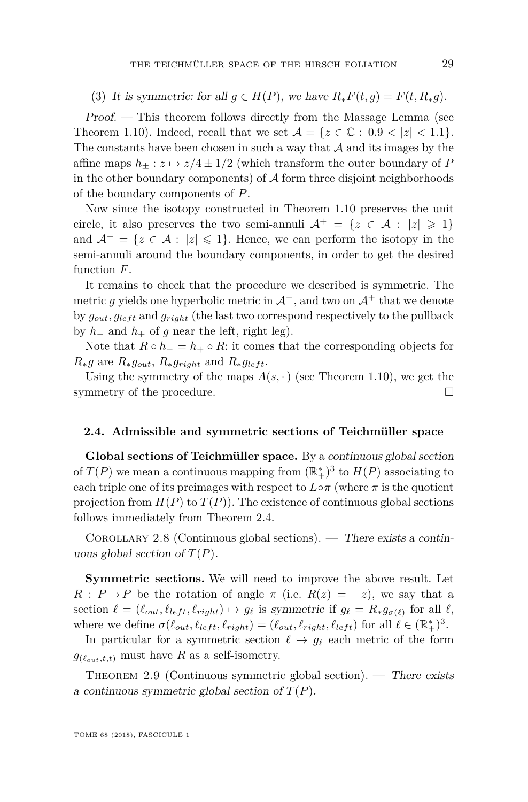(3) It is symmetric: for all  $g \in H(P)$ , we have  $R_*F(t,g) = F(t, R_*g)$ .

Proof. — This theorem follows directly from the Massage Lemma (see Theorem [1.10\)](#page-16-3). Indeed, recall that we set  $A = \{z \in \mathbb{C} : 0.9 < |z| < 1.1\}$ . The constants have been chosen in such a way that  $A$  and its images by the affine maps  $h_+ : z \mapsto z/4 \pm 1/2$  (which transform the outer boundary of *P* in the other boundary components) of  $A$  form three disjoint neighborhoods of the boundary components of *P*.

Now since the isotopy constructed in Theorem [1.10](#page-16-3) preserves the unit circle, it also preserves the two semi-annuli  $A^+ = \{z \in A : |z| \geq 1\}$ and  $A^- = \{z \in A : |z| \leq 1\}$ . Hence, we can perform the isotopy in the semi-annuli around the boundary components, in order to get the desired function *F*.

It remains to check that the procedure we described is symmetric. The metric q yields one hyperbolic metric in  $\mathcal{A}^-$ , and two on  $\mathcal{A}^+$  that we denote by  $g_{out}$ ,  $g_{left}$  and  $g_{right}$  (the last two correspond respectively to the pullback by  $h$ <sup>−</sup> and  $h$ <sup>+</sup> of *g* near the left, right leg).

Note that  $R \circ h = h_+ \circ R$ : it comes that the corresponding objects for  $R_*g$  are  $R_*g_{out}$ ,  $R_*g_{right}$  and  $R_*g_{left}$ .

Using the symmetry of the maps  $A(s, \cdot)$  (see Theorem [1.10\)](#page-16-3), we get the symmetry of the procedure.

#### **2.4. Admissible and symmetric sections of Teichmüller space**

**Global sections of Teichmüller space.** By a continuous global section of  $T(P)$  we mean a continuous mapping from  $(\mathbb{R}^*_+)^3$  to  $H(P)$  associating to each triple one of its preimages with respect to  $L \circ \pi$  (where  $\pi$  is the quotient projection from  $H(P)$  to  $T(P)$ ). The existence of continuous global sections follows immediately from Theorem [2.4.](#page-28-1)

COROLLARY 2.8 (Continuous global sections). — There exists a continuous global section of  $T(P)$ .

**Symmetric sections.** We will need to improve the above result. Let  $R : P \to P$  be the rotation of angle  $\pi$  (i.e.  $R(z) = -z$ ), we say that a section  $\ell = (\ell_{out}, \ell_{left}, \ell_{right}) \mapsto g_{\ell}$  is symmetric if  $g_{\ell} = R_* g_{\sigma(\ell)}$  for all  $\ell$ , where we define  $\sigma(\ell_{out}, \ell_{left}, \ell_{right}) = (\ell_{out}, \ell_{right}, \ell_{left})$  for all  $\ell \in (\mathbb{R}_+^*)^3$ .

In particular for a symmetric section  $\ell \mapsto g_{\ell}$  each metric of the form  $g_{(\ell_{out},t,t)}$  must have *R* as a self-isometry.

THEOREM 2.9 (Continuous symmetric global section). — There exists a continuous symmetric global section of  $T(P)$ .

TOME 68 (2018), FASCICULE 1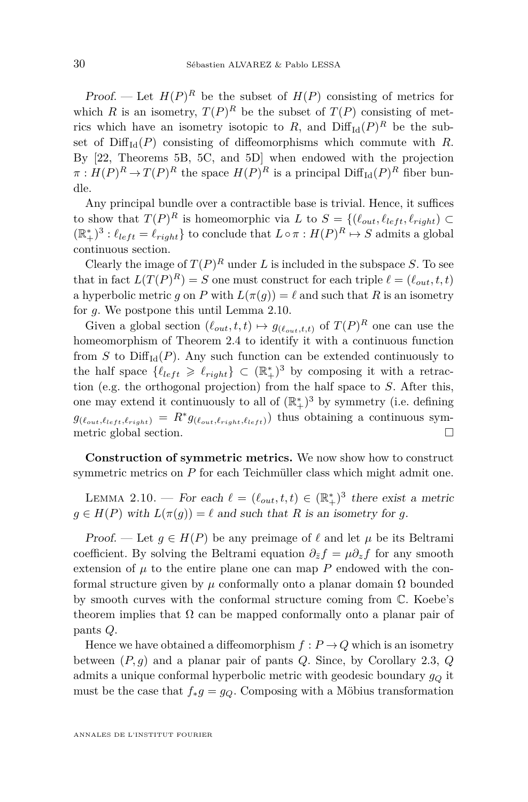Proof. — Let  $H(P)^R$  be the subset of  $H(P)$  consisting of metrics for which *R* is an isometry,  $T(P)^R$  be the subset of  $T(P)$  consisting of metrics which have an isometry isotopic to  $R$ , and  $\text{Diff}_{\text{Id}}(P)^R$  be the subset of  $\text{Diff}_{\text{Id}}(P)$  consisting of diffeomorphisms which commute with *R*. By [\[22,](#page-50-1) Theorems 5B, 5C, and 5D] when endowed with the projection  $\pi$  :  $H(P)^R \to T(P)^R$  the space  $H(P)^R$  is a principal  $\text{Diff}_{\text{Id}}(P)^R$  fiber bundle.

Any principal bundle over a contractible base is trivial. Hence, it suffices to show that  $T(P)^R$  is homeomorphic via *L* to  $S = \{(\ell_{out}, \ell_{left}, \ell_{right}) \subset$  $(\mathbb{R}^*_+)^3 : \ell_{left} = \ell_{right}$  to conclude that  $L \circ \pi : H(P)^R \mapsto S$  admits a global continuous section.

Clearly the image of  $T(P)^R$  under *L* is included in the subspace *S*. To see that in fact  $L(T(P)^R) = S$  one must construct for each triple  $\ell = (\ell_{out}, t, t)$ a hyperbolic metric *q* on *P* with  $L(\pi(q)) = \ell$  and such that *R* is an isometry for *g*. We postpone this until Lemma [2.10.](#page-30-0)

Given a global section  $(\ell_{out}, t, t) \mapsto g_{(\ell_{out}, t, t)}$  of  $T(P)^R$  one can use the homeomorphism of Theorem [2.4](#page-28-1) to identify it with a continuous function from *S* to  $Diff<sub>Id</sub>(P)$ . Any such function can be extended continuously to the half space  $\{\ell_{left} \geq \ell_{right}\} \subset (\mathbb{R}_{+}^{*})^3$  by composing it with a retraction (e.g. the orthogonal projection) from the half space to *S*. After this, one may extend it continuously to all of  $(\mathbb{R}^*_+)^3$  by symmetry (i.e. defining  $g_{(\ell_{out}, \ell_{left}, \ell_{right})} = R^* g_{(\ell_{out}, \ell_{right}, \ell_{left})}$  thus obtaining a continuous symmetric global section.

**Construction of symmetric metrics.** We now show how to construct symmetric metrics on *P* for each Teichmüller class which might admit one.

<span id="page-30-0"></span>LEMMA 2.10. — For each  $\ell = (\ell_{out}, t, t) \in (\mathbb{R}^*_+)^3$  there exist a metric  $g \in H(P)$  with  $L(\pi(g)) = \ell$  and such that *R* is an isometry for *g*.

Proof. — Let  $q \in H(P)$  be any preimage of  $\ell$  and let  $\mu$  be its Beltrami coefficient. By solving the Beltrami equation  $\partial_{\bar{z}} f = \mu \partial_z f$  for any smooth extension of  $\mu$  to the entire plane one can map  $P$  endowed with the conformal structure given by *µ* conformally onto a planar domain Ω bounded by smooth curves with the conformal structure coming from C. Koebe's theorem implies that  $\Omega$  can be mapped conformally onto a planar pair of pants *Q*.

Hence we have obtained a diffeomorphism  $f : P \to Q$  which is an isometry between (*P, g*) and a planar pair of pants *Q*. Since, by Corollary [2.3,](#page-27-0) *Q* admits a unique conformal hyperbolic metric with geodesic boundary *g<sup>Q</sup>* it must be the case that  $f_*g = g_Q$ . Composing with a Möbius transformation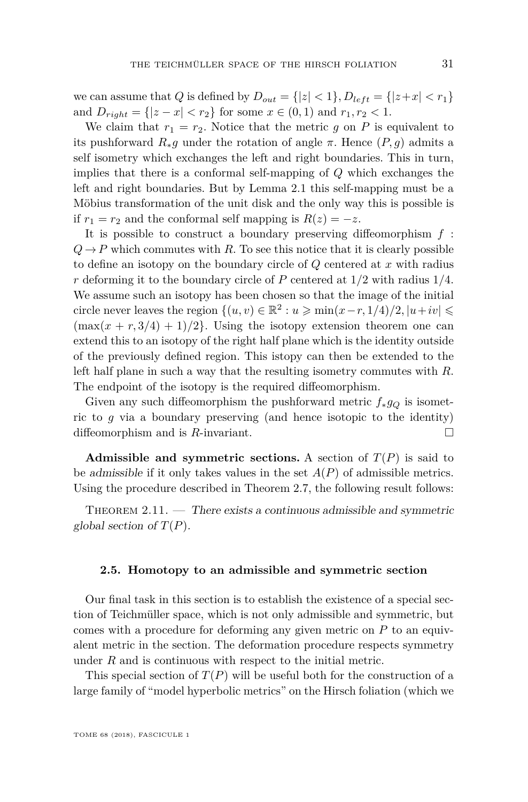we can assume that *Q* is defined by  $D_{out} = \{ |z| < 1 \}$ ,  $D_{left} = \{ |z + x| < r_1 \}$ and  $D_{right} = \{ |z - x| < r_2 \}$  for some  $x \in (0, 1)$  and  $r_1, r_2 < 1$ .

We claim that  $r_1 = r_2$ . Notice that the metric *g* on *P* is equivalent to its pushforward  $R_*q$  under the rotation of angle  $\pi$ . Hence  $(P, q)$  admits a self isometry which exchanges the left and right boundaries. This in turn, implies that there is a conformal self-mapping of *Q* which exchanges the left and right boundaries. But by Lemma [2.1](#page-25-1) this self-mapping must be a Möbius transformation of the unit disk and the only way this is possible is if  $r_1 = r_2$  and the conformal self mapping is  $R(z) = -z$ .

It is possible to construct a boundary preserving diffeomorphism *f* :  $Q \rightarrow P$  which commutes with *R*. To see this notice that it is clearly possible to define an isotopy on the boundary circle of *Q* centered at *x* with radius *r* deforming it to the boundary circle of *P* centered at 1*/*2 with radius 1*/*4. We assume such an isotopy has been chosen so that the image of the initial circle never leaves the region  $\{(u, v) \in \mathbb{R}^2 : u \ge \min(x - r, 1/4)/2, |u + iv| \le$  $(\max(x + r, 3/4) + 1)/2$ . Using the isotopy extension theorem one can extend this to an isotopy of the right half plane which is the identity outside of the previously defined region. This istopy can then be extended to the left half plane in such a way that the resulting isometry commutes with *R*. The endpoint of the isotopy is the required diffeomorphism.

Given any such diffeomorphism the pushforward metric  $f_*g_Q$  is isometric to *g* via a boundary preserving (and hence isotopic to the identity) diffeomorphism and is *R*-invariant.

**Admissible and symmetric sections.** A section of  $T(P)$  is said to be admissible if it only takes values in the set *A*(*P*) of admissible metrics. Using the procedure described in Theorem [2.7,](#page-28-0) the following result follows:

<span id="page-31-0"></span>THEOREM  $2.11.$  — There exists a continuous admissible and symmetric global section of  $T(P)$ .

#### **2.5. Homotopy to an admissible and symmetric section**

Our final task in this section is to establish the existence of a special section of Teichmüller space, which is not only admissible and symmetric, but comes with a procedure for deforming any given metric on *P* to an equivalent metric in the section. The deformation procedure respects symmetry under *R* and is continuous with respect to the initial metric.

This special section of  $T(P)$  will be useful both for the construction of a large family of "model hyperbolic metrics" on the Hirsch foliation (which we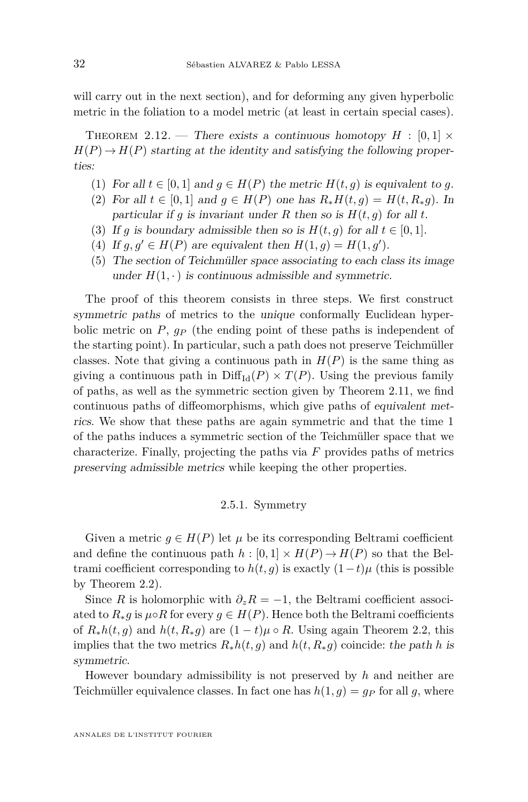will carry out in the next section), and for deforming any given hyperbolic metric in the foliation to a model metric (at least in certain special cases).

<span id="page-32-0"></span>THEOREM 2.12. — There exists a continuous homotopy  $H : [0,1] \times$  $H(P) \rightarrow H(P)$  starting at the identity and satisfying the following properties:

- (1) For all  $t \in [0,1]$  and  $g \in H(P)$  the metric  $H(t,g)$  is equivalent to g.
- (2) For all  $t \in [0,1]$  and  $g \in H(P)$  one has  $R_*H(t,g) = H(t, R_*g)$ . In particular if *q* is invariant under *R* then so is  $H(t, q)$  for all *t*.
- (3) If *g* is boundary admissible then so is  $H(t, g)$  for all  $t \in [0, 1]$ .
- (4) If  $g, g' \in H(P)$  are equivalent then  $H(1, g) = H(1, g')$ .
- (5) The section of Teichmüller space associating to each class its image under  $H(1, \cdot)$  is continuous admissible and symmetric.

The proof of this theorem consists in three steps. We first construct symmetric paths of metrics to the unique conformally Euclidean hyperbolic metric on  $P$ ,  $q_P$  (the ending point of these paths is independent of the starting point). In particular, such a path does not preserve Teichmüller classes. Note that giving a continuous path in  $H(P)$  is the same thing as giving a continuous path in  $\text{Diff}_{\text{Id}}(P) \times T(P)$ . Using the previous family of paths, as well as the symmetric section given by Theorem [2.11,](#page-31-0) we find continuous paths of diffeomorphisms, which give paths of equivalent metrics. We show that these paths are again symmetric and that the time 1 of the paths induces a symmetric section of the Teichmüller space that we characterize. Finally, projecting the paths via *F* provides paths of metrics preserving admissible metrics while keeping the other properties.

#### 2.5.1. Symmetry

Given a metric  $q \in H(P)$  let  $\mu$  be its corresponding Beltrami coefficient and define the continuous path  $h : [0,1] \times H(P) \to H(P)$  so that the Beltrami coefficient corresponding to  $h(t, g)$  is exactly  $(1-t)\mu$  (this is possible by Theorem [2.2\)](#page-26-0).

Since *R* is holomorphic with  $\partial_z R = -1$ , the Beltrami coefficient associated to  $R_* g$  is  $\mu \circ R$  for every  $g \in H(P)$ . Hence both the Beltrami coefficients of  $R_*h(t,g)$  and  $h(t, R_*g)$  are  $(1-t)\mu \circ R$ . Using again Theorem [2.2,](#page-26-0) this implies that the two metrics  $R_*h(t, g)$  and  $h(t, R_*g)$  coincide: the path *h* is symmetric.

However boundary admissibility is not preserved by *h* and neither are Teichmüller equivalence classes. In fact one has  $h(1,g) = g_P$  for all g, where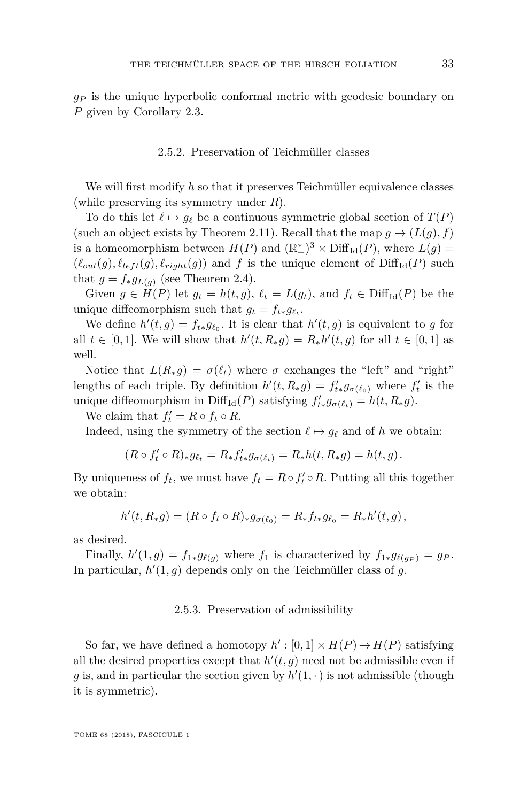*g<sup>P</sup>* is the unique hyperbolic conformal metric with geodesic boundary on *P* given by Corollary [2.3.](#page-27-0)

#### 2.5.2. Preservation of Teichmüller classes

We will first modify *h* so that it preserves Teichmüller equivalence classes (while preserving its symmetry under *R*).

To do this let  $\ell \mapsto g_{\ell}$  be a continuous symmetric global section of  $T(P)$ (such an object exists by Theorem [2.11\)](#page-31-0). Recall that the map  $g \mapsto (L(g), f)$ is a homeomorphism between  $H(P)$  and  $(\mathbb{R}^*_+)^3 \times \text{Diff}_{\text{Id}}(P)$ , where  $L(g)$  =  $(\ell_{out}(g), \ell_{left}(g), \ell_{right}(g))$  and f is the unique element of  $\text{Diff}_{Id}(P)$  such that  $g = f_* g_{L(q)}$  (see Theorem [2.4\)](#page-28-1).

Given  $g \in H(P)$  let  $g_t = h(t, g)$ ,  $\ell_t = L(g_t)$ , and  $f_t \in \text{Diff}_{\text{Id}}(P)$  be the unique diffeomorphism such that  $g_t = f_{t*} g_{\ell_t}$ .

We define  $h'(t, g) = f_{t*}g_{\ell_0}$ . It is clear that  $h'(t, g)$  is equivalent to *g* for all  $t \in [0, 1]$ . We will show that  $h'(t, R_*g) = R_*h'(t, g)$  for all  $t \in [0, 1]$  as well.

Notice that  $L(R_*g) = \sigma(\ell_t)$  where  $\sigma$  exchanges the "left" and "right" lengths of each triple. By definition  $h'(t, R_*g) = f'_{t*}g_{\sigma(\ell_0)}$  where  $f'_t$  is the unique diffeomorphism in Diff<sub>Id</sub>(*P*) satisfying  $f'_{t*}g_{\sigma(\ell_t)} = h(t, R_*g)$ .

We claim that  $f'_t = R \circ f_t \circ R$ .

Indeed, using the symmetry of the section  $\ell \mapsto q_\ell$  and of *h* we obtain:

$$
(R \circ f'_t \circ R)_*g_{\ell_t} = R_*f'_{t*}g_{\sigma(\ell_t)} = R_*h(t,R_*g) = h(t,g).
$$

By uniqueness of  $f_t$ , we must have  $f_t = R \circ f'_t \circ R$ . Putting all this together we obtain:

$$
h'(t, R_*g) = (R \circ f_t \circ R)_*g_{\sigma(\ell_0)} = R_*f_{t*}g_{\ell_0} = R_*h'(t, g),
$$

as desired.

Finally,  $h'(1,g) = f_{1*}g_{\ell(g)}$  where  $f_1$  is characterized by  $f_{1*}g_{\ell(g_P)} = g_P$ . In particular,  $h'(1, g)$  depends only on the Teichmüller class of  $g$ .

#### 2.5.3. Preservation of admissibility

So far, we have defined a homotopy  $h' : [0,1] \times H(P) \to H(P)$  satisfying all the desired properties except that  $h'(t, g)$  need not be admissible even if g is, and in particular the section given by  $h'(1, \cdot)$  is not admissible (though it is symmetric).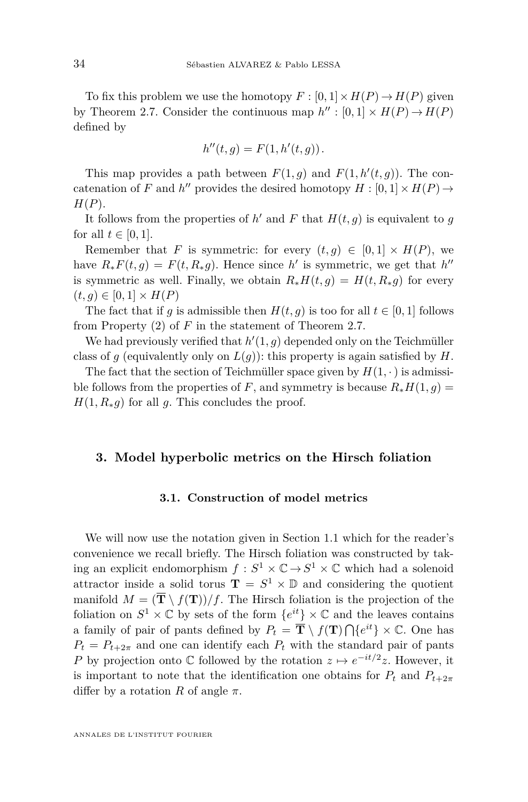To fix this problem we use the homotopy  $F : [0,1] \times H(P) \to H(P)$  given by Theorem [2.7.](#page-28-0) Consider the continuous map  $h' : [0,1] \times H(P) \to H(P)$ defined by

$$
h''(t,g) = F(1,h'(t,g)).
$$

This map provides a path between  $F(1, g)$  and  $F(1, h'(t, g))$ . The concatenation of *F* and *h*<sup>*n*</sup> provides the desired homotopy *H* :  $[0, 1] \times H(P) \rightarrow$ *H*(*P*).

It follows from the properties of  $h'$  and  $F$  that  $H(t, g)$  is equivalent to  $g$ for all  $t \in [0, 1]$ .

Remember that *F* is symmetric: for every  $(t, g) \in [0, 1] \times H(P)$ , we have  $R_*F(t,g) = F(t, R_*g)$ . Hence since *h*' is symmetric, we get that *h*<sup>"</sup> is symmetric as well. Finally, we obtain  $R_*H(t,g) = H(t, R_*g)$  for every  $(t, g) \in [0, 1] \times H(P)$ 

The fact that if *q* is admissible then  $H(t, q)$  is too for all  $t \in [0, 1]$  follows from Property [\(2\)](#page-28-2) of *F* in the statement of Theorem [2.7.](#page-28-0)

We had previously verified that  $h'(1, g)$  depended only on the Teichmüller class of  $g$  (equivalently only on  $L(g)$ ): this property is again satisfied by  $H$ .

The fact that the section of Teichmüller space given by  $H(1, \cdot)$  is admissible follows from the properties of *F*, and symmetry is because  $R_*H(1,g)$  =  $H(1, R_*g)$  for all g. This concludes the proof.

#### <span id="page-34-1"></span><span id="page-34-0"></span>**3. Model hyperbolic metrics on the Hirsch foliation**

#### **3.1. Construction of model metrics**

We will now use the notation given in Section [1.1](#page-7-1) which for the reader's convenience we recall briefly. The Hirsch foliation was constructed by taking an explicit endomorphism  $f: S^1 \times \mathbb{C} \to S^1 \times \mathbb{C}$  which had a solenoid attractor inside a solid torus  $\mathbf{T} = S^1 \times \mathbb{D}$  and considering the quotient manifold  $M = (\overline{T} \setminus f(\mathbf{T}))/f$ . The Hirsch foliation is the projection of the foliation on  $S^1 \times \mathbb{C}$  by sets of the form  $\{e^{it}\}\times \mathbb{C}$  and the leaves contains a family of pair of pants defined by  $P_t = \overline{\mathbf{T}} \setminus f(\mathbf{T}) \bigcap \{e^{it}\} \times \mathbb{C}$ . One has  $P_t = P_{t+2\pi}$  and one can identify each  $P_t$  with the standard pair of pants *P* by projection onto  $\mathbb C$  followed by the rotation  $z \mapsto e^{-it/2}z$ . However, it is important to note that the identification one obtains for  $P_t$  and  $P_{t+2\pi}$ differ by a rotation *R* of angle  $\pi$ .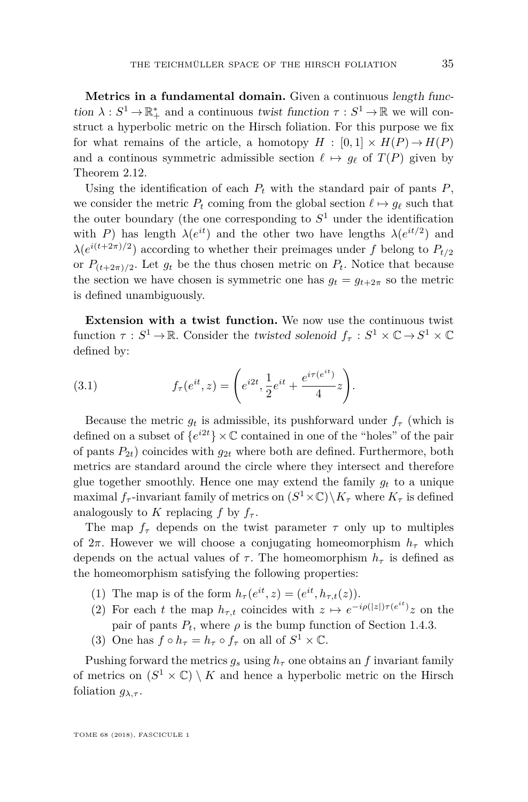**Metrics in a fundamental domain.** Given a continuous length function  $\lambda: S^1 \to \mathbb{R}_+^*$  and a continuous twist function  $\tau: S^1 \to \mathbb{R}$  we will construct a hyperbolic metric on the Hirsch foliation. For this purpose we fix for what remains of the article, a homotopy  $H : [0,1] \times H(P) \rightarrow H(P)$ and a continous symmetric admissible section  $\ell \mapsto g_{\ell}$  of  $T(P)$  given by Theorem [2.12.](#page-32-0)

Using the identification of each  $P_t$  with the standard pair of pants  $P$ , we consider the metric  $P_t$  coming from the global section  $\ell \mapsto q_\ell$  such that the outer boundary (the one corresponding to  $S<sup>1</sup>$  under the identification with *P*) has length  $\lambda(e^{it})$  and the other two have lengths  $\lambda(e^{it/2})$  and  $\lambda(e^{i(t+2\pi)/2})$  according to whether their preimages under *f* belong to  $P_{t/2}$ or  $P_{(t+2\pi)/2}$ . Let  $g_t$  be the thus chosen metric on  $P_t$ . Notice that because the section we have chosen is symmetric one has  $q_t = q_{t+2\pi}$  so the metric is defined unambiguously.

**Extension with a twist function.** We now use the continuous twist function  $\tau : S^1 \to \mathbb{R}$ . Consider the twisted solenoid  $f_{\tau} : S^1 \times \mathbb{C} \to S^1 \times \mathbb{C}$ defined by:

(3.1) 
$$
f_{\tau}(e^{it}, z) = \left(e^{i2t}, \frac{1}{2}e^{it} + \frac{e^{i\tau(e^{it})}}{4}z\right).
$$

Because the metric  $g_t$  is admissible, its pushforward under  $f_\tau$  (which is defined on a subset of  $\{e^{i2t}\}\times\mathbb{C}$  contained in one of the "holes" of the pair of pants  $P_{2t}$ ) coincides with  $q_{2t}$  where both are defined. Furthermore, both metrics are standard around the circle where they intersect and therefore glue together smoothly. Hence one may extend the family  $g_t$  to a unique maximal  $f_{\tau}$ -invariant family of metrics on  $(S^1 \times \mathbb{C}) \backslash K_{\tau}$  where  $K_{\tau}$  is defined analogously to *K* replacing *f* by  $f_\tau$ .

The map  $f_{\tau}$  depends on the twist parameter  $\tau$  only up to multiples of  $2\pi$ . However we will choose a conjugating homeomorphism  $h_{\tau}$  which depends on the actual values of  $\tau$ . The homeomorphism  $h_{\tau}$  is defined as the homeomorphism satisfying the following properties:

- (1) The map is of the form  $h_{\tau}(e^{it}, z) = (e^{it}, h_{\tau,t}(z)).$
- (2) For each *t* the map  $h_{\tau,t}$  coincides with  $z \mapsto e^{-i\rho(|z|)\tau(e^{it})}z$  on the pair of pants  $P_t$ , where  $\rho$  is the bump function of Section [1.4.3.](#page-17-0)
- (3) One has  $f \circ h_{\tau} = h_{\tau} \circ f_{\tau}$  on all of  $S^1 \times \mathbb{C}$ .

Pushing forward the metrics  $g_s$  using  $h_\tau$  one obtains an f invariant family of metrics on  $(S^1 \times \mathbb{C}) \setminus K$  and hence a hyperbolic metric on the Hirsch foliation  $g_{\lambda,\tau}$ .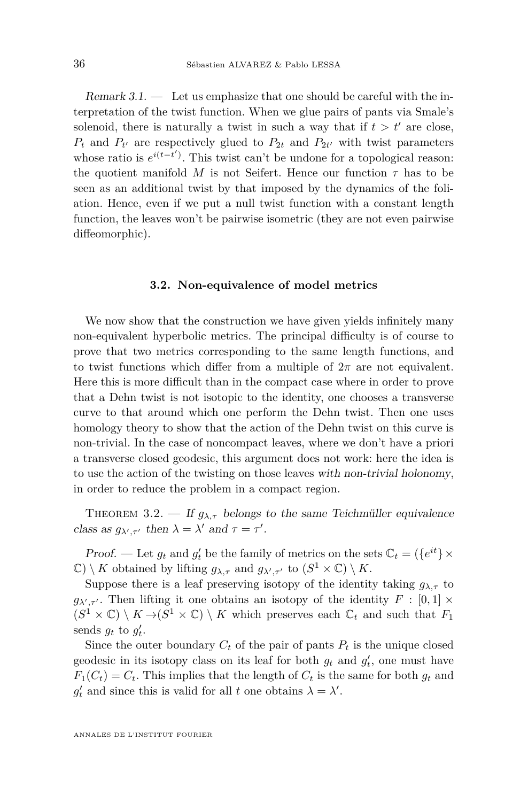Remark  $3.1$ .  $-$  Let us emphasize that one should be careful with the interpretation of the twist function. When we glue pairs of pants via Smale's solenoid, there is naturally a twist in such a way that if  $t > t'$  are close,  $P_t$  and  $P_{t'}$  are respectively glued to  $P_{2t}$  and  $P_{2t'}$  with twist parameters whose ratio is  $e^{i(t-t')}$ . This twist can't be undone for a topological reason: the quotient manifold *M* is not Seifert. Hence our function  $\tau$  has to be seen as an additional twist by that imposed by the dynamics of the foliation. Hence, even if we put a null twist function with a constant length function, the leaves won't be pairwise isometric (they are not even pairwise diffeomorphic).

#### **3.2. Non-equivalence of model metrics**

We now show that the construction we have given yields infinitely many non-equivalent hyperbolic metrics. The principal difficulty is of course to prove that two metrics corresponding to the same length functions, and to twist functions which differ from a multiple of  $2\pi$  are not equivalent. Here this is more difficult than in the compact case where in order to prove that a Dehn twist is not isotopic to the identity, one chooses a transverse curve to that around which one perform the Dehn twist. Then one uses homology theory to show that the action of the Dehn twist on this curve is non-trivial. In the case of noncompact leaves, where we don't have a priori a transverse closed geodesic, this argument does not work: here the idea is to use the action of the twisting on those leaves with non-trivial holonomy, in order to reduce the problem in a compact region.

<span id="page-36-0"></span>THEOREM 3.2. — If  $g_{\lambda,\tau}$  belongs to the same Teichmüller equivalence class as  $g_{\lambda',\tau'}$  then  $\lambda = \lambda'$  and  $\tau = \tau'$ .

*Proof.* — Let  $g_t$  and  $g'_t$  be the family of metrics on the sets  $\mathbb{C}_t = (\{e^{it}\}\times\)$  $\mathbb{C}$ ) \ *K* obtained by lifting  $g_{\lambda,\tau}$  and  $g_{\lambda',\tau'}$  to  $(S^1 \times \mathbb{C}) \setminus K$ .

Suppose there is a leaf preserving isotopy of the identity taking  $g_{\lambda,\tau}$  to  $g_{\lambda',\tau'}$ . Then lifting it one obtains an isotopy of the identity  $F : [0,1] \times$  $(S^1 \times \mathbb{C}) \setminus K \rightarrow (S^1 \times \mathbb{C}) \setminus K$  which preserves each  $\mathbb{C}_t$  and such that  $F_1$ sends  $g_t$  to  $g'_t$ .

Since the outer boundary  $C_t$  of the pair of pants  $P_t$  is the unique closed geodesic in its isotopy class on its leaf for both  $g_t$  and  $g'_t$ , one must have  $F_1(C_t) = C_t$ . This implies that the length of  $C_t$  is the same for both  $g_t$  and  $g'_t$  and since this is valid for all *t* one obtains  $\lambda = \lambda'$ .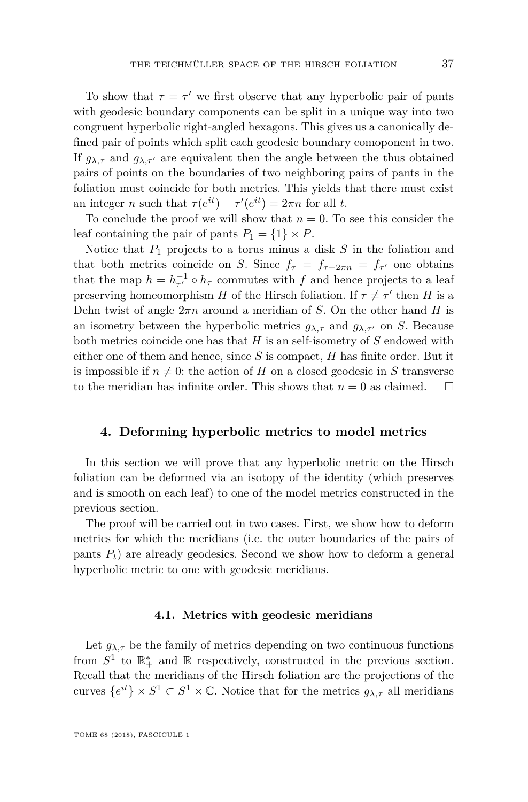To show that  $\tau = \tau'$  we first observe that any hyperbolic pair of pants with geodesic boundary components can be split in a unique way into two congruent hyperbolic right-angled hexagons. This gives us a canonically defined pair of points which split each geodesic boundary comoponent in two. If  $g_{\lambda,\tau}$  and  $g_{\lambda,\tau'}$  are equivalent then the angle between the thus obtained pairs of points on the boundaries of two neighboring pairs of pants in the foliation must coincide for both metrics. This yields that there must exist an integer *n* such that  $\tau(e^{it}) - \tau'(e^{it}) = 2\pi n$  for all *t*.

To conclude the proof we will show that  $n = 0$ . To see this consider the leaf containing the pair of pants  $P_1 = \{1\} \times P$ .

Notice that *P*<sup>1</sup> projects to a torus minus a disk *S* in the foliation and that both metrics coincide on *S*. Since  $f_{\tau} = f_{\tau+2\pi n} = f_{\tau'}$  one obtains that the map  $h = h_{\tau'}^{-1} \circ h_{\tau}$  commutes with *f* and hence projects to a leaf preserving homeomorphism *H* of the Hirsch foliation. If  $\tau \neq \tau'$  then *H* is a Dehn twist of angle  $2\pi n$  around a meridian of *S*. On the other hand *H* is an isometry between the hyperbolic metrics  $g_{\lambda,\tau}$  and  $g_{\lambda,\tau}$  on *S*. Because both metrics coincide one has that *H* is an self-isometry of *S* endowed with either one of them and hence, since *S* is compact, *H* has finite order. But it is impossible if  $n \neq 0$ : the action of *H* on a closed geodesic in *S* transverse to the meridian has infinite order. This shows that  $n=0$  as claimed.  $\square$ 

#### <span id="page-37-0"></span>**4. Deforming hyperbolic metrics to model metrics**

In this section we will prove that any hyperbolic metric on the Hirsch foliation can be deformed via an isotopy of the identity (which preserves and is smooth on each leaf) to one of the model metrics constructed in the previous section.

The proof will be carried out in two cases. First, we show how to deform metrics for which the meridians (i.e. the outer boundaries of the pairs of pants  $P_t$ ) are already geodesics. Second we show how to deform a general hyperbolic metric to one with geodesic meridians.

#### **4.1. Metrics with geodesic meridians**

Let  $g_{\lambda,\tau}$  be the family of metrics depending on two continuous functions from  $S^1$  to  $\mathbb{R}_+^*$  and  $\mathbb R$  respectively, constructed in the previous section. Recall that the meridians of the Hirsch foliation are the projections of the curves  ${e^{it}} \times S^1 \subset S^1 \times \mathbb{C}$ . Notice that for the metrics  $g_{\lambda,\tau}$  all meridians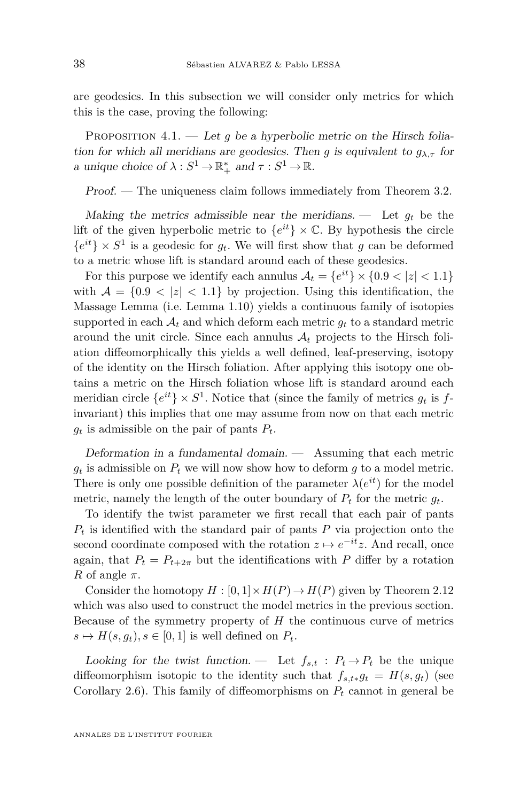are geodesics. In this subsection we will consider only metrics for which this is the case, proving the following:

<span id="page-38-0"></span>PROPOSITION  $4.1.$  — Let q be a hyperbolic metric on the Hirsch foliation for which all meridians are geodesics. Then *g* is equivalent to  $g_{\lambda,\tau}$  for a unique choice of  $\lambda : S^1 \to \mathbb{R}_+^*$  and  $\tau : S^1 \to \mathbb{R}$ .

Proof. — The uniqueness claim follows immediately from Theorem [3.2.](#page-36-0)

Making the metrics admissible near the meridians.  $\qquad$  Let  $g_t$  be the lift of the given hyperbolic metric to  ${e^{it}} \times \mathbb{C}$ . By hypothesis the circle  ${e^{it}} \times S^1$  is a geodesic for  $g_t$ . We will first show that *g* can be deformed to a metric whose lift is standard around each of these geodesics.

For this purpose we identify each annulus  $A_t = \{e^{it}\} \times \{0.9 < |z| < 1.1\}$ with  $A = \{0.9 \le |z| \le 1.1\}$  by projection. Using this identification, the Massage Lemma (i.e. Lemma [1.10\)](#page-16-3) yields a continuous family of isotopies supported in each  $A_t$  and which deform each metric  $g_t$  to a standard metric around the unit circle. Since each annulus  $A_t$  projects to the Hirsch foliation diffeomorphically this yields a well defined, leaf-preserving, isotopy of the identity on the Hirsch foliation. After applying this isotopy one obtains a metric on the Hirsch foliation whose lift is standard around each meridian circle  ${e^{it}} \times S^1$ . Notice that (since the family of metrics  $g_t$  is  $f$ invariant) this implies that one may assume from now on that each metric  $g_t$  is admissible on the pair of pants  $P_t$ .

Deformation in a fundamental domain. — Assuming that each metric  $g_t$  is admissible on  $P_t$  we will now show how to deform  $g$  to a model metric. There is only one possible definition of the parameter  $\lambda(e^{it})$  for the model metric, namely the length of the outer boundary of  $P_t$  for the metric  $g_t$ .

To identify the twist parameter we first recall that each pair of pants *P<sup>t</sup>* is identified with the standard pair of pants *P* via projection onto the second coordinate composed with the rotation  $z \mapsto e^{-it}z$ . And recall, once again, that  $P_t = P_{t+2\pi}$  but the identifications with P differ by a rotation *R* of angle  $\pi$ .

Consider the homotopy  $H : [0,1] \times H(P) \rightarrow H(P)$  given by Theorem [2.12](#page-32-0) which was also used to construct the model metrics in the previous section. Because of the symmetry property of *H* the continuous curve of metrics  $s \mapsto H(s, g_t), s \in [0, 1]$  is well defined on  $P_t$ .

Looking for the twist function. — Let  $f_{s,t}$ :  $P_t \to P_t$  be the unique diffeomorphism isotopic to the identity such that  $f_{s,t*}g_t = H(s, g_t)$  (see Corollary [2.6\)](#page-28-3). This family of diffeomorphisms on *P<sup>t</sup>* cannot in general be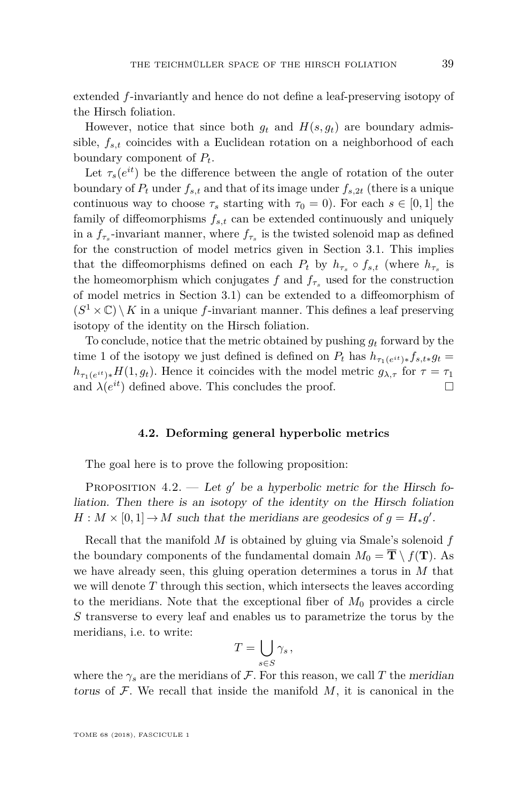extended *f*-invariantly and hence do not define a leaf-preserving isotopy of the Hirsch foliation.

However, notice that since both  $g_t$  and  $H(s, g_t)$  are boundary admissible, *fs,t* coincides with a Euclidean rotation on a neighborhood of each boundary component of *Pt*.

Let  $\tau_s(e^{it})$  be the difference between the angle of rotation of the outer boundary of  $P_t$  under  $f_{s,t}$  and that of its image under  $f_{s,2t}$  (there is a unique continuous way to choose  $\tau_s$  starting with  $\tau_0 = 0$ ). For each  $s \in [0,1]$  the family of diffeomorphisms *fs,t* can be extended continuously and uniquely in a  $f_{\tau_s}$ -invariant manner, where  $f_{\tau_s}$  is the twisted solenoid map as defined for the construction of model metrics given in Section [3.1.](#page-34-1) This implies that the diffeomorphisms defined on each  $P_t$  by  $h_{\tau_s} \circ f_{s,t}$  (where  $h_{\tau_s}$  is the homeomorphism which conjugates  $f$  and  $f_{\tau_s}$  used for the construction of model metrics in Section [3.1\)](#page-34-1) can be extended to a diffeomorphism of  $(S^1 \times \mathbb{C}) \setminus K$  in a unique *f*-invariant manner. This defines a leaf preserving isotopy of the identity on the Hirsch foliation.

To conclude, notice that the metric obtained by pushing *g<sup>t</sup>* forward by the time 1 of the isotopy we just defined is defined on  $P_t$  has  $h_{\tau_1(e^{it})*} f_{s,t*} g_t =$  $h_{\tau_1(e^{it})*}H(1, g_t)$ . Hence it coincides with the model metric  $g_{\lambda, \tau}$  for  $\tau = \tau_1$ and  $\lambda(e^{it})$  defined above. This concludes the proof.

#### **4.2. Deforming general hyperbolic metrics**

The goal here is to prove the following proposition:

<span id="page-39-0"></span>PROPOSITION  $4.2.$  — Let  $g'$  be a hyperbolic metric for the Hirsch foliation. Then there is an isotopy of the identity on the Hirsch foliation  $H: M \times [0,1] \to M$  such that the meridians are geodesics of  $g = H_*g'$ .

Recall that the manifold *M* is obtained by gluing via Smale's solenoid *f* the boundary components of the fundamental domain  $M_0 = \overline{\mathbf{T}} \setminus f(\mathbf{T})$ . As we have already seen, this gluing operation determines a torus in *M* that we will denote *T* through this section, which intersects the leaves according to the meridians. Note that the exceptional fiber of  $M_0$  provides a circle *S* transverse to every leaf and enables us to parametrize the torus by the meridians, i.e. to write:

$$
T=\bigcup_{s\in S}\gamma_s,
$$

where the  $\gamma_s$  are the meridians of F. For this reason, we call T the meridian torus of  $F$ . We recall that inside the manifold  $M$ , it is canonical in the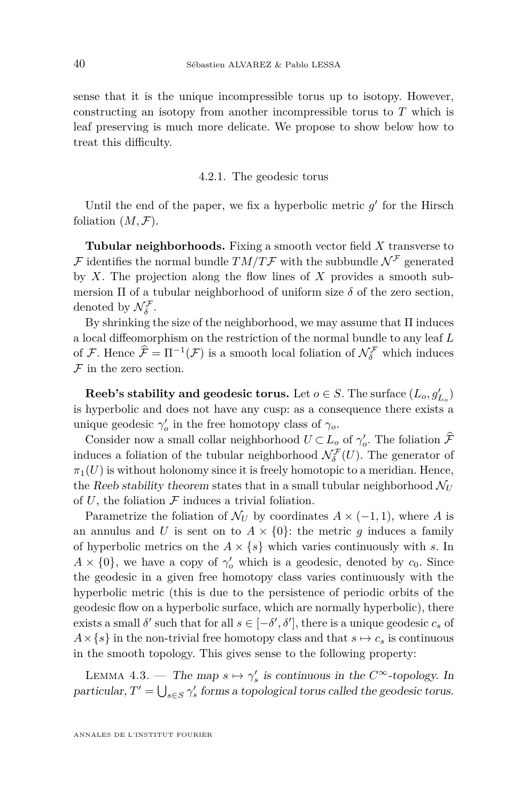sense that it is the unique incompressible torus up to isotopy. However, constructing an isotopy from another incompressible torus to *T* which is leaf preserving is much more delicate. We propose to show below how to treat this difficulty.

#### 4.2.1. The geodesic torus

Until the end of the paper, we fix a hyperbolic metric  $g'$  for the Hirsch foliation  $(M, \mathcal{F})$ .

**Tubular neighborhoods.** Fixing a smooth vector field *X* transverse to F identifies the normal bundle  $TM/T$ F with the subbundle  $\mathcal{N}^{\mathcal{F}}$  generated by *X*. The projection along the flow lines of *X* provides a smooth submersion  $\Pi$  of a tubular neighborhood of uniform size  $\delta$  of the zero section, denoted by  $\mathcal{N}_{\delta}^{\mathcal{F}}$ .

By shrinking the size of the neighborhood, we may assume that  $\Pi$  induces a local diffeomorphism on the restriction of the normal bundle to any leaf *L* of F. Hence  $\hat{\mathcal{F}} = \Pi^{-1}(\mathcal{F})$  is a smooth local foliation of  $\mathcal{N}_{\delta}^{\mathcal{F}}$  which induces  $F$  in the zero section.

**Reeb's stability and geodesic torus.** Let  $o \in S$ . The surface  $(L_o, g'_{L_o})$ is hyperbolic and does not have any cusp: as a consequence there exists a unique geodesic  $\gamma'_{o}$  in the free homotopy class of  $\gamma_{o}$ .

Consider now a small collar neighborhood  $U \subset L_o$  of  $\gamma'_o$ . The foliation  $\widetilde{\mathcal{F}}$ induces a foliation of the tubular neighborhood  $\mathcal{N}_{\delta}^{\mathcal{F}}(U)$ . The generator of  $\pi_1(U)$  is without holonomy since it is freely homotopic to a meridian. Hence, the Reeb stability theorem states that in a small tubular neighborhood  $\mathcal{N}_U$ of  $U$ , the foliation  $\mathcal F$  induces a trivial foliation.

Parametrize the foliation of  $\mathcal{N}_U$  by coordinates  $A \times (-1, 1)$ , where A is an annulus and *U* is sent on to  $A \times \{0\}$ : the metric *g* induces a family of hyperbolic metrics on the  $A \times \{s\}$  which varies continuously with *s*. In  $A \times \{0\}$ , we have a copy of  $\gamma'_{o}$  which is a geodesic, denoted by  $c_0$ . Since the geodesic in a given free homotopy class varies continuously with the hyperbolic metric (this is due to the persistence of periodic orbits of the geodesic flow on a hyperbolic surface, which are normally hyperbolic), there exists a small  $\delta'$  such that for all  $s \in [-\delta', \delta'],$  there is a unique geodesic  $c_s$  of  $A \times \{s\}$  in the non-trivial free homotopy class and that  $s \mapsto c_s$  is continuous in the smooth topology. This gives sense to the following property:

<span id="page-40-0"></span>LEMMA 4.3. — The map  $s \mapsto \gamma'_s$  is continuous in the  $C^{\infty}$ -topology. In particular,  $T' = \bigcup_{s \in S} \gamma'_s$  forms a topological torus called the geodesic torus.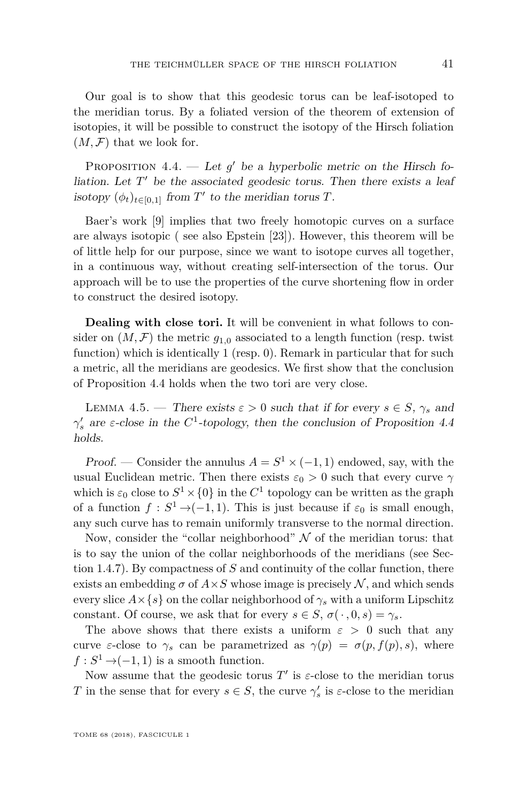Our goal is to show that this geodesic torus can be leaf-isotoped to the meridian torus. By a foliated version of the theorem of extension of isotopies, it will be possible to construct the isotopy of the Hirsch foliation  $(M, \mathcal{F})$  that we look for.

<span id="page-41-0"></span>PROPOSITION  $4.4.$  — Let  $g'$  be a hyperbolic metric on the Hirsch foliation. Let  $T'$  be the associated geodesic torus. Then there exists a leaf isotopy  $(\phi_t)_{t \in [0,1]}$  from  $T'$  to the meridian torus  $T$ .

Baer's work [\[9\]](#page-50-19) implies that two freely homotopic curves on a surface are always isotopic ( see also Epstein [\[23\]](#page-50-20)). However, this theorem will be of little help for our purpose, since we want to isotope curves all together, in a continuous way, without creating self-intersection of the torus. Our approach will be to use the properties of the curve shortening flow in order to construct the desired isotopy.

**Dealing with close tori.** It will be convenient in what follows to consider on  $(M, \mathcal{F})$  the metric  $g_{1,0}$  associated to a length function (resp. twist function) which is identically 1 (resp. 0). Remark in particular that for such a metric, all the meridians are geodesics. We first show that the conclusion of Proposition [4.4](#page-41-0) holds when the two tori are very close.

<span id="page-41-1"></span>LEMMA 4.5. — There exists  $\varepsilon > 0$  such that if for every  $s \in S$ ,  $\gamma_s$  and *γ*<sup>*s*</sup> are *ε*-close in the *C*<sup>1</sup>-topology, then the conclusion of Proposition [4.4](#page-41-0) holds.

Proof. — Consider the annulus  $A = S^1 \times (-1, 1)$  endowed, say, with the usual Euclidean metric. Then there exists  $\varepsilon_0 > 0$  such that every curve  $\gamma$ which is  $\varepsilon_0$  close to  $S^1 \times \{0\}$  in the  $C^1$  topology can be written as the graph of a function  $f: S^1 \to (-1,1)$ . This is just because if  $\varepsilon_0$  is small enough, any such curve has to remain uniformly transverse to the normal direction.

Now, consider the "collar neighborhood"  $\mathcal N$  of the meridian torus: that is to say the union of the collar neighborhoods of the meridians (see Section [1.4.7\)](#page-22-0). By compactness of *S* and continuity of the collar function, there exists an embedding  $\sigma$  of  $A \times S$  whose image is precisely  $\mathcal{N}$ , and which sends every slice  $A \times \{s\}$  on the collar neighborhood of  $\gamma_s$  with a uniform Lipschitz constant. Of course, we ask that for every  $s \in S$ ,  $\sigma(\cdot, 0, s) = \gamma_s$ .

The above shows that there exists a uniform  $\varepsilon > 0$  such that any curve *ε*-close to  $\gamma_s$  can be parametrized as  $\gamma(p) = \sigma(p, f(p), s)$ , where  $f: S^1 \to (-1,1)$  is a smooth function.

Now assume that the geodesic torus  $T'$  is  $\varepsilon$ -close to the meridian torus *T* in the sense that for every  $s \in S$ , the curve  $\gamma_s'$  is  $\varepsilon$ -close to the meridian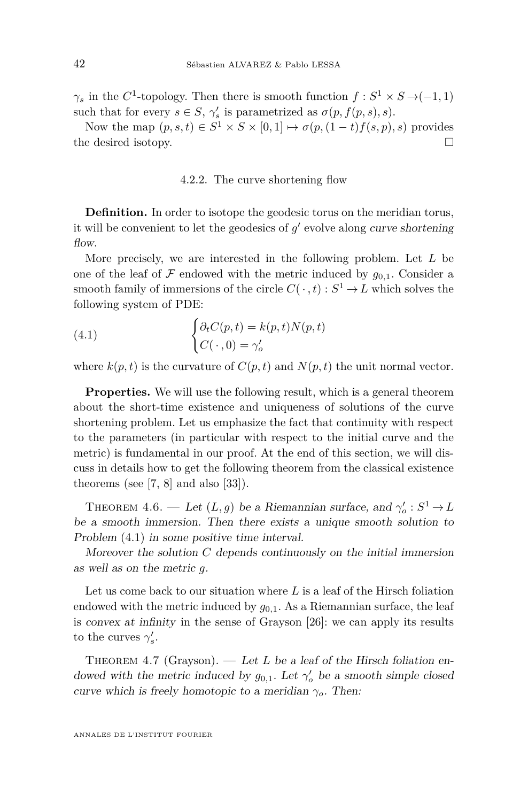*γ*<sub>*s*</sub> in the *C*<sup>1</sup>-topology. Then there is smooth function  $f : S^1 \times S \rightarrow (-1, 1)$ such that for every  $s \in S$ ,  $\gamma_s'$  is parametrized as  $\sigma(p, f(p, s), s)$ .

Now the map  $(p, s, t) \in S^1 \times S \times [0, 1] \mapsto \sigma(p, (1-t)f(s, p), s)$  provides the desired isotopy.

#### 4.2.2. The curve shortening flow

**Definition.** In order to isotope the geodesic torus on the meridian torus, it will be convenient to let the geodesics of  $g'$  evolve along curve shortening flow.

More precisely, we are interested in the following problem. Let *L* be one of the leaf of  $\mathcal F$  endowed with the metric induced by  $g_{0,1}$ . Consider a smooth family of immersions of the circle  $C(\cdot, t) : S^1 \to L$  which solves the following system of PDE:

<span id="page-42-0"></span>(4.1) 
$$
\begin{cases} \partial_t C(p,t) = k(p,t) N(p,t) \\ C(\cdot,0) = \gamma'_o \end{cases}
$$

where  $k(p, t)$  is the curvature of  $C(p, t)$  and  $N(p, t)$  the unit normal vector.

**Properties.** We will use the following result, which is a general theorem about the short-time existence and uniqueness of solutions of the curve shortening problem. Let us emphasize the fact that continuity with respect to the parameters (in particular with respect to the initial curve and the metric) is fundamental in our proof. At the end of this section, we will discuss in details how to get the following theorem from the classical existence theorems (see [\[7,](#page-50-21) [8\]](#page-50-22) and also [\[33\]](#page-51-12)).

<span id="page-42-1"></span>THEOREM 4.6. — Let  $(L, g)$  be a Riemannian surface, and  $\gamma_o' : S^1 \to L$ be a smooth immersion. Then there exists a unique smooth solution to Problem [\(4.1\)](#page-42-0) in some positive time interval.

Moreover the solution *C* depends continuously on the initial immersion as well as on the metric *g*.

Let us come back to our situation where *L* is a leaf of the Hirsch foliation endowed with the metric induced by  $g_{0,1}$ . As a Riemannian surface, the leaf is convex at infinity in the sense of Grayson [\[26\]](#page-50-12): we can apply its results to the curves  $\gamma_s'$ .

<span id="page-42-2"></span>THEOREM 4.7 (Grayson).  $\qquad$  Let *L* be a leaf of the Hirsch foliation endowed with the metric induced by  $g_{0,1}$ . Let  $\gamma'_{o}$  be a smooth simple closed curve which is freely homotopic to a meridian *γo*. Then: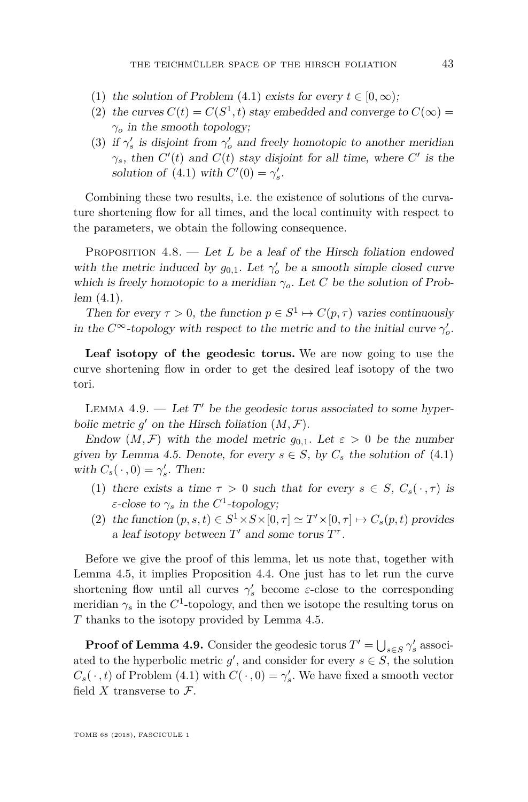- (1) the solution of Problem [\(4.1\)](#page-42-0) exists for every  $t \in [0, \infty)$ ;
- (2) the curves  $C(t) = C(S^1, t)$  stay embedded and converge to  $C(\infty)$  =  $\gamma$ <sup>*o*</sup> in the smooth topology;
- (3) if  $\gamma_s'$  is disjoint from  $\gamma_o'$  and freely homotopic to another meridian *γ*<sub>*s*</sub>, then  $C'(t)$  and  $C(t)$  stay disjoint for all time, where  $C'$  is the solution of [\(4.1\)](#page-42-0) with  $C'(0) = \gamma'_s$ .

Combining these two results, i.e. the existence of solutions of the curvature shortening flow for all times, and the local continuity with respect to the parameters, we obtain the following consequence.

PROPOSITION 4.8. — Let *L* be a leaf of the Hirsch foliation endowed with the metric induced by  $g_{0,1}$ . Let  $\gamma'_{o}$  be a smooth simple closed curve which is freely homotopic to a meridian  $\gamma_o$ . Let *C* be the solution of Problem [\(4.1\)](#page-42-0).

Then for every  $\tau > 0$ , the function  $p \in S^1 \mapsto C(p, \tau)$  varies continuously in the  $C^{\infty}$ -topology with respect to the metric and to the initial curve  $\gamma'_{o}$ .

**Leaf isotopy of the geodesic torus.** We are now going to use the curve shortening flow in order to get the desired leaf isotopy of the two tori.

<span id="page-43-0"></span>LEMMA  $4.9.$  — Let  $T'$  be the geodesic torus associated to some hyperbolic metric  $g'$  on the Hirsch foliation  $(M, \mathcal{F})$ .

Endow  $(M, \mathcal{F})$  with the model metric  $g_{0,1}$ . Let  $\varepsilon > 0$  be the number given by Lemma [4.5.](#page-41-1) Denote, for every  $s \in S$ , by  $C_s$  the solution of [\(4.1\)](#page-42-0) with  $C_s(\cdot, 0) = \gamma'_s$ . Then:

- (1) there exists a time  $\tau > 0$  such that for every  $s \in S$ ,  $C_s(\cdot, \tau)$  is *ε*-close to  $\gamma_s$  in the  $C^1$ -topology;
- (2) the function  $(p, s, t) \in S^1 \times S \times [0, \tau] \simeq T' \times [0, \tau] \mapsto C_s(p, t)$  provides a leaf isotopy between  $T'$  and some torus  $T^{\tau}$ .

Before we give the proof of this lemma, let us note that, together with Lemma [4.5,](#page-41-1) it implies Proposition [4.4.](#page-41-0) One just has to let run the curve shortening flow until all curves  $\gamma_s'$  become *ε*-close to the corresponding meridian  $\gamma_s$  in the  $C^1$ -topology, and then we isotope the resulting torus on *T* thanks to the isotopy provided by Lemma [4.5.](#page-41-1)

**Proof of Lemma [4.9.](#page-43-0)** Consider the geodesic torus  $T' = \bigcup_{s \in S} \gamma'_s$  associated to the hyperbolic metric  $g'$ , and consider for every  $s \in S$ , the solution  $C_s(\cdot, t)$  of Problem [\(4.1\)](#page-42-0) with  $C(\cdot, 0) = \gamma'_s$ . We have fixed a smooth vector field  $X$  transverse to  $\mathcal{F}$ .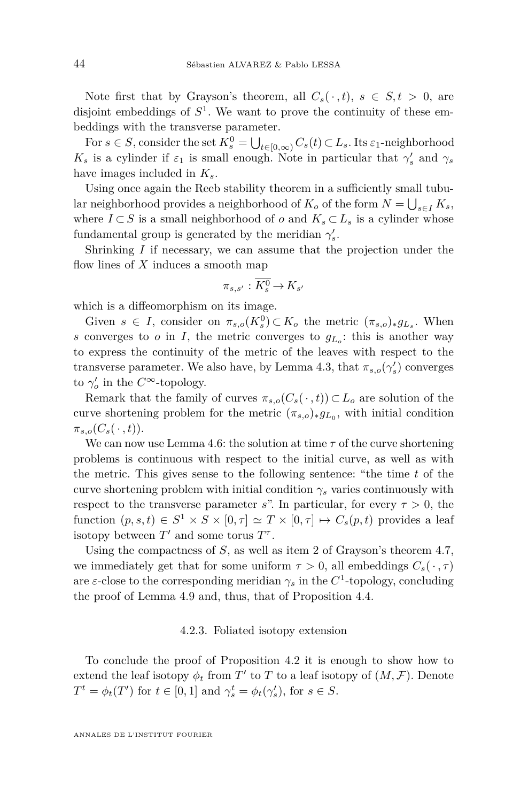Note first that by Grayson's theorem, all  $C_s(\cdot, t)$ ,  $s \in S, t > 0$ , are disjoint embeddings of  $S^1$ . We want to prove the continuity of these embeddings with the transverse parameter.

For  $s \in S$ , consider the set  $K_s^0 = \bigcup_{t \in [0,\infty)} C_s(t) \subset L_s$ . Its  $\varepsilon_1$ -neighborhood *K*<sub>*s*</sub> is a cylinder if  $\varepsilon_1$  is small enough. Note in particular that  $\gamma_s$  and  $\gamma_s$ have images included in *Ks*.

Using once again the Reeb stability theorem in a sufficiently small tubular neighborhood provides a neighborhood of  $K_o$  of the form  $N = \bigcup_{s \in I} K_s$ , where  $I \subset S$  is a small neighborhood of  $o$  and  $K_s \subset L_s$  is a cylinder whose fundamental group is generated by the meridian  $\gamma'_s$ .

Shrinking *I* if necessary, we can assume that the projection under the flow lines of *X* induces a smooth map

$$
\pi_{s,s'}:\overline{K^0_s}\!\rightarrow\! K_{s'}
$$

which is a diffeomorphism on its image.

Given  $s \in I$ , consider on  $\pi_{s,o}(K_s^0) \subset K_o$  the metric  $(\pi_{s,o})_* g_{L_s}$ . When *s* converges to *o* in *I*, the metric converges to  $g_{L_0}$ : this is another way to express the continuity of the metric of the leaves with respect to the transverse parameter. We also have, by Lemma [4.3,](#page-40-0) that  $\pi_{s,o}(\gamma_s)$  converges to  $\gamma_o'$  in the  $C^{\infty}$ -topology.

Remark that the family of curves  $\pi_{s,o}(C_s(\cdot,t)) \subset L_o$  are solution of the curve shortening problem for the metric  $(\pi_{s,o})_* g_{L_0}$ , with initial condition  $\pi_{s,o}(C_s(\cdot,t)).$ 

We can now use Lemma [4.6:](#page-42-1) the solution at time  $\tau$  of the curve shortening problems is continuous with respect to the initial curve, as well as with the metric. This gives sense to the following sentence: "the time *t* of the curve shortening problem with initial condition  $\gamma_s$  varies continuously with respect to the transverse parameter *s*". In particular, for every  $\tau > 0$ , the function  $(p, s, t) \in S^1 \times S \times [0, \tau] \simeq T \times [0, \tau] \mapsto C_s(p, t)$  provides a leaf isotopy between  $T'$  and some torus  $T^{\tau}$ .

Using the compactness of *S*, as well as item 2 of Grayson's theorem [4.7,](#page-42-2) we immediately get that for some uniform  $\tau > 0$ , all embeddings  $C_s(\cdot, \tau)$ are  $\varepsilon$ -close to the corresponding meridian  $\gamma_s$  in the  $C^1$ -topology, concluding the proof of Lemma [4.9](#page-43-0) and, thus, that of Proposition [4.4.](#page-41-0)

#### 4.2.3. Foliated isotopy extension

To conclude the proof of Proposition [4.2](#page-39-0) it is enough to show how to extend the leaf isotopy  $\phi_t$  from  $T'$  to  $T$  to a leaf isotopy of  $(M, \mathcal{F})$ . Denote *T*<sup>*t*</sup> = *φ*<sub>*t*</sub>(*T*<sup>*'*</sup>) for *t*  $\in$  [0, 1] and  $\gamma_s^t = \phi_t(\gamma_s^t)$ , for  $s \in S$ .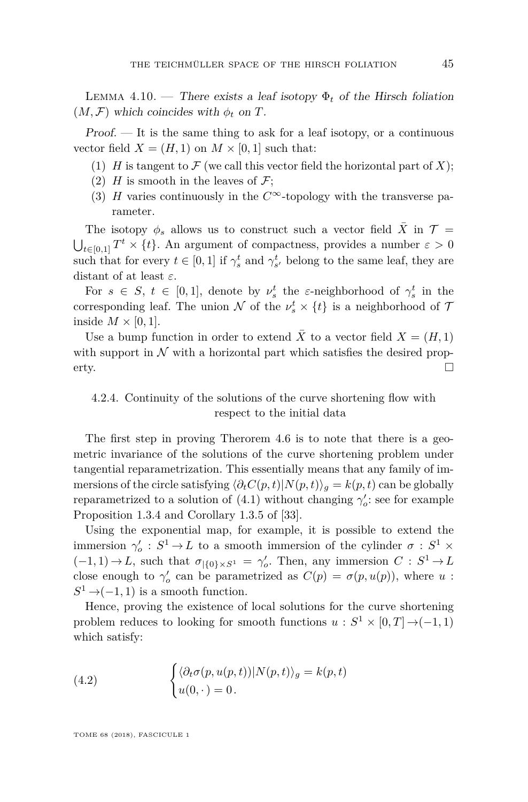LEMMA 4.10. — There exists a leaf isotopy  $\Phi_t$  of the Hirsch foliation  $(M, \mathcal{F})$  which coincides with  $\phi_t$  on  $T$ .

Proof. — It is the same thing to ask for a leaf isotopy, or a continuous vector field  $X = (H, 1)$  on  $M \times [0, 1]$  such that:

- (1)  $H$  is tangent to  $\mathcal F$  (we call this vector field the horizontal part of  $X$ );
- (2)  $H$  is smooth in the leaves of  $\mathcal{F}$ ;
- (3) *H* varies continuously in the  $C^{\infty}$ -topology with the transverse parameter.

The isotopy  $\phi_s$  allows us to construct such a vector field  $\bar{X}$  in  $\mathcal{T} =$  $\bigcup_{t \in [0,1]} T^t \times \{t\}$ . An argument of compactness, provides a number  $\varepsilon > 0$ such that for every  $t \in [0,1]$  if  $\gamma_s^t$  and  $\gamma_{s'}^t$  belong to the same leaf, they are distant of at least *ε*.

For  $s \in S$ ,  $t \in [0,1]$ , denote by  $\nu_s^t$  the *ε*-neighborhood of  $\gamma_s^t$  in the corresponding leaf. The union  $N$  of the  $\nu_s^t \times \{t\}$  is a neighborhood of  $\mathcal T$ inside  $M \times [0, 1]$ .

Use a bump function in order to extend  $\overline{X}$  to a vector field  $X = (H, 1)$ with support in  $N$  with a horizontal part which satisfies the desired prop- $\Box$ 

# 4.2.4. Continuity of the solutions of the curve shortening flow with respect to the initial data

The first step in proving Therorem [4.6](#page-42-1) is to note that there is a geometric invariance of the solutions of the curve shortening problem under tangential reparametrization. This essentially means that any family of immersions of the circle satisfying  $\langle \partial_t C(p, t) | N(p, t) \rangle_q = k(p, t)$  can be globally reparametrized to a solution of  $(4.1)$  without changing  $\gamma'_{o}$ : see for example Proposition 1.3.4 and Corollary 1.3.5 of [\[33\]](#page-51-12).

Using the exponential map, for example, it is possible to extend the immersion  $\gamma'_{o}$  :  $S^{1} \rightarrow L$  to a smooth immersion of the cylinder  $\sigma$  :  $S^{1} \times$  $(-1,1) \rightarrow L$ , such that  $\sigma_{|\{0\}\times S^1} = \gamma'_o$ . Then, any immersion  $C : S^1 \rightarrow L$ close enough to  $\gamma_o'$  can be parametrized as  $C(p) = \sigma(p, u(p))$ , where *u*:  $S^1 \rightarrow (-1, 1)$  is a smooth function.

Hence, proving the existence of local solutions for the curve shortening problem reduces to looking for smooth functions  $u : S^1 \times [0,T] \rightarrow (-1,1)$ which satisfy:

<span id="page-45-0"></span>(4.2) 
$$
\begin{cases} \langle \partial_t \sigma(p, u(p, t)) | N(p, t) \rangle_g = k(p, t) \\ u(0, \cdot) = 0. \end{cases}
$$

TOME 68 (2018), FASCICULE 1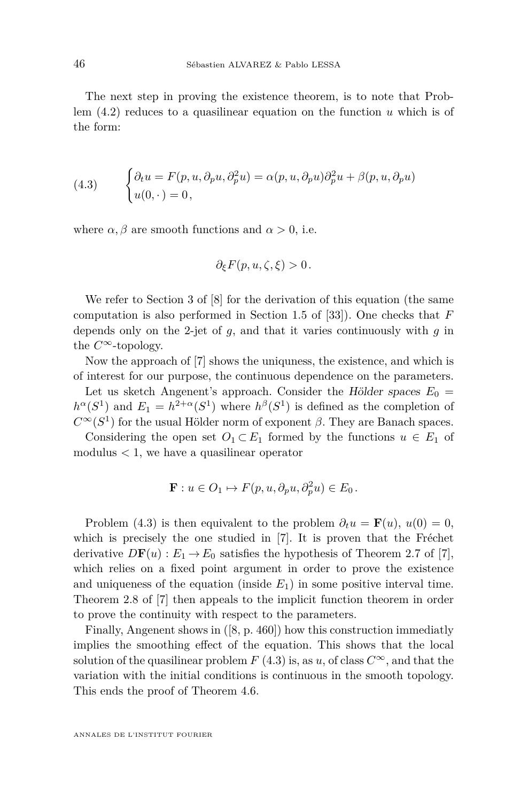The next step in proving the existence theorem, is to note that Problem [\(4.2\)](#page-45-0) reduces to a quasilinear equation on the function *u* which is of the form:

<span id="page-46-0"></span>(4.3) 
$$
\begin{cases} \partial_t u = F(p, u, \partial_p u, \partial_p^2 u) = \alpha(p, u, \partial_p u) \partial_p^2 u + \beta(p, u, \partial_p u) \\ u(0, \cdot) = 0, \end{cases}
$$

where  $\alpha$ ,  $\beta$  are smooth functions and  $\alpha > 0$ , i.e.

$$
\partial_{\xi} F(p, u, \zeta, \xi) > 0.
$$

We refer to Section 3 of [\[8\]](#page-50-22) for the derivation of this equation (the same computation is also performed in Section 1.5 of [\[33\]](#page-51-12)). One checks that *F* depends only on the 2-jet of *g*, and that it varies continuously with *g* in the  $C^{\infty}$ -topology.

Now the approach of [\[7\]](#page-50-21) shows the uniquness, the existence, and which is of interest for our purpose, the continuous dependence on the parameters.

Let us sketch Angenent's approach. Consider the Hölder spaces  $E_0 =$  $h^{\alpha}(S^1)$  and  $E_1 = h^{2+\alpha}(S^1)$  where  $h^{\beta}(S^1)$  is defined as the completion of  $C^{\infty}(S^1)$  for the usual Hölder norm of exponent *β*. They are Banach spaces.

Considering the open set  $O_1 \subset E_1$  formed by the functions  $u \in E_1$  of modulus *<* 1, we have a quasilinear operator

$$
\mathbf{F}: u \in O_1 \mapsto F(p, u, \partial_p u, \partial_p^2 u) \in E_0.
$$

Problem [\(4.3\)](#page-46-0) is then equivalent to the problem  $\partial_t u = \mathbf{F}(u)$ ,  $u(0) = 0$ , which is precisely the one studied in [\[7\]](#page-50-21). It is proven that the Fréchet derivative  $D\mathbf{F}(u) : E_1 \to E_0$  satisfies the hypothesis of Theorem 2.7 of [\[7\]](#page-50-21), which relies on a fixed point argument in order to prove the existence and uniqueness of the equation (inside  $E_1$ ) in some positive interval time. Theorem 2.8 of [\[7\]](#page-50-21) then appeals to the implicit function theorem in order to prove the continuity with respect to the parameters.

Finally, Angenent shows in ([\[8,](#page-50-22) p. 460]) how this construction immediatly implies the smoothing effect of the equation. This shows that the local solution of the quasilinear problem *F* [\(4.3\)](#page-46-0) is, as *u*, of class  $C^{\infty}$ , and that the variation with the initial conditions is continuous in the smooth topology. This ends the proof of Theorem [4.6.](#page-42-1)

ANNALES DE L'INSTITUT FOURIER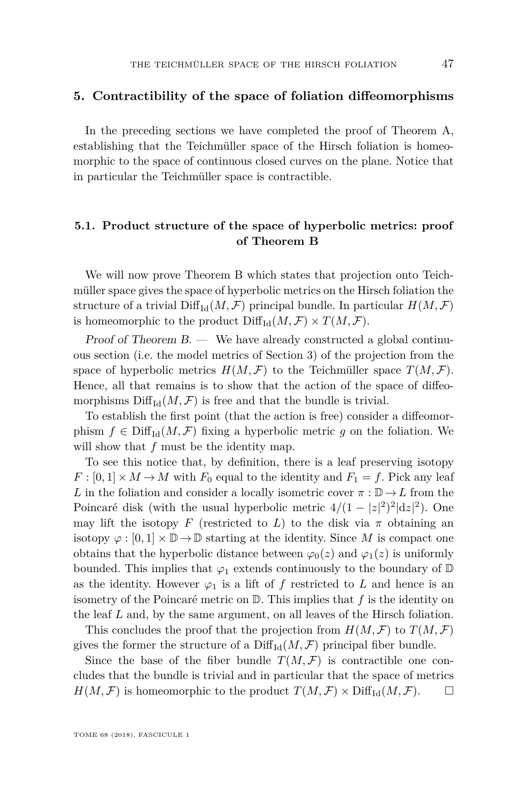#### <span id="page-47-0"></span>**5. Contractibility of the space of foliation diffeomorphisms**

In the preceding sections we have completed the proof of Theorem [A,](#page-2-0) establishing that the Teichmüller space of the Hirsch foliation is homeomorphic to the space of continuous closed curves on the plane. Notice that in particular the Teichmüller space is contractible.

# **5.1. Product structure of the space of hyperbolic metrics: proof of Theorem [B](#page-2-1)**

We will now prove Theorem [B](#page-2-1) which states that projection onto Teichmüller space gives the space of hyperbolic metrics on the Hirsch foliation the structure of a trivial  $\text{Diff}_{Id}(M, \mathcal{F})$  principal bundle. In particular  $H(M, \mathcal{F})$ is homeomorphic to the product  $\text{Diff}_{\text{Id}}(M,\mathcal{F}) \times T(M,\mathcal{F})$ .

Proof of Theorem [B.](#page-2-1) — We have already constructed a global continuous section (i.e. the model metrics of Section [3\)](#page-34-0) of the projection from the space of hyperbolic metrics  $H(M, \mathcal{F})$  to the Teichmüller space  $T(M, \mathcal{F})$ . Hence, all that remains is to show that the action of the space of diffeomorphisms  $\text{Diff}_{\text{Id}}(M, \mathcal{F})$  is free and that the bundle is trivial.

To establish the first point (that the action is free) consider a diffeomorphism  $f \in \text{Diff}_{\text{Id}}(M, \mathcal{F})$  fixing a hyperbolic metric g on the foliation. We will show that  $f$  must be the identity map.

To see this notice that, by definition, there is a leaf preserving isotopy  $F: [0,1] \times M \rightarrow M$  with  $F_0$  equal to the identity and  $F_1 = f$ . Pick any leaf *L* in the foliation and consider a locally isometric cover  $\pi : \mathbb{D} \to L$  from the Poincaré disk (with the usual hyperbolic metric  $4/(1-|z|^2)^2|dz|^2$ ). One may lift the isotopy *F* (restricted to *L*) to the disk via  $\pi$  obtaining an isotopy  $\varphi : [0,1] \times \mathbb{D} \to \mathbb{D}$  starting at the identity. Since M is compact one obtains that the hyperbolic distance between  $\varphi_0(z)$  and  $\varphi_1(z)$  is uniformly bounded. This implies that  $\varphi_1$  extends continuously to the boundary of  $\mathbb D$ as the identity. However  $\varphi_1$  is a lift of *f* restricted to *L* and hence is an isometry of the Poincaré metric on D. This implies that *f* is the identity on the leaf *L* and, by the same argument, on all leaves of the Hirsch foliation.

This concludes the proof that the projection from  $H(M, \mathcal{F})$  to  $T(M, \mathcal{F})$ gives the former the structure of a  $\text{Diff}_{\text{Id}}(M,\mathcal{F})$  principal fiber bundle.

Since the base of the fiber bundle  $T(M, \mathcal{F})$  is contractible one concludes that the bundle is trivial and in particular that the space of metrics  $H(M, \mathcal{F})$  is homeomorphic to the product  $T(M, \mathcal{F}) \times \text{Diff}_{\text{Id}}(M, \mathcal{F})$ .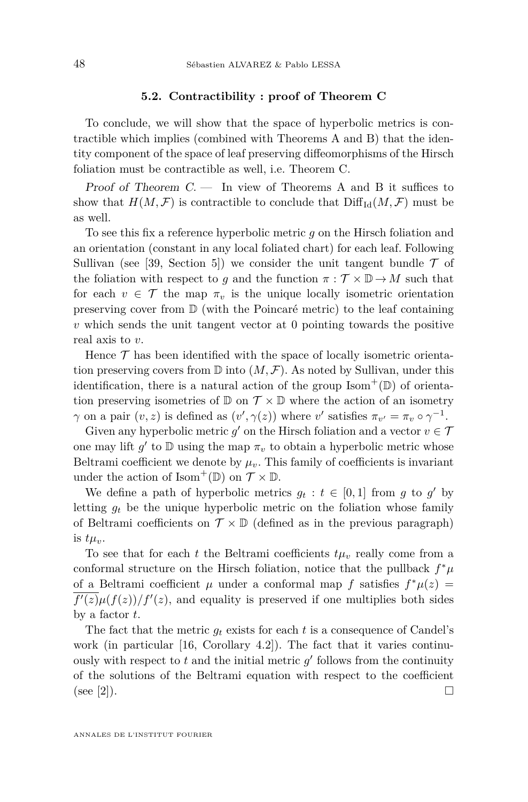#### **5.2. Contractibility : proof of Theorem [C](#page-2-2)**

To conclude, we will show that the space of hyperbolic metrics is contractible which implies (combined with Theorems [A](#page-2-0) and [B\)](#page-2-1) that the identity component of the space of leaf preserving diffeomorphisms of the Hirsch foliation must be contractible as well, i.e. Theorem [C.](#page-2-2)

Proof of Theorem  $C$ . — In view of Theorems [A](#page-2-0) and [B](#page-2-1) it suffices to show that  $H(M, \mathcal{F})$  is contractible to conclude that  $\text{Diff}_{\text{Id}}(M, \mathcal{F})$  must be as well.

To see this fix a reference hyperbolic metric *g* on the Hirsch foliation and an orientation (constant in any local foliated chart) for each leaf. Following Sullivan (see [\[39,](#page-51-1) Section 5]) we consider the unit tangent bundle  $\mathcal T$  of the foliation with respect to *g* and the function  $\pi : \mathcal{T} \times \mathbb{D} \to M$  such that for each  $v \in \mathcal{T}$  the map  $\pi_v$  is the unique locally isometric orientation preserving cover from  $\mathbb D$  (with the Poincaré metric) to the leaf containing *v* which sends the unit tangent vector at 0 pointing towards the positive real axis to *v*.

Hence  $\mathcal T$  has been identified with the space of locally isometric orientation preserving covers from  $\mathbb D$  into  $(M, \mathcal F)$ . As noted by Sullivan, under this identification, there is a natural action of the group  $\text{Isom}^+(\mathbb{D})$  of orientation preserving isometries of  $\mathbb{D}$  on  $\mathcal{T} \times \mathbb{D}$  where the action of an isometry *γ* on a pair  $(v, z)$  is defined as  $(v', \gamma(z))$  where *v*' satisfies  $\pi_{v'} = \pi_v \circ \gamma^{-1}$ .

Given any hyperbolic metric  $g'$  on the Hirsch foliation and a vector  $v \in \mathcal{T}$ one may lift  $g'$  to  $D$  using the map  $\pi_v$  to obtain a hyperbolic metric whose Beltrami coefficient we denote by  $\mu_v$ . This family of coefficients is invariant under the action of Isom<sup>+</sup>( $\mathbb{D}$ ) on  $\mathcal{T} \times \mathbb{D}$ .

We define a path of hyperbolic metrics  $g_t : t \in [0,1]$  from g to g' by letting  $q_t$  be the unique hyperbolic metric on the foliation whose family of Beltrami coefficients on  $\mathcal{T} \times \mathbb{D}$  (defined as in the previous paragraph) is  $t\mu_v$ .

To see that for each  $t$  the Beltrami coefficients  $t\mu_v$  really come from a conformal structure on the Hirsch foliation, notice that the pullback  $f^*\mu$ of a Beltrami coefficient  $\mu$  under a conformal map  $f$  satisfies  $f^*\mu(z) =$  $\overline{f'(z)}\mu(f(z))/f'(z)$ , and equality is preserved if one multiplies both sides by a factor *t*.

The fact that the metric  $q_t$  exists for each  $t$  is a consequence of Candel's work (in particular [\[16,](#page-50-4) Corollary 4.2]). The fact that it varies continuously with respect to  $t$  and the initial metric  $g'$  follows from the continuity of the solutions of the Beltrami equation with respect to the coefficient (see [\[2\]](#page-49-3)).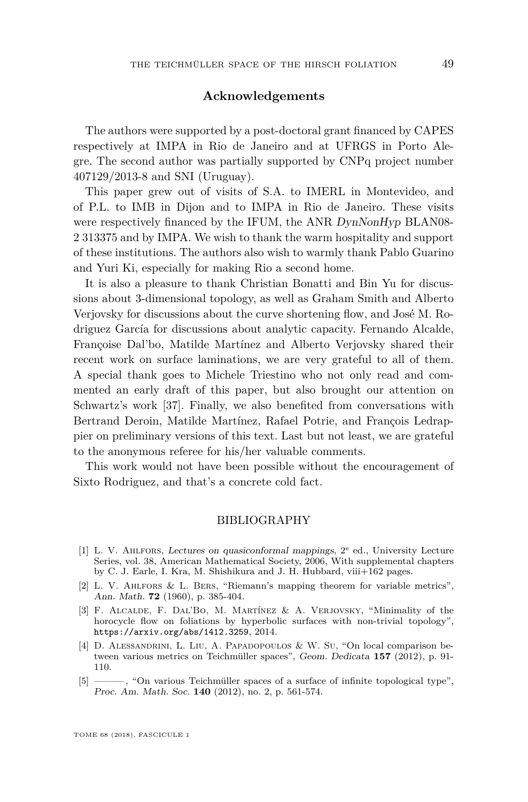#### **Acknowledgements**

The authors were supported by a post-doctoral grant financed by CAPES respectively at IMPA in Rio de Janeiro and at UFRGS in Porto Alegre. The second author was partially supported by CNPq project number 407129/2013-8 and SNI (Uruguay).

This paper grew out of visits of S.A. to IMERL in Montevideo, and of P.L. to IMB in Dijon and to IMPA in Rio de Janeiro. These visits were respectively financed by the IFUM, the ANR DynNonHyp BLAN08-2 313375 and by IMPA. We wish to thank the warm hospitality and support of these institutions. The authors also wish to warmly thank Pablo Guarino and Yuri Ki, especially for making Rio a second home.

It is also a pleasure to thank Christian Bonatti and Bin Yu for discussions about 3-dimensional topology, as well as Graham Smith and Alberto Verjovsky for discussions about the curve shortening flow, and José M. Rodriguez García for discussions about analytic capacity. Fernando Alcalde, Françoise Dal'bo, Matilde Martínez and Alberto Verjovsky shared their recent work on surface laminations, we are very grateful to all of them. A special thank goes to Michele Triestino who not only read and commented an early draft of this paper, but also brought our attention on Schwartz's work [\[37\]](#page-51-10). Finally, we also benefited from conversations with Bertrand Deroin, Matilde Martínez, Rafael Potrie, and François Ledrappier on preliminary versions of this text. Last but not least, we are grateful to the anonymous referee for his/her valuable comments.

This work would not have been possible without the encouragement of Sixto Rodriguez, and that's a concrete cold fact.

#### BIBLIOGRAPHY

- <span id="page-49-4"></span>[1] L. V. Ahlfors, Lectures on quasiconformal mappings, 2<sup>e</sup> ed., University Lecture Series, vol. 38, American Mathematical Society, 2006, With supplemental chapters by C. J. Earle, I. Kra, M. Shishikura and J. H. Hubbard, viii+162 pages.
- <span id="page-49-3"></span>[2] L. V. Ahlfors & L. Bers, "Riemann's mapping theorem for variable metrics", Ann. Math. **72** (1960), p. 385-404.
- <span id="page-49-2"></span>[3] F. Alcalde, F. Dal'Bo, M. Martínez & A. Verjovsky, "Minimality of the horocycle flow on foliations by hyperbolic surfaces with non-trivial topology", <https://arxiv.org/abs/1412.3259>, 2014.
- <span id="page-49-1"></span>[4] D. Alessandrini, L. Liu, A. Papadopoulos & W. Su, "On local comparison between various metrics on Teichmüller spaces", Geom. Dedicata **157** (2012), p. 91- 110.
- <span id="page-49-0"></span>[5] ——— , "On various Teichmüller spaces of a surface of infinite topological type", Proc. Am. Math. Soc. **140** (2012), no. 2, p. 561-574.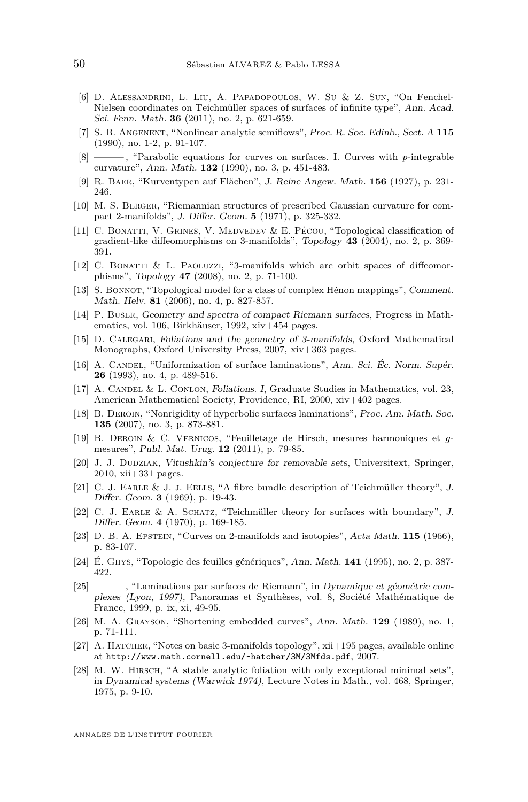- <span id="page-50-2"></span>[6] D. Alessandrini, L. Liu, A. Papadopoulos, W. Su & Z. Sun, "On Fenchel-Nielsen coordinates on Teichmüller spaces of surfaces of infinite type", Ann. Acad. Sci. Fenn. Math. **36** (2011), no. 2, p. 621-659.
- <span id="page-50-21"></span>[7] S. B. Angenent, "Nonlinear analytic semiflows", Proc. R. Soc. Edinb., Sect. A **115** (1990), no. 1-2, p. 91-107.
- <span id="page-50-22"></span> $\frac{1}{8}$ , "Parabolic equations for curves on surfaces. I. Curves with *p*-integrable curvature", Ann. Math. **132** (1990), no. 3, p. 451-483.
- <span id="page-50-19"></span>[9] R. Baer, "Kurventypen auf Flächen", J. Reine Angew. Math. **156** (1927), p. 231- 246.
- <span id="page-50-18"></span>[10] M. S. Berger, "Riemannian structures of prescribed Gaussian curvature for compact 2-manifolds", J. Differ. Geom. **5** (1971), p. 325-332.
- <span id="page-50-9"></span>[11] C. Bonatti, V. Grines, V. Medvedev & E. Pécou, "Topological classification of gradient-like diffeomorphisms on 3-manifolds", Topology **43** (2004), no. 2, p. 369- 391.
- <span id="page-50-10"></span>[12] C. BONATTI & L. PAOLUZZI, "3-manifolds which are orbit spaces of diffeomorphisms", Topology **47** (2008), no. 2, p. 71-100.
- <span id="page-50-11"></span>[13] S. Bonnot, "Topological model for a class of complex Hénon mappings", Comment. Math. Helv. **81** (2006), no. 4, p. 827-857.
- <span id="page-50-16"></span>[14] P. Buser, Geometry and spectra of compact Riemann surfaces, Progress in Mathematics, vol. 106, Birkhäuser, 1992, xiv+454 pages.
- <span id="page-50-15"></span>[15] D. Calegari, Foliations and the geometry of 3-manifolds, Oxford Mathematical Monographs, Oxford University Press, 2007, xiv+363 pages.
- <span id="page-50-4"></span>[16] A. CANDEL, "Uniformization of surface laminations", Ann. Sci. Éc. Norm. Supér. **26** (1993), no. 4, p. 489-516.
- <span id="page-50-13"></span>[17] A. CANDEL & L. CONLON, Foliations. I, Graduate Studies in Mathematics, vol. 23, American Mathematical Society, Providence, RI, 2000, xiv+402 pages.
- <span id="page-50-5"></span>[18] B. Deroin, "Nonrigidity of hyperbolic surfaces laminations", Proc. Am. Math. Soc. **135** (2007), no. 3, p. 873-881.
- <span id="page-50-8"></span>[19] B. Deroin & C. Vernicos, "Feuilletage de Hirsch, mesures harmoniques et *g*mesures", Publ. Mat. Urug. **12** (2011), p. 79-85.
- <span id="page-50-17"></span>[20] J. J. DUDZIAK, Vitushkin's conjecture for removable sets, Universitext, Springer, 2010, xii+331 pages.
- <span id="page-50-0"></span>[21] C. J. Earle & J. j. Eells, "A fibre bundle description of Teichmüller theory", J. Differ. Geom. **3** (1969), p. 19-43.
- <span id="page-50-1"></span>[22] C. J. Earle & A. Schatz, "Teichmüller theory for surfaces with boundary", J. Differ. Geom. **4** (1970), p. 169-185.
- <span id="page-50-20"></span>[23] D. B. A. Epstein, "Curves on 2-manifolds and isotopies", Acta Math. **115** (1966), p. 83-107.
- <span id="page-50-7"></span>[24] É. Ghys, "Topologie des feuilles génériques", Ann. Math. **141** (1995), no. 2, p. 387- 422.
- <span id="page-50-3"></span>[25] ——— , "Laminations par surfaces de Riemann", in Dynamique et géométrie complexes (Lyon, 1997), Panoramas et Synthèses, vol. 8, Société Mathématique de France, 1999, p. ix, xi, 49-95.
- <span id="page-50-12"></span>[26] M. A. Grayson, "Shortening embedded curves", Ann. Math. **129** (1989), no. 1, p. 71-111.
- <span id="page-50-14"></span> $[27]$  A. HATCHER, "Notes on basic 3-manifolds topology",  $xii+195$  pages, available online at <http://www.math.cornell.edu/~hatcher/3M/3Mfds.pdf>, 2007.
- <span id="page-50-6"></span>[28] M. W. HIRSCH, "A stable analytic foliation with only exceptional minimal sets", in Dynamical systems (Warwick 1974), Lecture Notes in Math., vol. 468, Springer, 1975, p. 9-10.